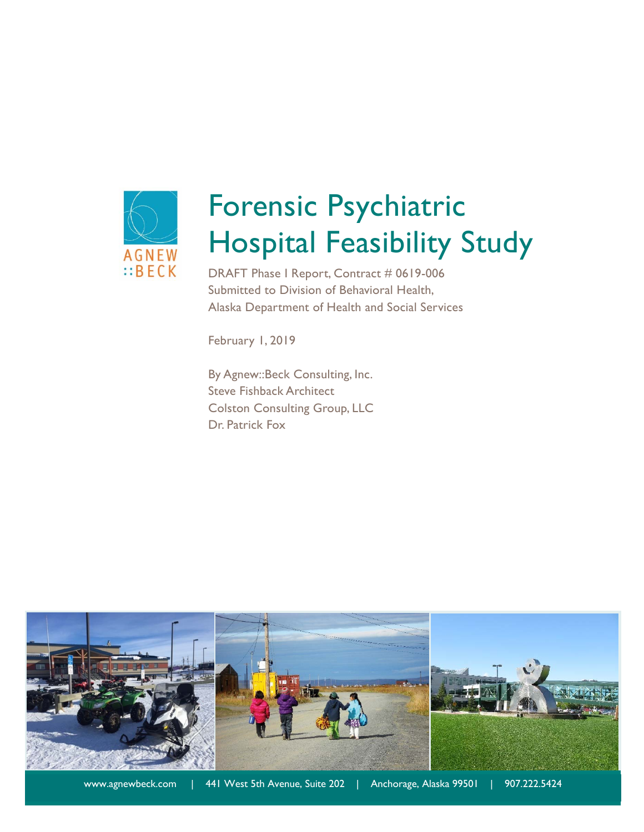

# Forensic Psychiatric Hospital Feasibility Study

DRAFT Phase I Report, Contract # 0619-006 Submitted to Division of Behavioral Health, Alaska Department of Health and Social Services

February 1, 2019

By Agnew::Beck Consulting, Inc. Steve Fishback Architect Colston Consulting Group, LLC Dr. Patrick Fox

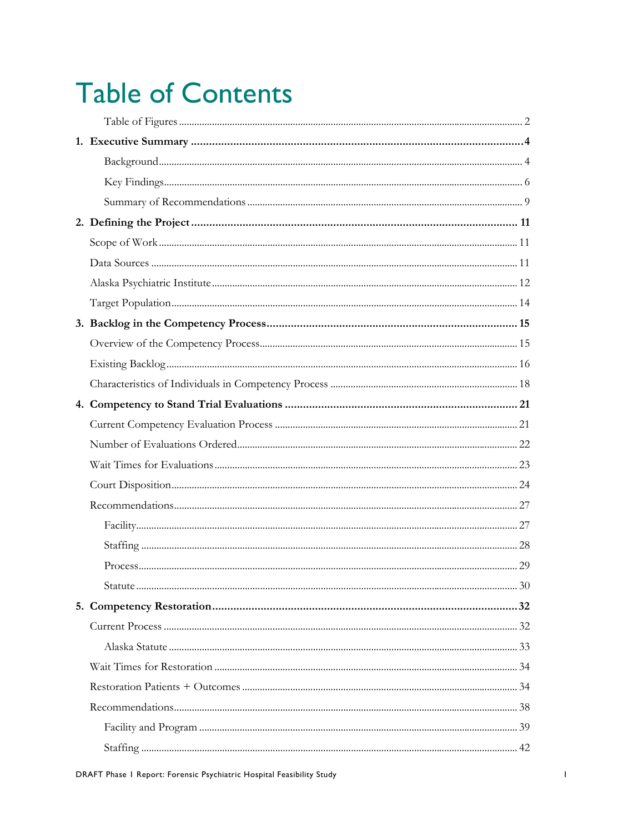# **Table of Contents**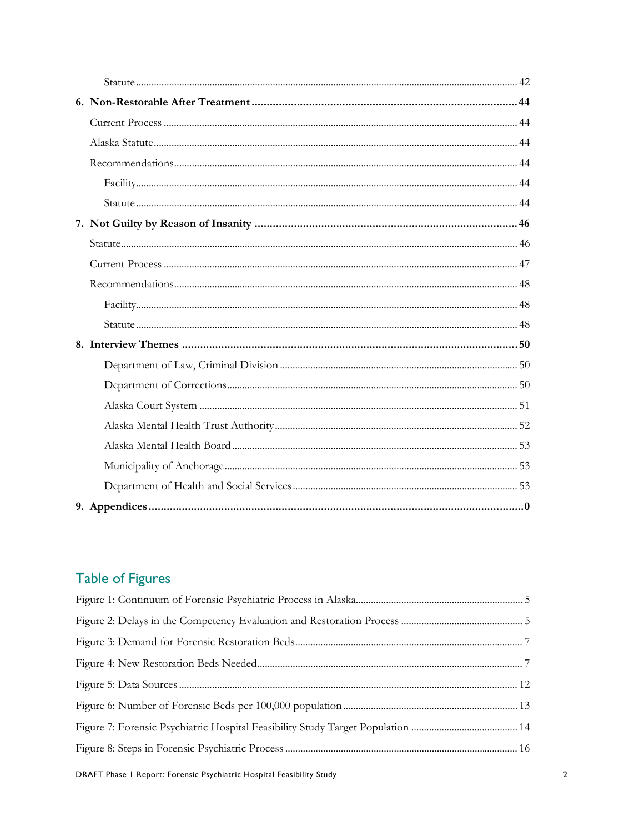## Table of Figures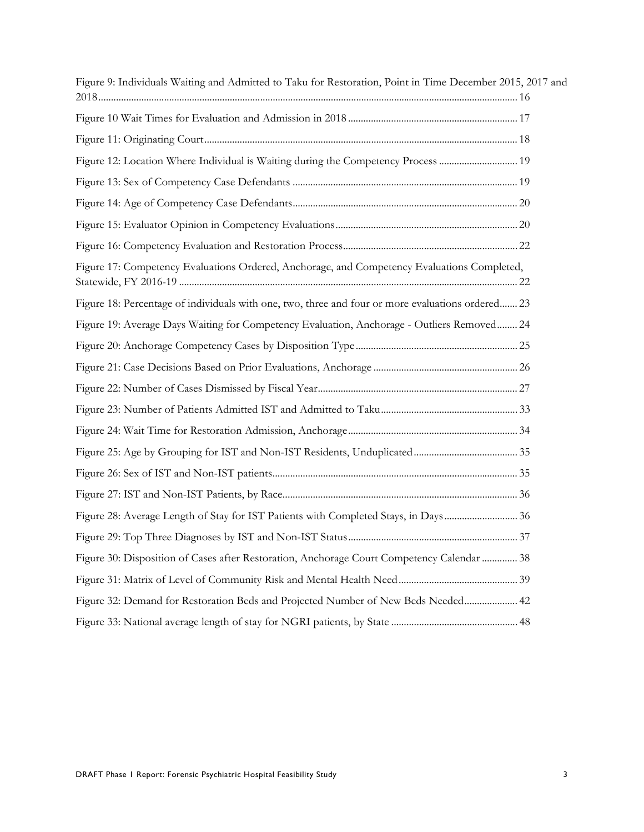| Figure 9: Individuals Waiting and Admitted to Taku for Restoration, Point in Time December 2015, 2017 and |  |
|-----------------------------------------------------------------------------------------------------------|--|
|                                                                                                           |  |
|                                                                                                           |  |
| Figure 12: Location Where Individual is Waiting during the Competency Process  19                         |  |
|                                                                                                           |  |
|                                                                                                           |  |
|                                                                                                           |  |
|                                                                                                           |  |
| Figure 17: Competency Evaluations Ordered, Anchorage, and Competency Evaluations Completed,               |  |
| Figure 18: Percentage of individuals with one, two, three and four or more evaluations ordered 23         |  |
| Figure 19: Average Days Waiting for Competency Evaluation, Anchorage - Outliers Removed 24                |  |
|                                                                                                           |  |
|                                                                                                           |  |
|                                                                                                           |  |
|                                                                                                           |  |
|                                                                                                           |  |
|                                                                                                           |  |
|                                                                                                           |  |
|                                                                                                           |  |
|                                                                                                           |  |
|                                                                                                           |  |
| Figure 30: Disposition of Cases after Restoration, Anchorage Court Competency Calendar  38                |  |
|                                                                                                           |  |
| Figure 32: Demand for Restoration Beds and Projected Number of New Beds Needed 42                         |  |
|                                                                                                           |  |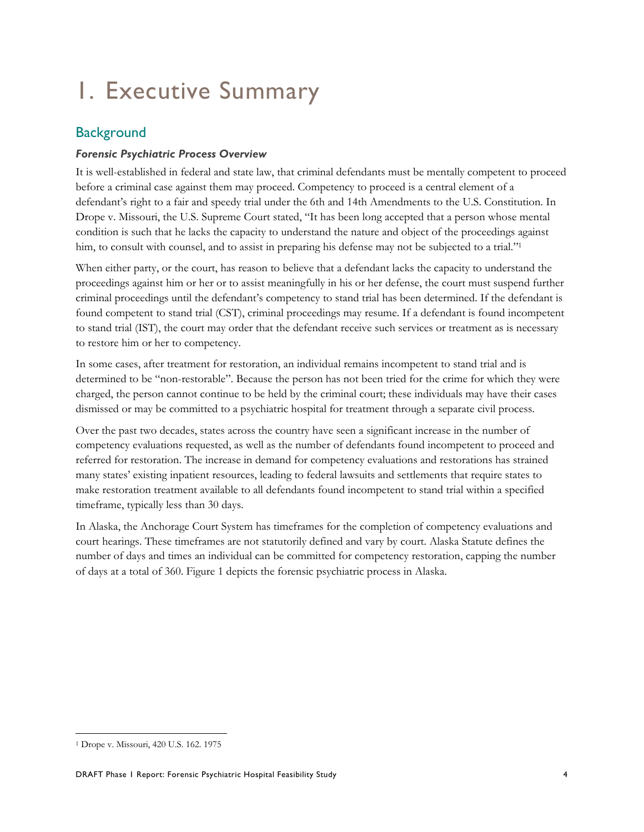# 1. Executive Summary

#### **Background**

#### *Forensic Psychiatric Process Overview*

It is well-established in federal and state law, that criminal defendants must be mentally competent to proceed before a criminal case against them may proceed. Competency to proceed is a central element of a defendant's right to a fair and speedy trial under the 6th and 14th Amendments to the U.S. Constitution. In Drope v. Missouri, the U.S. Supreme Court stated, "It has been long accepted that a person whose mental condition is such that he lacks the capacity to understand the nature and object of the proceedings against him, to consult with counsel, and to assist in preparing his defense may not be subjected to a trial."<sup>1</sup>

When either party, or the court, has reason to believe that a defendant lacks the capacity to understand the proceedings against him or her or to assist meaningfully in his or her defense, the court must suspend further criminal proceedings until the defendant's competency to stand trial has been determined. If the defendant is found competent to stand trial (CST), criminal proceedings may resume. If a defendant is found incompetent to stand trial (IST), the court may order that the defendant receive such services or treatment as is necessary to restore him or her to competency.

In some cases, after treatment for restoration, an individual remains incompetent to stand trial and is determined to be "non-restorable". Because the person has not been tried for the crime for which they were charged, the person cannot continue to be held by the criminal court; these individuals may have their cases dismissed or may be committed to a psychiatric hospital for treatment through a separate civil process.

Over the past two decades, states across the country have seen a significant increase in the number of competency evaluations requested, as well as the number of defendants found incompetent to proceed and referred for restoration. The increase in demand for competency evaluations and restorations has strained many states' existing inpatient resources, leading to federal lawsuits and settlements that require states to make restoration treatment available to all defendants found incompetent to stand trial within a specified timeframe, typically less than 30 days.

In Alaska, the Anchorage Court System has timeframes for the completion of competency evaluations and court hearings. These timeframes are not statutorily defined and vary by court. Alaska Statute defines the number of days and times an individual can be committed for competency restoration, capping the number of days at a total of 360. Figure 1 depicts the forensic psychiatric process in Alaska.

<sup>-</sup>1 Drope v. Missouri, 420 U.S. 162. 1975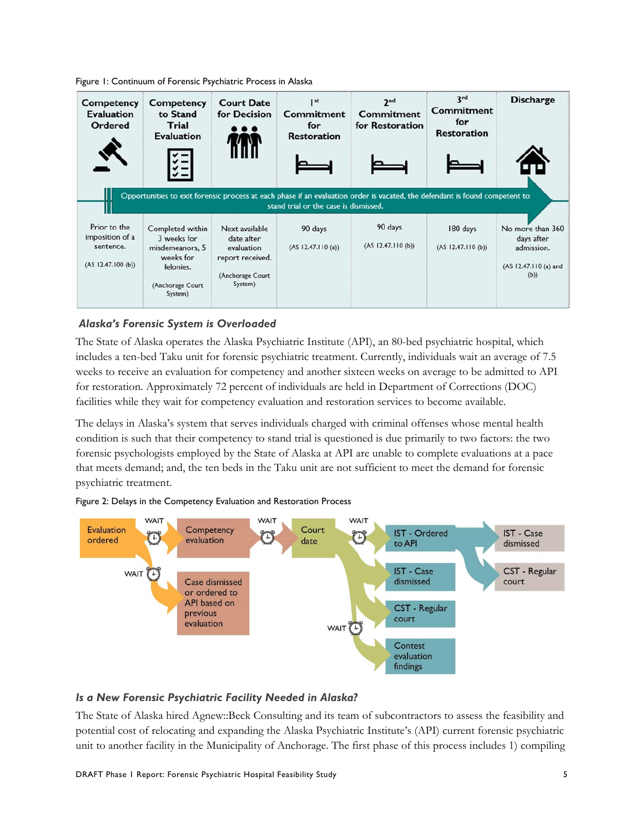

| Competency<br><b>Evaluation</b><br>Ordered                         | <b>Competency</b><br>to Stand<br>Trial<br><b>Evaluation</b>                                                 | <b>Court Date</b><br>for Decision                                                             | $\mathbf{I}^{\text{st}}$<br>Commitment<br>for<br><b>Restoration</b> | 2 <sub>nd</sub><br>Commitment<br>for Restoration                                                                            | 3 <sup>rd</sup><br>Commitment<br>for<br><b>Restoration</b> | <b>Discharge</b>                                                              |
|--------------------------------------------------------------------|-------------------------------------------------------------------------------------------------------------|-----------------------------------------------------------------------------------------------|---------------------------------------------------------------------|-----------------------------------------------------------------------------------------------------------------------------|------------------------------------------------------------|-------------------------------------------------------------------------------|
|                                                                    |                                                                                                             |                                                                                               | stand trial or the case is dismissed.                               | Opportunities to exit forensic process at each phase if an evaluation order is vacated, the defendant is found competent to |                                                            |                                                                               |
| Prior to the<br>imposition of a<br>sentence.<br>(AS 12.47.100 (b)) | Completed within<br>3 weeks for<br>misdemeanors, 5<br>weeks for<br>felonies.<br>(Anchorage Court<br>System) | Next available<br>date after<br>evaluation<br>report received.<br>(Anchorage Court<br>System) | 90 days<br>(AS 12.47.110 (a))                                       | 90 days<br>(AS 12.47.110 (b))                                                                                               | 180 days<br>(AS 12.47.110(b))                              | No more than 360<br>days after<br>admission.<br>(AS 12.47.110 (a) and<br>(b)) |

#### *Alaska's Forensic System is Overloaded*

The State of Alaska operates the Alaska Psychiatric Institute (API), an 80-bed psychiatric hospital, which includes a ten-bed Taku unit for forensic psychiatric treatment. Currently, individuals wait an average of 7.5 weeks to receive an evaluation for competency and another sixteen weeks on average to be admitted to API for restoration. Approximately 72 percent of individuals are held in Department of Corrections (DOC) facilities while they wait for competency evaluation and restoration services to become available.

The delays in Alaska's system that serves individuals charged with criminal offenses whose mental health condition is such that their competency to stand trial is questioned is due primarily to two factors: the two forensic psychologists employed by the State of Alaska at API are unable to complete evaluations at a pace that meets demand; and, the ten beds in the Taku unit are not sufficient to meet the demand for forensic psychiatric treatment.





#### *Is a New Forensic Psychiatric Facility Needed in Alaska?*

The State of Alaska hired Agnew::Beck Consulting and its team of subcontractors to assess the feasibility and potential cost of relocating and expanding the Alaska Psychiatric Institute's (API) current forensic psychiatric unit to another facility in the Municipality of Anchorage. The first phase of this process includes 1) compiling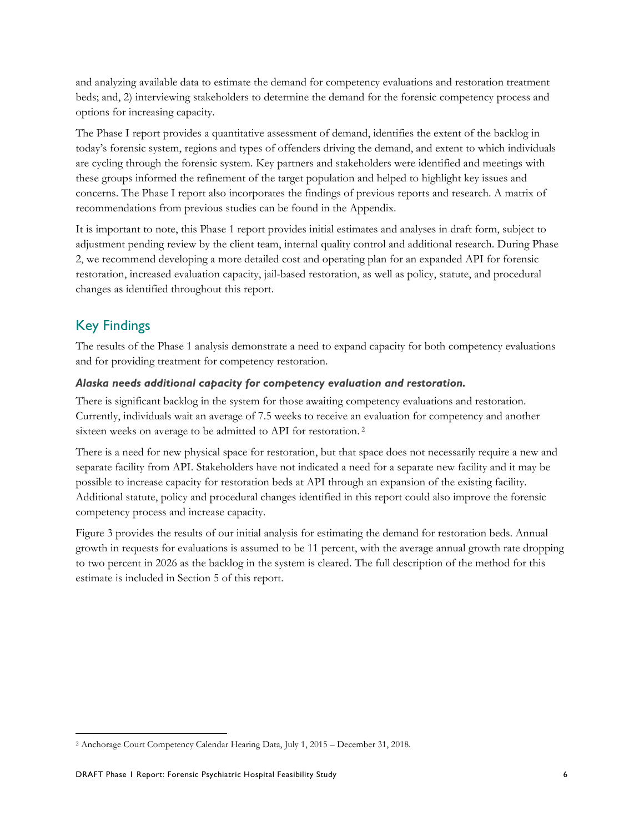and analyzing available data to estimate the demand for competency evaluations and restoration treatment beds; and, 2) interviewing stakeholders to determine the demand for the forensic competency process and options for increasing capacity.

The Phase I report provides a quantitative assessment of demand, identifies the extent of the backlog in today's forensic system, regions and types of offenders driving the demand, and extent to which individuals are cycling through the forensic system. Key partners and stakeholders were identified and meetings with these groups informed the refinement of the target population and helped to highlight key issues and concerns. The Phase I report also incorporates the findings of previous reports and research. A matrix of recommendations from previous studies can be found in the Appendix.

It is important to note, this Phase 1 report provides initial estimates and analyses in draft form, subject to adjustment pending review by the client team, internal quality control and additional research. During Phase 2, we recommend developing a more detailed cost and operating plan for an expanded API for forensic restoration, increased evaluation capacity, jail-based restoration, as well as policy, statute, and procedural changes as identified throughout this report.

### Key Findings

The results of the Phase 1 analysis demonstrate a need to expand capacity for both competency evaluations and for providing treatment for competency restoration.

#### *Alaska needs additional capacity for competency evaluation and restoration.*

There is significant backlog in the system for those awaiting competency evaluations and restoration. Currently, individuals wait an average of 7.5 weeks to receive an evaluation for competency and another sixteen weeks on average to be admitted to API for restoration. 2

There is a need for new physical space for restoration, but that space does not necessarily require a new and separate facility from API. Stakeholders have not indicated a need for a separate new facility and it may be possible to increase capacity for restoration beds at API through an expansion of the existing facility. Additional statute, policy and procedural changes identified in this report could also improve the forensic competency process and increase capacity.

Figure 3 provides the results of our initial analysis for estimating the demand for restoration beds. Annual growth in requests for evaluations is assumed to be 11 percent, with the average annual growth rate dropping to two percent in 2026 as the backlog in the system is cleared. The full description of the method for this estimate is included in Section 5 of this report.

<sup>-</sup>2 Anchorage Court Competency Calendar Hearing Data, July 1, 2015 – December 31, 2018.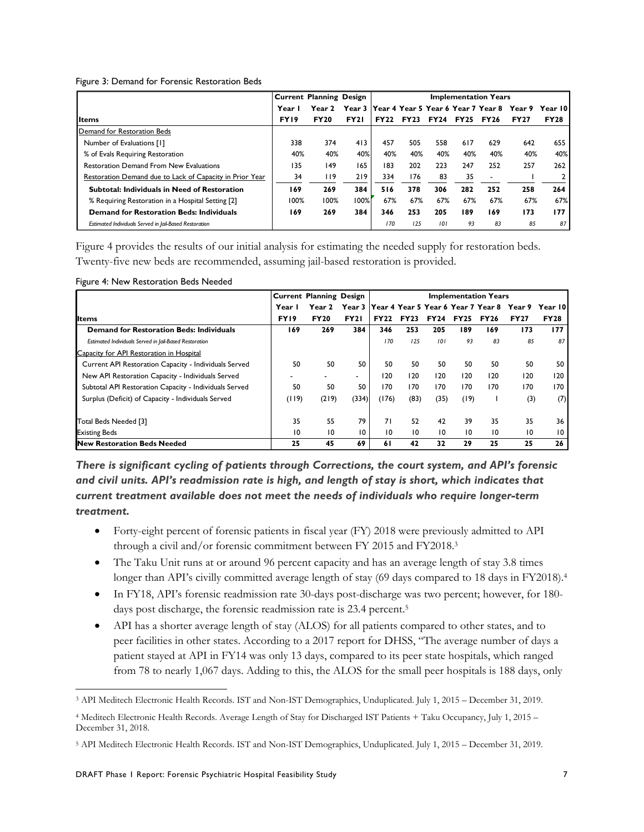#### Figure 3: Demand for Forensic Restoration Beds

|                                                          | <b>Current Planning Design</b> |             |             | <b>Implementation Years</b> |      |                  |     |                                             |             |             |
|----------------------------------------------------------|--------------------------------|-------------|-------------|-----------------------------|------|------------------|-----|---------------------------------------------|-------------|-------------|
|                                                          | Year I                         | Year 2      |             |                             |      |                  |     | Year 3   Year 4 Year 5 Year 6 Year 7 Year 8 | Year 9      | Year 101    |
| <b>Items</b>                                             | FY19                           | <b>FY20</b> | <b>FY21</b> | <b>FY22</b>                 | FY23 | <b>FY24 FY25</b> |     | <b>FY26</b>                                 | <b>FY27</b> | <b>FY28</b> |
| Demand for Restoration Beds                              |                                |             |             |                             |      |                  |     |                                             |             |             |
| Number of Evaluations [1]                                | 338                            | 374         | 413         | 457                         | 505  | 558              | 617 | 629                                         | 642         | 655         |
| % of Evals Requiring Restoration                         | 40%                            | 40%         | 40%         | 40%                         | 40%  | 40%              | 40% | 40%                                         | 40%         | 40%         |
| <b>Restoration Demand From New Evaluations</b>           | 135                            | 149         | 165         | 183                         | 202  | 223              | 247 | 252                                         | 257         | 262         |
| Restoration Demand due to Lack of Capacity in Prior Year | 34                             | 119         | 219         | 334                         | 176  | 83               | 35  |                                             |             |             |
| Subtotal: Individuals in Need of Restoration             | 169                            | 269         | 384         | 516                         | 378  | 306              | 282 | 252                                         | 258         | 264         |
| % Requiring Restoration in a Hospital Setting [2]        | 100%                           | 100%        | 100%        | 67%                         | 67%  | 67%              | 67% | 67%                                         | 67%         | 67%         |
| <b>Demand for Restoration Beds: Individuals</b>          | 169                            | 269         | 384         | 346                         | 253  | 205              | 189 | 169                                         | 173         | 177         |
| Estimated Individuals Served in Jail-Based Restoration   |                                |             |             | 170                         | 125  | 101              | 93  | 83                                          | 85          | 87          |

Figure 4 provides the results of our initial analysis for estimating the needed supply for restoration beds. Twenty-five new beds are recommended, assuming jail-based restoration is provided.

|                                                        | <b>Current Planning Design</b> |             |                          | <b>Implementation Years</b> |             |             |             |                                             |             |             |
|--------------------------------------------------------|--------------------------------|-------------|--------------------------|-----------------------------|-------------|-------------|-------------|---------------------------------------------|-------------|-------------|
|                                                        | Year I                         | Year 2      |                          |                             |             |             |             | Year 3   Year 4 Year 5 Year 6 Year 7 Year 8 | Year 9      | Year 101    |
| <b>litems</b>                                          | <b>FY19</b>                    | <b>FY20</b> | <b>FY21</b>              | <b>FY22</b>                 | <b>FY23</b> | <b>FY24</b> | <b>FY25</b> | <b>FY26</b>                                 | <b>FY27</b> | <b>FY28</b> |
| <b>Demand for Restoration Beds: Individuals</b>        | 169                            | 269         | 384                      | 346                         | 253         | 205         | 189         | 169                                         | 173         | 177         |
| Estimated Individuals Served in Jail-Based Restoration |                                |             |                          | 170                         | 125         | 101         | 93          | 83                                          | 85          | 87          |
| Capacity for API Restoration in Hospital               |                                |             |                          |                             |             |             |             |                                             |             |             |
| Current API Restoration Capacity - Individuals Served  | 50                             | 50          | 50                       | 50                          | 50          | 50          | 50          | 50                                          | 50          | 50          |
| New API Restoration Capacity - Individuals Served      |                                |             | $\overline{\phantom{0}}$ | 120                         | 120         | 120         | 120         | 120                                         | 120         | 120         |
| Subtotal API Restoration Capacity - Individuals Served | 50                             | 50          | 50                       | 170                         | 170         | 170         | 170         | 170                                         | 170         | 170         |
| Surplus (Deficit) of Capacity - Individuals Served     | (119)                          | (219)       | (334)                    | (176)                       | (83)        | (35)        | (19)        |                                             | (3)         | (7)         |
| Total Beds Needed [3]                                  | 35                             | 55          | 79                       | 71                          | 52          | 42          | 39          | 35                                          | 35          | 36          |
| <b>Existing Beds</b>                                   | 10                             | 10          | 10                       | 10                          | 10          | 10          | 10          | 10                                          | 10          | 10          |
| <b>New Restoration Beds Needed</b>                     | 25                             | 45          | 69                       | 61                          | 42          | 32          | 29          | 25                                          | 25          | 26          |

Figure 4: New Restoration Beds Needed

*There is significant cycling of patients through Corrections, the court system, and API's forensic and civil units. API's readmission rate is high, and length of stay is short, which indicates that current treatment available does not meet the needs of individuals who require longer-term treatment.* 

- Forty-eight percent of forensic patients in fiscal year (FY) 2018 were previously admitted to API through a civil and/or forensic commitment between FY 2015 and FY2018.3
- The Taku Unit runs at or around 96 percent capacity and has an average length of stay 3.8 times longer than API's civilly committed average length of stay (69 days compared to 18 days in FY2018).<sup>4</sup>
- In FY18, API's forensic readmission rate 30-days post-discharge was two percent; however, for 180 days post discharge, the forensic readmission rate is 23.4 percent.<sup>5</sup>
- API has a shorter average length of stay (ALOS) for all patients compared to other states, and to peer facilities in other states. According to a 2017 report for DHSS, "The average number of days a patient stayed at API in FY14 was only 13 days, compared to its peer state hospitals, which ranged from 78 to nearly 1,067 days. Adding to this, the ALOS for the small peer hospitals is 188 days, only

<sup>-</sup>3 API Meditech Electronic Health Records. IST and Non-IST Demographics, Unduplicated. July 1, 2015 – December 31, 2019.

<sup>4</sup> Meditech Electronic Health Records. Average Length of Stay for Discharged IST Patients + Taku Occupancy, July 1, 2015 – December 31, 2018.

<sup>5</sup> API Meditech Electronic Health Records. IST and Non-IST Demographics, Unduplicated. July 1, 2015 – December 31, 2019.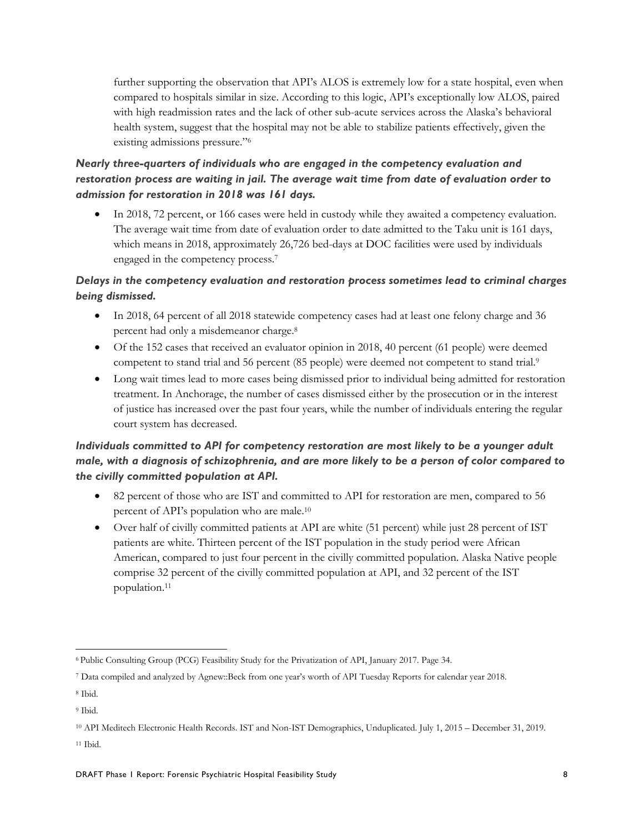further supporting the observation that API's ALOS is extremely low for a state hospital, even when compared to hospitals similar in size. According to this logic, API's exceptionally low ALOS, paired with high readmission rates and the lack of other sub-acute services across the Alaska's behavioral health system, suggest that the hospital may not be able to stabilize patients effectively, given the existing admissions pressure."6

#### *Nearly three-quarters of individuals who are engaged in the competency evaluation and restoration process are waiting in jail. The average wait time from date of evaluation order to admission for restoration in 2018 was 161 days.*

 In 2018, 72 percent, or 166 cases were held in custody while they awaited a competency evaluation. The average wait time from date of evaluation order to date admitted to the Taku unit is 161 days, which means in 2018, approximately 26,726 bed-days at DOC facilities were used by individuals engaged in the competency process.7

#### *Delays in the competency evaluation and restoration process sometimes lead to criminal charges being dismissed.*

- In 2018, 64 percent of all 2018 statewide competency cases had at least one felony charge and 36 percent had only a misdemeanor charge.8
- Of the 152 cases that received an evaluator opinion in 2018, 40 percent (61 people) were deemed competent to stand trial and 56 percent (85 people) were deemed not competent to stand trial.<sup>9</sup>
- Long wait times lead to more cases being dismissed prior to individual being admitted for restoration treatment. In Anchorage, the number of cases dismissed either by the prosecution or in the interest of justice has increased over the past four years, while the number of individuals entering the regular court system has decreased.

#### *Individuals committed to API for competency restoration are most likely to be a younger adult male, with a diagnosis of schizophrenia, and are more likely to be a person of color compared to the civilly committed population at API.*

- 82 percent of those who are IST and committed to API for restoration are men, compared to 56 percent of API's population who are male.10
- Over half of civilly committed patients at API are white (51 percent) while just 28 percent of IST patients are white. Thirteen percent of the IST population in the study period were African American, compared to just four percent in the civilly committed population. Alaska Native people comprise 32 percent of the civilly committed population at API, and 32 percent of the IST population.11

 $\overline{a}$ 6 Public Consulting Group (PCG) Feasibility Study for the Privatization of API, January 2017. Page 34.

<sup>7</sup> Data compiled and analyzed by Agnew::Beck from one year's worth of API Tuesday Reports for calendar year 2018.

<sup>8</sup> Ibid.

<sup>9</sup> Ibid.

<sup>10</sup> API Meditech Electronic Health Records. IST and Non-IST Demographics, Unduplicated. July 1, 2015 – December 31, 2019. 11 Ibid.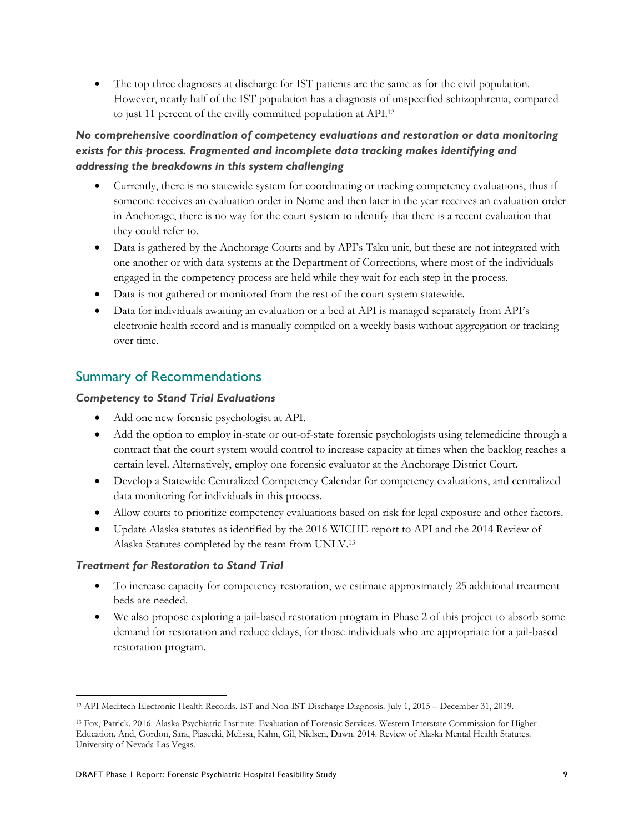The top three diagnoses at discharge for IST patients are the same as for the civil population. However, nearly half of the IST population has a diagnosis of unspecified schizophrenia, compared to just 11 percent of the civilly committed population at API.12

#### *No comprehensive coordination of competency evaluations and restoration or data monitoring exists for this process. Fragmented and incomplete data tracking makes identifying and addressing the breakdowns in this system challenging*

- Currently, there is no statewide system for coordinating or tracking competency evaluations, thus if someone receives an evaluation order in Nome and then later in the year receives an evaluation order in Anchorage, there is no way for the court system to identify that there is a recent evaluation that they could refer to.
- Data is gathered by the Anchorage Courts and by API's Taku unit, but these are not integrated with one another or with data systems at the Department of Corrections, where most of the individuals engaged in the competency process are held while they wait for each step in the process.
- Data is not gathered or monitored from the rest of the court system statewide.
- Data for individuals awaiting an evaluation or a bed at API is managed separately from API's electronic health record and is manually compiled on a weekly basis without aggregation or tracking over time.

#### Summary of Recommendations

#### *Competency to Stand Trial Evaluations*

- Add one new forensic psychologist at API.
- Add the option to employ in-state or out-of-state forensic psychologists using telemedicine through a contract that the court system would control to increase capacity at times when the backlog reaches a certain level. Alternatively, employ one forensic evaluator at the Anchorage District Court.
- Develop a Statewide Centralized Competency Calendar for competency evaluations, and centralized data monitoring for individuals in this process.
- Allow courts to prioritize competency evaluations based on risk for legal exposure and other factors.
- Update Alaska statutes as identified by the 2016 WICHE report to API and the 2014 Review of Alaska Statutes completed by the team from UNLV.13

#### *Treatment for Restoration to Stand Trial*

- To increase capacity for competency restoration, we estimate approximately 25 additional treatment beds are needed.
- We also propose exploring a jail-based restoration program in Phase 2 of this project to absorb some demand for restoration and reduce delays, for those individuals who are appropriate for a jail-based restoration program.

<sup>-</sup>12 API Meditech Electronic Health Records. IST and Non-IST Discharge Diagnosis. July 1, 2015 – December 31, 2019.

<sup>13</sup> Fox, Patrick. 2016. Alaska Psychiatric Institute: Evaluation of Forensic Services. Western Interstate Commission for Higher Education. And, Gordon, Sara, Piasecki, Melissa, Kahn, Gil, Nielsen, Dawn. 2014. Review of Alaska Mental Health Statutes. University of Nevada Las Vegas.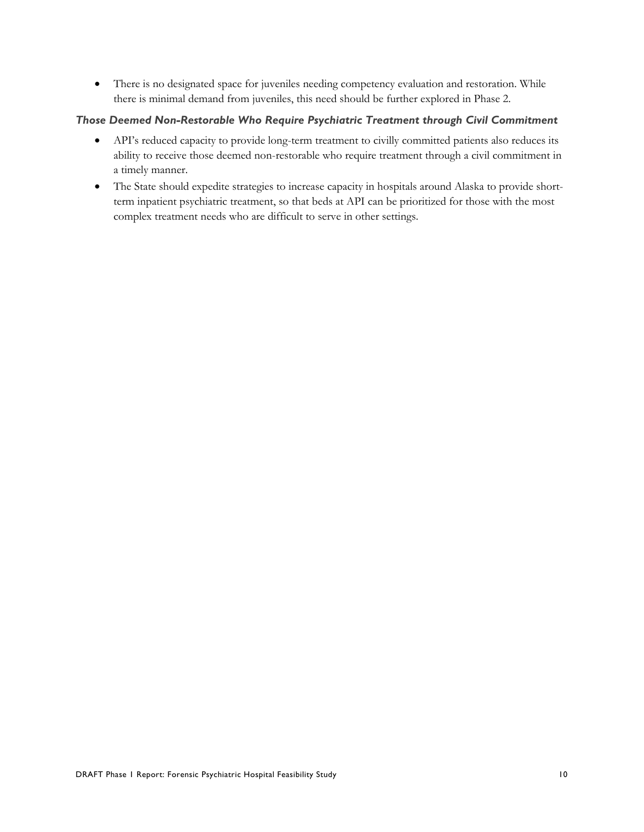There is no designated space for juveniles needing competency evaluation and restoration. While there is minimal demand from juveniles, this need should be further explored in Phase 2.

#### *Those Deemed Non-Restorable Who Require Psychiatric Treatment through Civil Commitment*

- API's reduced capacity to provide long-term treatment to civilly committed patients also reduces its ability to receive those deemed non-restorable who require treatment through a civil commitment in a timely manner.
- The State should expedite strategies to increase capacity in hospitals around Alaska to provide shortterm inpatient psychiatric treatment, so that beds at API can be prioritized for those with the most complex treatment needs who are difficult to serve in other settings.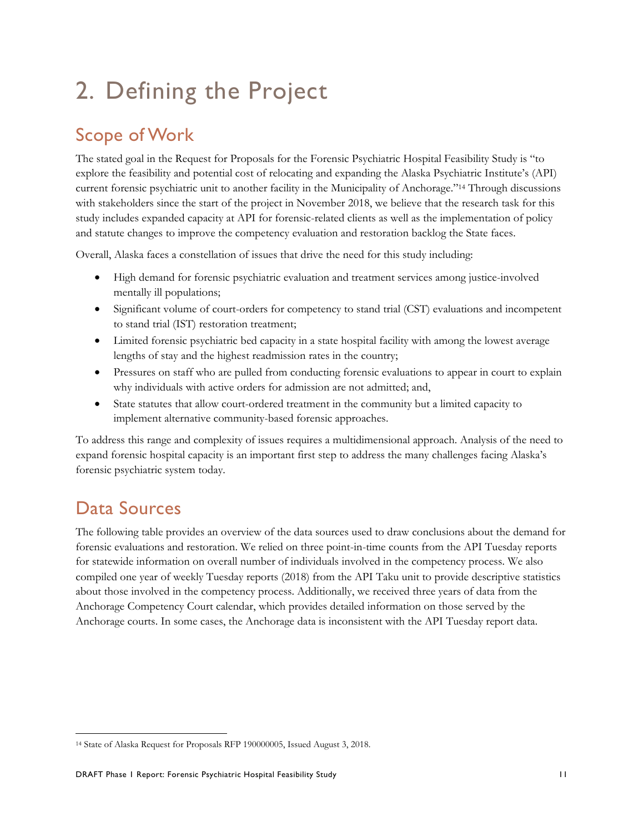# 2. Defining the Project

# Scope of Work

The stated goal in the Request for Proposals for the Forensic Psychiatric Hospital Feasibility Study is "to explore the feasibility and potential cost of relocating and expanding the Alaska Psychiatric Institute's (API) current forensic psychiatric unit to another facility in the Municipality of Anchorage."14 Through discussions with stakeholders since the start of the project in November 2018, we believe that the research task for this study includes expanded capacity at API for forensic-related clients as well as the implementation of policy and statute changes to improve the competency evaluation and restoration backlog the State faces.

Overall, Alaska faces a constellation of issues that drive the need for this study including:

- High demand for forensic psychiatric evaluation and treatment services among justice-involved mentally ill populations;
- Significant volume of court-orders for competency to stand trial (CST) evaluations and incompetent to stand trial (IST) restoration treatment;
- Limited forensic psychiatric bed capacity in a state hospital facility with among the lowest average lengths of stay and the highest readmission rates in the country;
- Pressures on staff who are pulled from conducting forensic evaluations to appear in court to explain why individuals with active orders for admission are not admitted; and,
- State statutes that allow court-ordered treatment in the community but a limited capacity to implement alternative community-based forensic approaches.

To address this range and complexity of issues requires a multidimensional approach. Analysis of the need to expand forensic hospital capacity is an important first step to address the many challenges facing Alaska's forensic psychiatric system today.

# Data Sources

The following table provides an overview of the data sources used to draw conclusions about the demand for forensic evaluations and restoration. We relied on three point-in-time counts from the API Tuesday reports for statewide information on overall number of individuals involved in the competency process. We also compiled one year of weekly Tuesday reports (2018) from the API Taku unit to provide descriptive statistics about those involved in the competency process. Additionally, we received three years of data from the Anchorage Competency Court calendar, which provides detailed information on those served by the Anchorage courts. In some cases, the Anchorage data is inconsistent with the API Tuesday report data.

 $\overline{a}$ 14 State of Alaska Request for Proposals RFP 190000005, Issued August 3, 2018.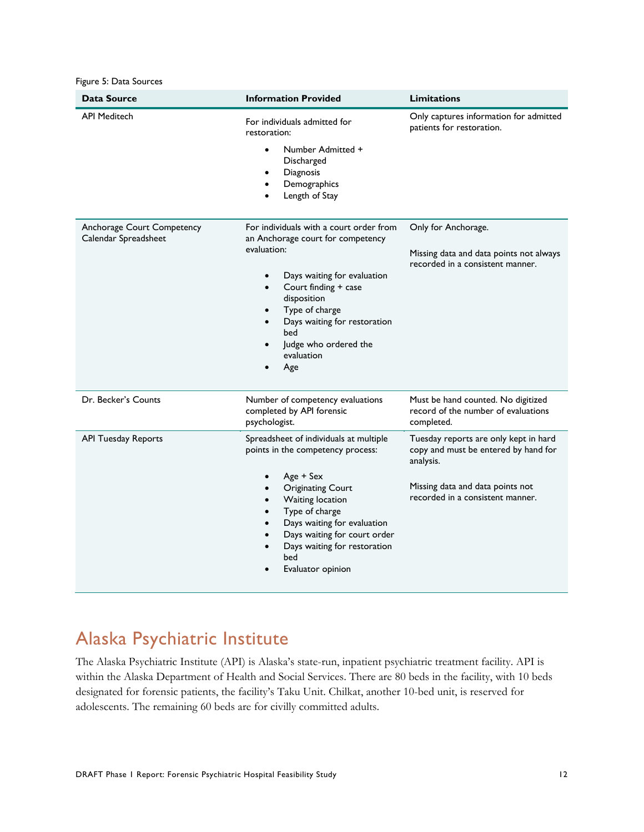Figure 5: Data Sources

| <b>Data Source</b>                                 | <b>Information Provided</b>                                                                                                                                                                                                                                                  | <b>Limitations</b>                                                                         |  |  |
|----------------------------------------------------|------------------------------------------------------------------------------------------------------------------------------------------------------------------------------------------------------------------------------------------------------------------------------|--------------------------------------------------------------------------------------------|--|--|
| <b>API Meditech</b>                                | For individuals admitted for<br>restoration:<br>Number Admitted +<br>$\bullet$                                                                                                                                                                                               | Only captures information for admitted<br>patients for restoration.                        |  |  |
|                                                    | Discharged<br>Diagnosis<br>٠<br>Demographics<br>$\bullet$<br>Length of Stay                                                                                                                                                                                                  |                                                                                            |  |  |
| Anchorage Court Competency<br>Calendar Spreadsheet | For individuals with a court order from<br>an Anchorage court for competency                                                                                                                                                                                                 | Only for Anchorage.                                                                        |  |  |
|                                                    | evaluation:                                                                                                                                                                                                                                                                  | Missing data and data points not always<br>recorded in a consistent manner.                |  |  |
|                                                    | Days waiting for evaluation<br>$\bullet$<br>Court finding + case<br>$\bullet$<br>disposition<br>Type of charge<br>Days waiting for restoration<br>$\bullet$<br>bed<br>Judge who ordered the<br>evaluation<br>Age                                                             |                                                                                            |  |  |
| Dr. Becker's Counts                                | Number of competency evaluations<br>completed by API forensic<br>psychologist.                                                                                                                                                                                               | Must be hand counted. No digitized<br>record of the number of evaluations<br>completed.    |  |  |
| <b>API Tuesday Reports</b>                         | Spreadsheet of individuals at multiple<br>points in the competency process:                                                                                                                                                                                                  | Tuesday reports are only kept in hard<br>copy and must be entered by hand for<br>analysis. |  |  |
|                                                    | Age + Sex<br><b>Originating Court</b><br>$\bullet$<br>Waiting location<br>$\bullet$<br>Type of charge<br>٠<br>Days waiting for evaluation<br>$\bullet$<br>Days waiting for court order<br>$\bullet$<br>Days waiting for restoration<br>$\bullet$<br>bed<br>Evaluator opinion | Missing data and data points not<br>recorded in a consistent manner.                       |  |  |

## Alaska Psychiatric Institute

The Alaska Psychiatric Institute (API) is Alaska's state-run, inpatient psychiatric treatment facility. API is within the Alaska Department of Health and Social Services. There are 80 beds in the facility, with 10 beds designated for forensic patients, the facility's Taku Unit. Chilkat, another 10-bed unit, is reserved for adolescents. The remaining 60 beds are for civilly committed adults.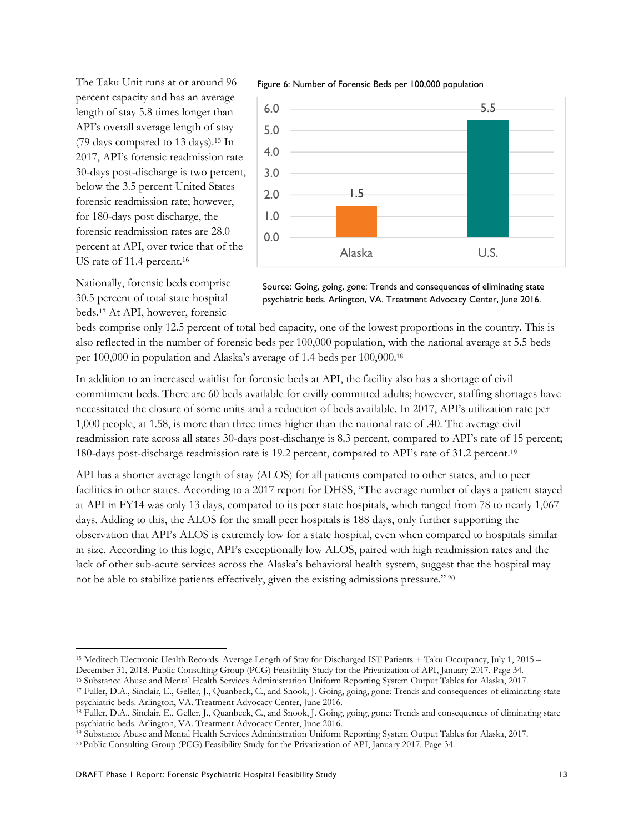The Taku Unit runs at or around 96 percent capacity and has an average length of stay 5.8 times longer than API's overall average length of stay (79 days compared to 13 days).15 In 2017, API's forensic readmission rate 30-days post-discharge is two percent, below the 3.5 percent United States forensic readmission rate; however, for 180-days post discharge, the forensic readmission rates are 28.0 percent at API, over twice that of the US rate of 11.4 percent.<sup>16</sup>

Figure 6: Number of Forensic Beds per 100,000 population



Nationally, forensic beds comprise 30.5 percent of total state hospital beds.17 At API, however, forensic

 $\overline{a}$ 



beds comprise only 12.5 percent of total bed capacity, one of the lowest proportions in the country. This is also reflected in the number of forensic beds per 100,000 population, with the national average at 5.5 beds per 100,000 in population and Alaska's average of 1.4 beds per 100,000.18

In addition to an increased waitlist for forensic beds at API, the facility also has a shortage of civil commitment beds. There are 60 beds available for civilly committed adults; however, staffing shortages have necessitated the closure of some units and a reduction of beds available. In 2017, API's utilization rate per 1,000 people, at 1.58, is more than three times higher than the national rate of .40. The average civil readmission rate across all states 30-days post-discharge is 8.3 percent, compared to API's rate of 15 percent; 180-days post-discharge readmission rate is 19.2 percent, compared to API's rate of 31.2 percent.19

API has a shorter average length of stay (ALOS) for all patients compared to other states, and to peer facilities in other states. According to a 2017 report for DHSS, "The average number of days a patient stayed at API in FY14 was only 13 days, compared to its peer state hospitals, which ranged from 78 to nearly 1,067 days. Adding to this, the ALOS for the small peer hospitals is 188 days, only further supporting the observation that API's ALOS is extremely low for a state hospital, even when compared to hospitals similar in size. According to this logic, API's exceptionally low ALOS, paired with high readmission rates and the lack of other sub-acute services across the Alaska's behavioral health system, suggest that the hospital may not be able to stabilize patients effectively, given the existing admissions pressure." 20

<sup>15</sup> Meditech Electronic Health Records. Average Length of Stay for Discharged IST Patients + Taku Occupancy, July 1, 2015 –

December 31, 2018. Public Consulting Group (PCG) Feasibility Study for the Privatization of API, January 2017. Page 34.<br><sup>16</sup> Substance Abuse and Mental Health Services Administration Uniform Reporting System Output Tables

psychiatric beds. Arlington, VA. Treatment Advocacy Center, June 2016.<br><sup>18</sup> Fuller, D.A., Sinclair, E., Geller, J., Quanbeck, C., and Snook, J. Going, going, gone: Trends and consequences of eliminating state psychiatric beds. Arlington, VA. Treatment Advocacy Center, June 2016.<br><sup>19</sup> Substance Abuse and Mental Health Services Administration Uniform Reporting System Output Tables for Alaska, 2017.

<sup>&</sup>lt;sup>20</sup> Public Consulting Group (PCG) Feasibility Study for the Privatization of API, January 2017. Page 34.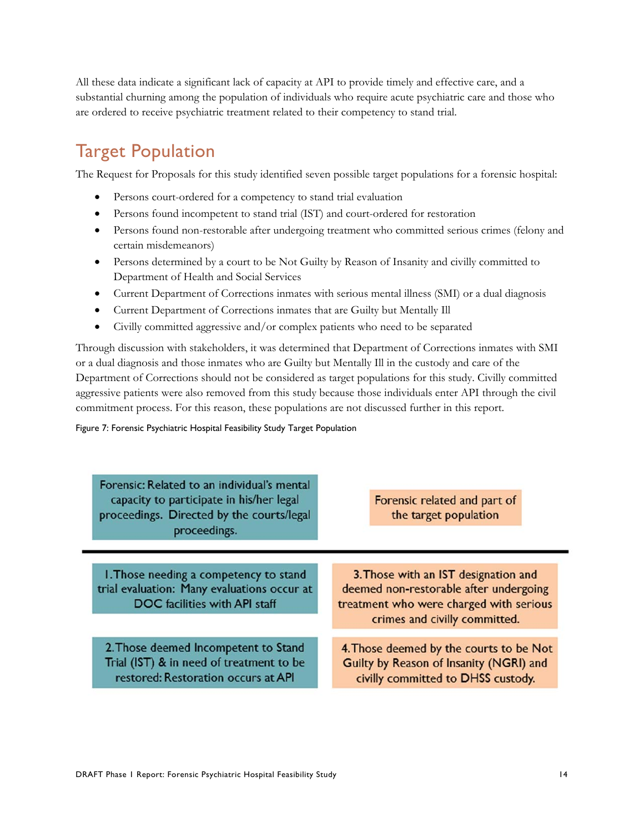All these data indicate a significant lack of capacity at API to provide timely and effective care, and a substantial churning among the population of individuals who require acute psychiatric care and those who are ordered to receive psychiatric treatment related to their competency to stand trial.

# Target Population

The Request for Proposals for this study identified seven possible target populations for a forensic hospital:

- Persons court-ordered for a competency to stand trial evaluation
- Persons found incompetent to stand trial (IST) and court-ordered for restoration
- Persons found non-restorable after undergoing treatment who committed serious crimes (felony and certain misdemeanors)
- Persons determined by a court to be Not Guilty by Reason of Insanity and civilly committed to Department of Health and Social Services
- Current Department of Corrections inmates with serious mental illness (SMI) or a dual diagnosis
- Current Department of Corrections inmates that are Guilty but Mentally Ill
- Civilly committed aggressive and/or complex patients who need to be separated

Through discussion with stakeholders, it was determined that Department of Corrections inmates with SMI or a dual diagnosis and those inmates who are Guilty but Mentally Ill in the custody and care of the Department of Corrections should not be considered as target populations for this study. Civilly committed aggressive patients were also removed from this study because those individuals enter API through the civil commitment process. For this reason, these populations are not discussed further in this report.

Figure 7: Forensic Psychiatric Hospital Feasibility Study Target Population

| Forensic: Related to an individual's mental<br>capacity to participate in his/her legal<br>proceedings. Directed by the courts/legal<br>proceedings. | Forensic related and part of<br>the target population                                                                                                      |
|------------------------------------------------------------------------------------------------------------------------------------------------------|------------------------------------------------------------------------------------------------------------------------------------------------------------|
| 1. Those needing a competency to stand<br>trial evaluation: Many evaluations occur at<br>DOC facilities with API staff                               | 3. Those with an IST designation and<br>deemed non-restorable after undergoing<br>treatment who were charged with serious<br>crimes and civilly committed. |
| 2. Those deemed Incompetent to Stand<br>Trial (IST) & in need of treatment to be<br>restored: Restoration occurs at API                              | 4. Those deemed by the courts to be Not<br>Guilty by Reason of Insanity (NGRI) and<br>civilly committed to DHSS custody.                                   |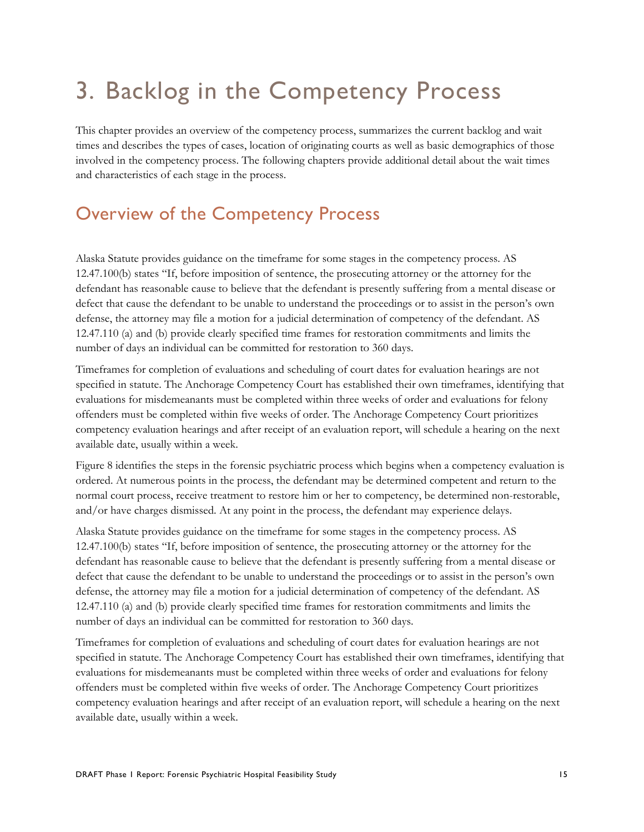# 3. Backlog in the Competency Process

This chapter provides an overview of the competency process, summarizes the current backlog and wait times and describes the types of cases, location of originating courts as well as basic demographics of those involved in the competency process. The following chapters provide additional detail about the wait times and characteristics of each stage in the process.

## Overview of the Competency Process

Alaska Statute provides guidance on the timeframe for some stages in the competency process. AS 12.47.100(b) states "If, before imposition of sentence, the prosecuting attorney or the attorney for the defendant has reasonable cause to believe that the defendant is presently suffering from a mental disease or defect that cause the defendant to be unable to understand the proceedings or to assist in the person's own defense, the attorney may file a motion for a judicial determination of competency of the defendant. AS 12.47.110 (a) and (b) provide clearly specified time frames for restoration commitments and limits the number of days an individual can be committed for restoration to 360 days.

Timeframes for completion of evaluations and scheduling of court dates for evaluation hearings are not specified in statute. The Anchorage Competency Court has established their own timeframes, identifying that evaluations for misdemeanants must be completed within three weeks of order and evaluations for felony offenders must be completed within five weeks of order. The Anchorage Competency Court prioritizes competency evaluation hearings and after receipt of an evaluation report, will schedule a hearing on the next available date, usually within a week.

Figure 8 identifies the steps in the forensic psychiatric process which begins when a competency evaluation is ordered. At numerous points in the process, the defendant may be determined competent and return to the normal court process, receive treatment to restore him or her to competency, be determined non-restorable, and/or have charges dismissed. At any point in the process, the defendant may experience delays.

Alaska Statute provides guidance on the timeframe for some stages in the competency process. AS 12.47.100(b) states "If, before imposition of sentence, the prosecuting attorney or the attorney for the defendant has reasonable cause to believe that the defendant is presently suffering from a mental disease or defect that cause the defendant to be unable to understand the proceedings or to assist in the person's own defense, the attorney may file a motion for a judicial determination of competency of the defendant. AS 12.47.110 (a) and (b) provide clearly specified time frames for restoration commitments and limits the number of days an individual can be committed for restoration to 360 days.

Timeframes for completion of evaluations and scheduling of court dates for evaluation hearings are not specified in statute. The Anchorage Competency Court has established their own timeframes, identifying that evaluations for misdemeanants must be completed within three weeks of order and evaluations for felony offenders must be completed within five weeks of order. The Anchorage Competency Court prioritizes competency evaluation hearings and after receipt of an evaluation report, will schedule a hearing on the next available date, usually within a week.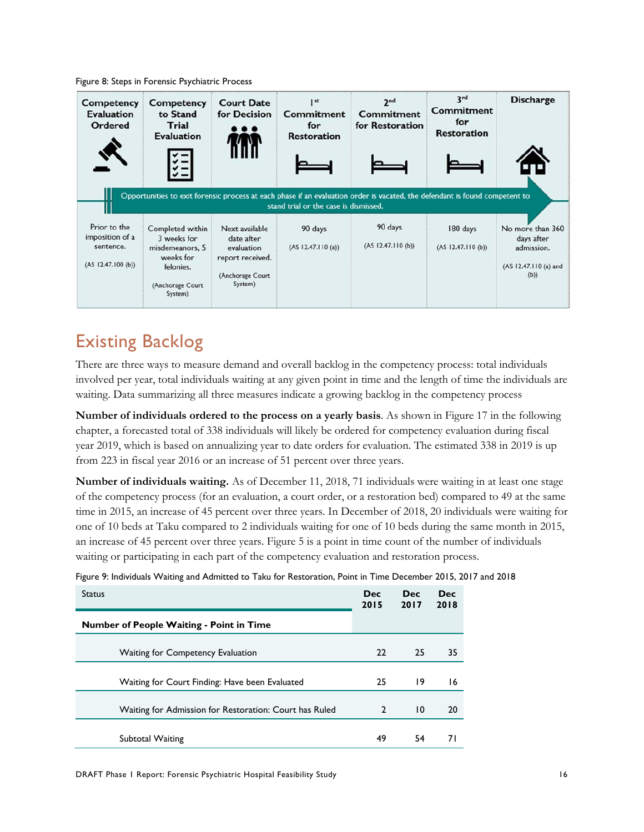| Competency<br><b>Evaluation</b><br>Ordered                        | <b>Competency</b><br>to Stand<br>Trial<br><b>Evaluation</b><br>$\zeta =$                                    | <b>Court Date</b><br>for Decision                                                             | st<br>Commitment<br>for<br><b>Restoration</b>                          | 2 <sub>nd</sub><br>Commitment<br>for Restoration                                                                                                            | 3 <sup>rd</sup><br>Commitment<br>for<br><b>Restoration</b> | <b>Discharge</b>                                                              |
|-------------------------------------------------------------------|-------------------------------------------------------------------------------------------------------------|-----------------------------------------------------------------------------------------------|------------------------------------------------------------------------|-------------------------------------------------------------------------------------------------------------------------------------------------------------|------------------------------------------------------------|-------------------------------------------------------------------------------|
| Prior to the<br>imposition of a<br>sentence.<br>(AS 12.47.100(b)) | Completed within<br>3 weeks for<br>misdemeanors, 5<br>weeks for<br>felonies.<br>(Anchorage Court<br>System) | Next available<br>date after<br>evaluation<br>report received.<br>(Anchorage Court<br>System) | stand trial or the case is dismissed.<br>90 days<br>(AS 12.47.110 (a)) | Opportunities to exit forensic process at each phase if an evaluation order is vacated, the defendant is found competent to<br>90 days<br>(AS 12.47.110(b)) | 180 days<br>(AS 12.47.110(b))                              | No more than 360<br>days after<br>admission.<br>(AS 12.47.110 (a) and<br>(b)) |

Figure 8: Steps in Forensic Psychiatric Process

# Existing Backlog

There are three ways to measure demand and overall backlog in the competency process: total individuals involved per year, total individuals waiting at any given point in time and the length of time the individuals are waiting. Data summarizing all three measures indicate a growing backlog in the competency process

**Number of individuals ordered to the process on a yearly basis**. As shown in Figure 17 in the following chapter, a forecasted total of 338 individuals will likely be ordered for competency evaluation during fiscal year 2019, which is based on annualizing year to date orders for evaluation. The estimated 338 in 2019 is up from 223 in fiscal year 2016 or an increase of 51 percent over three years.

**Number of individuals waiting.** As of December 11, 2018, 71 individuals were waiting in at least one stage of the competency process (for an evaluation, a court order, or a restoration bed) compared to 49 at the same time in 2015, an increase of 45 percent over three years. In December of 2018, 20 individuals were waiting for one of 10 beds at Taku compared to 2 individuals waiting for one of 10 beds during the same month in 2015, an increase of 45 percent over three years. Figure 5 is a point in time count of the number of individuals waiting or participating in each part of the competency evaluation and restoration process.

|  | Figure 9: Individuals Waiting and Admitted to Taku for Restoration, Point in Time December 2015, 2017 and 2018 |  |  |  |
|--|----------------------------------------------------------------------------------------------------------------|--|--|--|
|--|----------------------------------------------------------------------------------------------------------------|--|--|--|

| <b>Status</b>                                          | <b>Dec</b><br>2015 | <b>Dec</b><br>2017 | <b>Dec</b><br>2018 |
|--------------------------------------------------------|--------------------|--------------------|--------------------|
| <b>Number of People Waiting - Point in Time</b>        |                    |                    |                    |
| <b>Waiting for Competency Evaluation</b>               | 22                 | 25                 | 35                 |
| Waiting for Court Finding: Have been Evaluated         | 25                 | 19                 | 16                 |
| Waiting for Admission for Restoration: Court has Ruled | 2                  | $\overline{10}$    | 20                 |
| Subtotal Waiting                                       | 49                 | 54                 | 7 I                |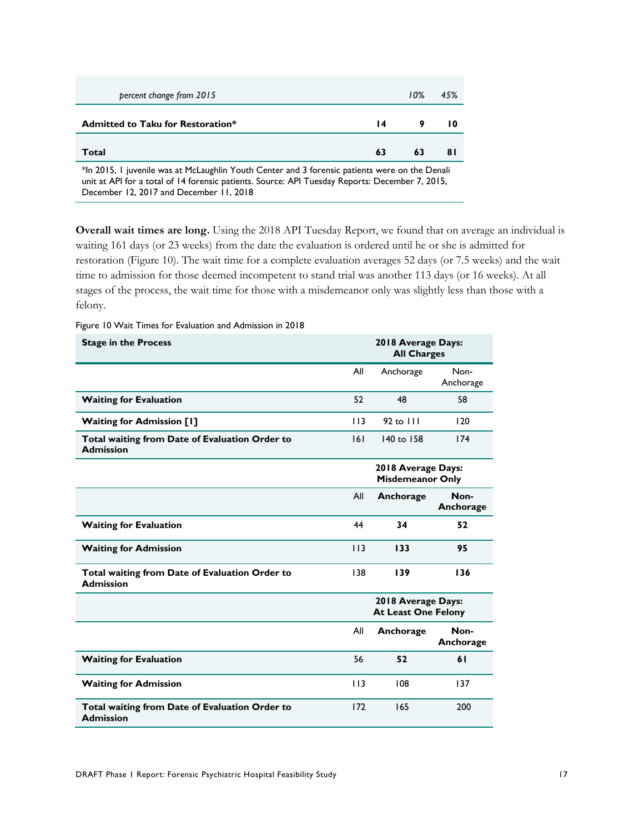| bercent change from 2015                                                                                                                                                                                                                                 |    | 10% | 45% |  |
|----------------------------------------------------------------------------------------------------------------------------------------------------------------------------------------------------------------------------------------------------------|----|-----|-----|--|
| <b>Admitted to Taku for Restoration*</b>                                                                                                                                                                                                                 | 14 | 9   |     |  |
| Total                                                                                                                                                                                                                                                    | 63 | 63  | 81  |  |
| <sup>*</sup> In 2015, I juvenile was at McLaughlin Youth Center and 3 forensic patients were on the Denali<br>unit at API for a total of 14 forensic patients. Source: API Tuesday Reports: December 7, 2015,<br>December 12, 2017 and December 11, 2018 |    |     |     |  |

**Overall wait times are long.** Using the 2018 API Tuesday Report, we found that on average an individual is waiting 161 days (or 23 weeks) from the date the evaluation is ordered until he or she is admitted for restoration (Figure 10). The wait time for a complete evaluation averages 52 days (or 7.5 weeks) and the wait time to admission for those deemed incompetent to stand trial was another 113 days (or 16 weeks). At all stages of the process, the wait time for those with a misdemeanor only was slightly less than those with a felony.

Figure 10 Wait Times for Evaluation and Admission in 2018

| <b>Stage in the Process</b>                                        |     | 2018 Average Days:<br><b>All Charges</b>         |                   |  |
|--------------------------------------------------------------------|-----|--------------------------------------------------|-------------------|--|
|                                                                    | All | Anchorage                                        | Non-<br>Anchorage |  |
| <b>Waiting for Evaluation</b>                                      | 52  | 48                                               | 58                |  |
| <b>Waiting for Admission [1]</b>                                   | 113 | $92$ to $111$                                    | 120               |  |
| Total waiting from Date of Evaluation Order to<br><b>Admission</b> | 6   | 140 to 158                                       | 174               |  |
|                                                                    |     | 2018 Average Days:<br><b>Misdemeanor Only</b>    |                   |  |
|                                                                    | All | Anchorage                                        | Non-<br>Anchorage |  |
| <b>Waiting for Evaluation</b>                                      | 44  | 34                                               | 52                |  |
| <b>Waiting for Admission</b>                                       | 113 | 133                                              | 95                |  |
| Total waiting from Date of Evaluation Order to<br><b>Admission</b> | 138 | 139                                              | 136               |  |
|                                                                    |     | 2018 Average Days:<br><b>At Least One Felony</b> |                   |  |
|                                                                    | All | Anchorage                                        | Non-<br>Anchorage |  |
| <b>Waiting for Evaluation</b>                                      | 56  | 52                                               | 61                |  |
| <b>Waiting for Admission</b>                                       | 113 | 108                                              | 137               |  |
| Total waiting from Date of Evaluation Order to<br><b>Admission</b> | 172 | 165                                              | 200               |  |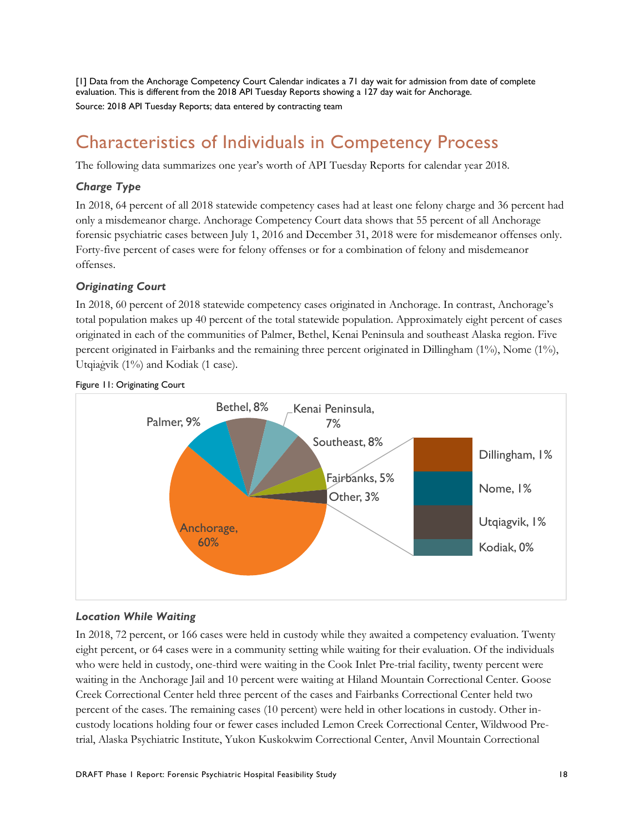[1] Data from the Anchorage Competency Court Calendar indicates a 71 day wait for admission from date of complete evaluation. This is different from the 2018 API Tuesday Reports showing a 127 day wait for Anchorage. Source: 2018 API Tuesday Reports; data entered by contracting team

# Characteristics of Individuals in Competency Process

The following data summarizes one year's worth of API Tuesday Reports for calendar year 2018.

#### *Charge Type*

In 2018, 64 percent of all 2018 statewide competency cases had at least one felony charge and 36 percent had only a misdemeanor charge. Anchorage Competency Court data shows that 55 percent of all Anchorage forensic psychiatric cases between July 1, 2016 and December 31, 2018 were for misdemeanor offenses only. Forty-five percent of cases were for felony offenses or for a combination of felony and misdemeanor offenses.

#### *Originating Court*

In 2018, 60 percent of 2018 statewide competency cases originated in Anchorage. In contrast, Anchorage's total population makes up 40 percent of the total statewide population. Approximately eight percent of cases originated in each of the communities of Palmer, Bethel, Kenai Peninsula and southeast Alaska region. Five percent originated in Fairbanks and the remaining three percent originated in Dillingham (1%), Nome (1%), Utqiaġvik (1%) and Kodiak (1 case).





#### *Location While Waiting*

In 2018, 72 percent, or 166 cases were held in custody while they awaited a competency evaluation. Twenty eight percent, or 64 cases were in a community setting while waiting for their evaluation. Of the individuals who were held in custody, one-third were waiting in the Cook Inlet Pre-trial facility, twenty percent were waiting in the Anchorage Jail and 10 percent were waiting at Hiland Mountain Correctional Center. Goose Creek Correctional Center held three percent of the cases and Fairbanks Correctional Center held two percent of the cases. The remaining cases (10 percent) were held in other locations in custody. Other incustody locations holding four or fewer cases included Lemon Creek Correctional Center, Wildwood Pretrial, Alaska Psychiatric Institute, Yukon Kuskokwim Correctional Center, Anvil Mountain Correctional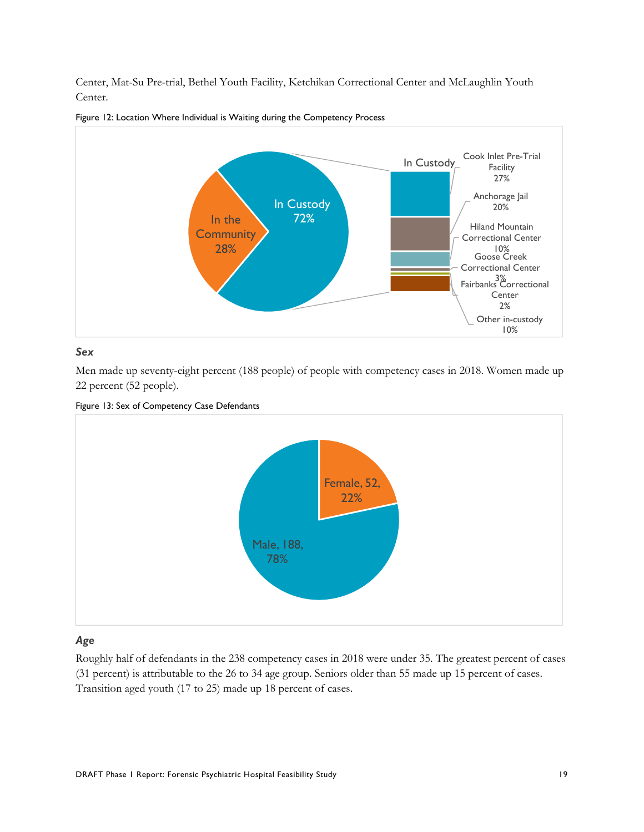Center, Mat-Su Pre-trial, Bethel Youth Facility, Ketchikan Correctional Center and McLaughlin Youth Center.



#### Figure 12: Location Where Individual is Waiting during the Competency Process

#### *Sex*

Men made up seventy-eight percent (188 people) of people with competency cases in 2018. Women made up 22 percent (52 people).





#### *Age*

Roughly half of defendants in the 238 competency cases in 2018 were under 35. The greatest percent of cases (31 percent) is attributable to the 26 to 34 age group. Seniors older than 55 made up 15 percent of cases. Transition aged youth (17 to 25) made up 18 percent of cases.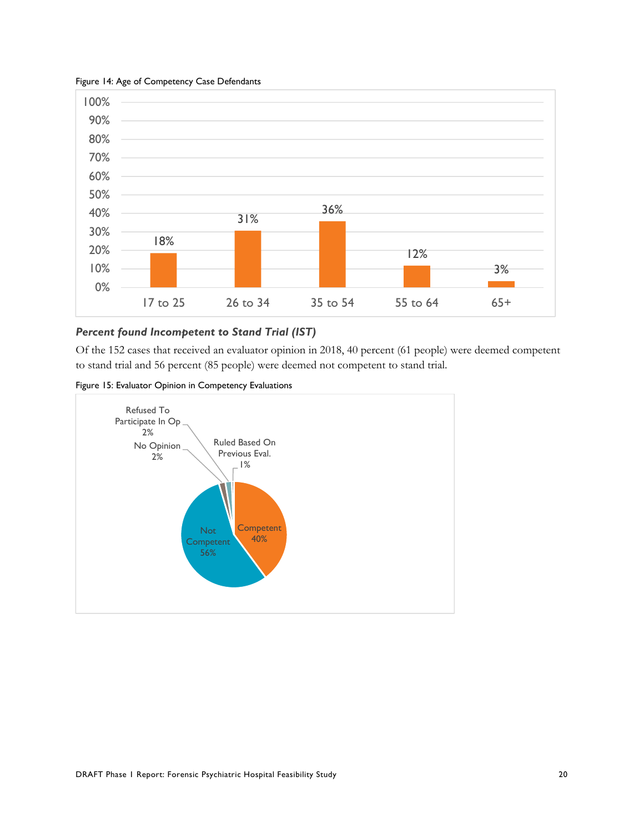



#### *Percent found Incompetent to Stand Trial (IST)*

Of the 152 cases that received an evaluator opinion in 2018, 40 percent (61 people) were deemed competent to stand trial and 56 percent (85 people) were deemed not competent to stand trial.



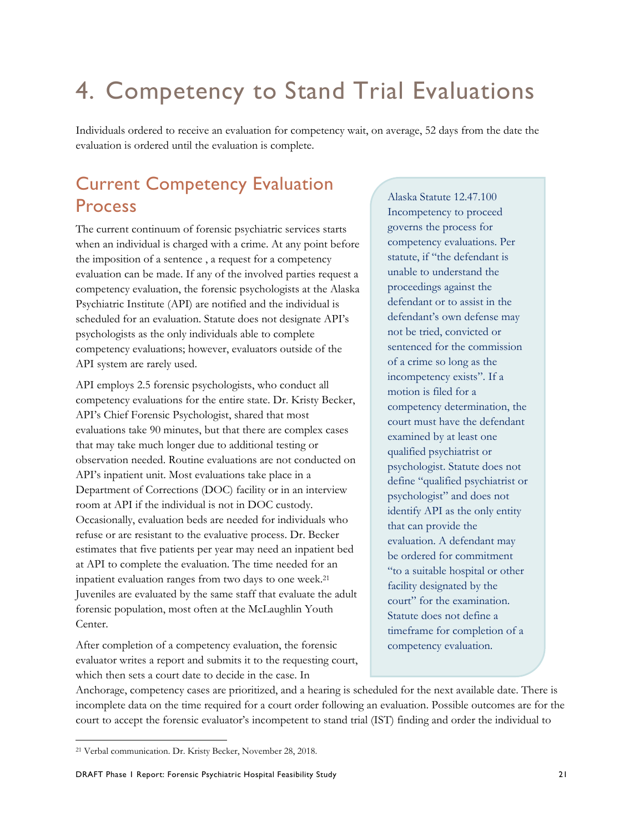# 4. Competency to Stand Trial Evaluations

Individuals ordered to receive an evaluation for competency wait, on average, 52 days from the date the evaluation is ordered until the evaluation is complete.

# Current Competency Evaluation Process

The current continuum of forensic psychiatric services starts when an individual is charged with a crime. At any point before the imposition of a sentence , a request for a competency evaluation can be made. If any of the involved parties request a competency evaluation, the forensic psychologists at the Alaska Psychiatric Institute (API) are notified and the individual is scheduled for an evaluation. Statute does not designate API's psychologists as the only individuals able to complete competency evaluations; however, evaluators outside of the API system are rarely used.

API employs 2.5 forensic psychologists, who conduct all competency evaluations for the entire state. Dr. Kristy Becker, API's Chief Forensic Psychologist, shared that most evaluations take 90 minutes, but that there are complex cases that may take much longer due to additional testing or observation needed. Routine evaluations are not conducted on API's inpatient unit. Most evaluations take place in a Department of Corrections (DOC) facility or in an interview room at API if the individual is not in DOC custody. Occasionally, evaluation beds are needed for individuals who refuse or are resistant to the evaluative process. Dr. Becker estimates that five patients per year may need an inpatient bed at API to complete the evaluation. The time needed for an inpatient evaluation ranges from two days to one week.21 Juveniles are evaluated by the same staff that evaluate the adult forensic population, most often at the McLaughlin Youth Center.

After completion of a competency evaluation, the forensic evaluator writes a report and submits it to the requesting court, which then sets a court date to decide in the case. In

Alaska Statute 12.47.100 Incompetency to proceed governs the process for competency evaluations. Per statute, if "the defendant is unable to understand the proceedings against the defendant or to assist in the defendant's own defense may not be tried, convicted or sentenced for the commission of a crime so long as the incompetency exists". If a motion is filed for a competency determination, the court must have the defendant examined by at least one qualified psychiatrist or psychologist. Statute does not define "qualified psychiatrist or psychologist" and does not identify API as the only entity that can provide the evaluation. A defendant may be ordered for commitment "to a suitable hospital or other facility designated by the court" for the examination. Statute does not define a timeframe for completion of a competency evaluation.

Anchorage, competency cases are prioritized, and a hearing is scheduled for the next available date. There is incomplete data on the time required for a court order following an evaluation. Possible outcomes are for the court to accept the forensic evaluator's incompetent to stand trial (IST) finding and order the individual to

 $\overline{a}$ 21 Verbal communication. Dr. Kristy Becker, November 28, 2018.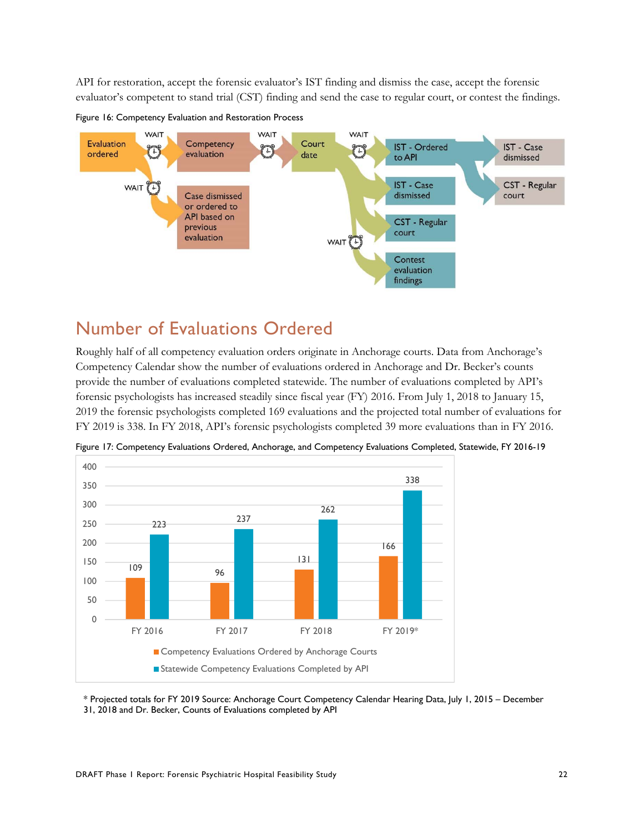API for restoration, accept the forensic evaluator's IST finding and dismiss the case, accept the forensic evaluator's competent to stand trial (CST) finding and send the case to regular court, or contest the findings.



Figure 16: Competency Evaluation and Restoration Process

## Number of Evaluations Ordered

Roughly half of all competency evaluation orders originate in Anchorage courts. Data from Anchorage's Competency Calendar show the number of evaluations ordered in Anchorage and Dr. Becker's counts provide the number of evaluations completed statewide. The number of evaluations completed by API's forensic psychologists has increased steadily since fiscal year (FY) 2016. From July 1, 2018 to January 15, 2019 the forensic psychologists completed 169 evaluations and the projected total number of evaluations for FY 2019 is 338. In FY 2018, API's forensic psychologists completed 39 more evaluations than in FY 2016.



Figure 17: Competency Evaluations Ordered, Anchorage, and Competency Evaluations Completed, Statewide, FY 2016-19

\* Projected totals for FY 2019 Source: Anchorage Court Competency Calendar Hearing Data, July 1, 2015 – December 31, 2018 and Dr. Becker, Counts of Evaluations completed by API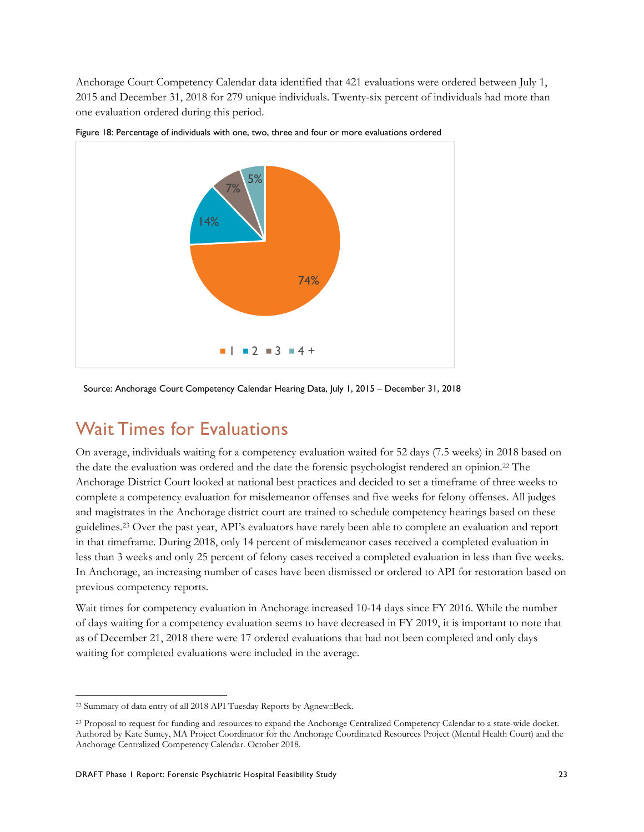Anchorage Court Competency Calendar data identified that 421 evaluations were ordered between July 1, 2015 and December 31, 2018 for 279 unique individuals. Twenty-six percent of individuals had more than one evaluation ordered during this period.



Figure 18: Percentage of individuals with one, two, three and four or more evaluations ordered

Source: Anchorage Court Competency Calendar Hearing Data, July 1, 2015 – December 31, 2018

### Wait Times for Evaluations

On average, individuals waiting for a competency evaluation waited for 52 days (7.5 weeks) in 2018 based on the date the evaluation was ordered and the date the forensic psychologist rendered an opinion.22 The Anchorage District Court looked at national best practices and decided to set a timeframe of three weeks to complete a competency evaluation for misdemeanor offenses and five weeks for felony offenses. All judges and magistrates in the Anchorage district court are trained to schedule competency hearings based on these guidelines.23 Over the past year, API's evaluators have rarely been able to complete an evaluation and report in that timeframe. During 2018, only 14 percent of misdemeanor cases received a completed evaluation in less than 3 weeks and only 25 percent of felony cases received a completed evaluation in less than five weeks. In Anchorage, an increasing number of cases have been dismissed or ordered to API for restoration based on previous competency reports.

Wait times for competency evaluation in Anchorage increased 10-14 days since FY 2016. While the number of days waiting for a competency evaluation seems to have decreased in FY 2019, it is important to note that as of December 21, 2018 there were 17 ordered evaluations that had not been completed and only days waiting for completed evaluations were included in the average.

 $\overline{a}$ 

<sup>22</sup> Summary of data entry of all 2018 API Tuesday Reports by Agnew::Beck.

<sup>23</sup> Proposal to request for funding and resources to expand the Anchorage Centralized Competency Calendar to a state-wide docket. Authored by Kate Sumey, MA Project Coordinator for the Anchorage Coordinated Resources Project (Mental Health Court) and the Anchorage Centralized Competency Calendar. October 2018.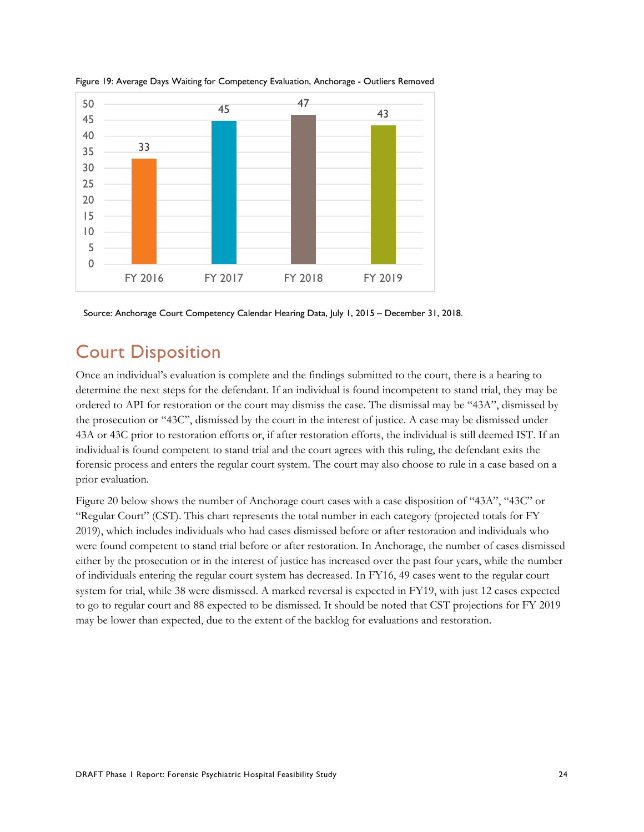

Figure 19: Average Days Waiting for Competency Evaluation, Anchorage - Outliers Removed

### Court Disposition

Once an individual's evaluation is complete and the findings submitted to the court, there is a hearing to determine the next steps for the defendant. If an individual is found incompetent to stand trial, they may be ordered to API for restoration or the court may dismiss the case. The dismissal may be "43A", dismissed by the prosecution or "43C", dismissed by the court in the interest of justice. A case may be dismissed under 43A or 43C prior to restoration efforts or, if after restoration efforts, the individual is still deemed IST. If an individual is found competent to stand trial and the court agrees with this ruling, the defendant exits the forensic process and enters the regular court system. The court may also choose to rule in a case based on a prior evaluation.

Figure 20 below shows the number of Anchorage court cases with a case disposition of "43A", "43C" or "Regular Court" (CST). This chart represents the total number in each category (projected totals for FY 2019), which includes individuals who had cases dismissed before or after restoration and individuals who were found competent to stand trial before or after restoration. In Anchorage, the number of cases dismissed either by the prosecution or in the interest of justice has increased over the past four years, while the number of individuals entering the regular court system has decreased. In FY16, 49 cases went to the regular court system for trial, while 38 were dismissed. A marked reversal is expected in FY19, with just 12 cases expected to go to regular court and 88 expected to be dismissed. It should be noted that CST projections for FY 2019 may be lower than expected, due to the extent of the backlog for evaluations and restoration.

Source: Anchorage Court Competency Calendar Hearing Data, July 1, 2015 – December 31, 2018.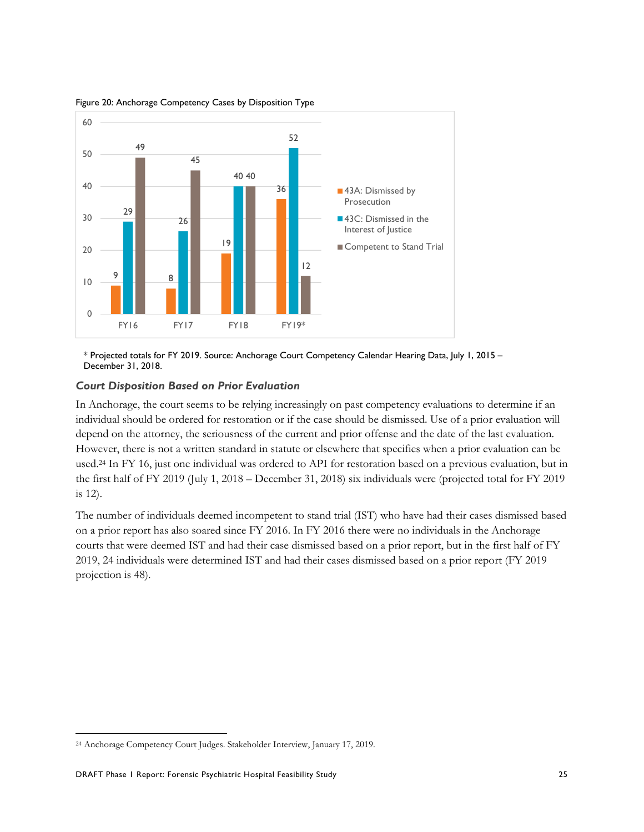

Figure 20: Anchorage Competency Cases by Disposition Type

\* Projected totals for FY 2019. Source: Anchorage Court Competency Calendar Hearing Data, July 1, 2015 – December 31, 2018.

#### *Court Disposition Based on Prior Evaluation*

In Anchorage, the court seems to be relying increasingly on past competency evaluations to determine if an individual should be ordered for restoration or if the case should be dismissed. Use of a prior evaluation will depend on the attorney, the seriousness of the current and prior offense and the date of the last evaluation. However, there is not a written standard in statute or elsewhere that specifies when a prior evaluation can be used.24 In FY 16, just one individual was ordered to API for restoration based on a previous evaluation, but in the first half of FY 2019 (July 1, 2018 – December 31, 2018) six individuals were (projected total for FY 2019 is 12).

The number of individuals deemed incompetent to stand trial (IST) who have had their cases dismissed based on a prior report has also soared since FY 2016. In FY 2016 there were no individuals in the Anchorage courts that were deemed IST and had their case dismissed based on a prior report, but in the first half of FY 2019, 24 individuals were determined IST and had their cases dismissed based on a prior report (FY 2019 projection is 48).

 $\ddot{\phantom{a}}$ 

<sup>24</sup> Anchorage Competency Court Judges. Stakeholder Interview, January 17, 2019.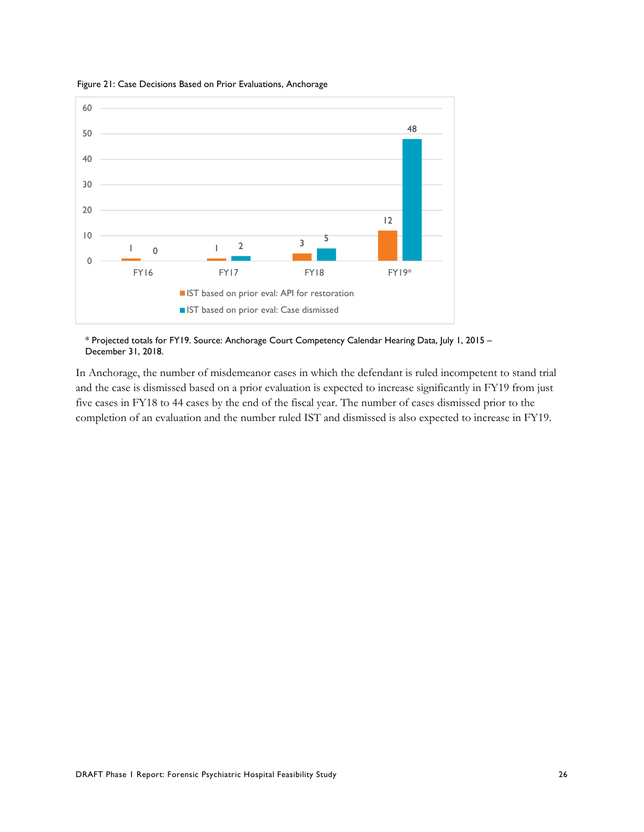

Figure 21: Case Decisions Based on Prior Evaluations, Anchorage



In Anchorage, the number of misdemeanor cases in which the defendant is ruled incompetent to stand trial and the case is dismissed based on a prior evaluation is expected to increase significantly in FY19 from just five cases in FY18 to 44 cases by the end of the fiscal year. The number of cases dismissed prior to the completion of an evaluation and the number ruled IST and dismissed is also expected to increase in FY19.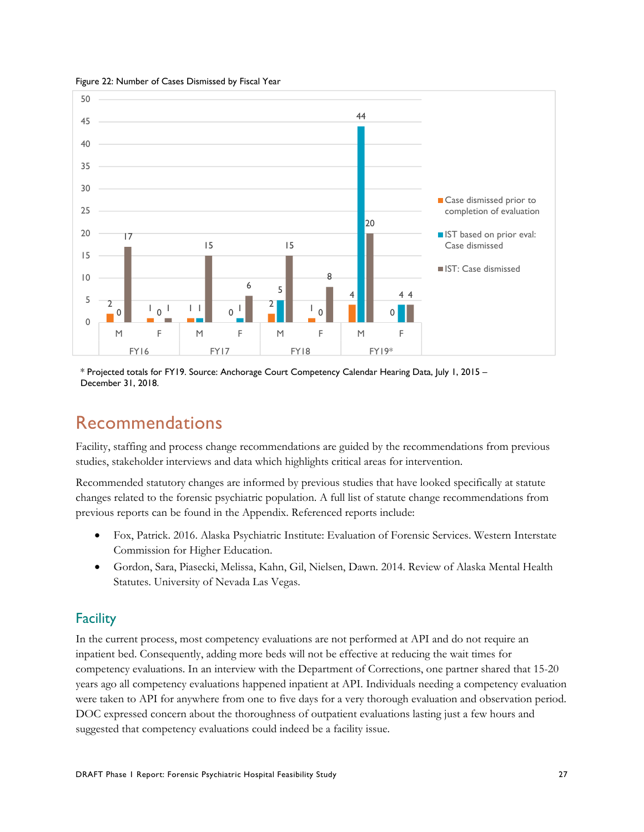

Figure 22: Number of Cases Dismissed by Fiscal Year

\* Projected totals for FY19. Source: Anchorage Court Competency Calendar Hearing Data, July 1, 2015 – December 31, 2018.

### Recommendations

Facility, staffing and process change recommendations are guided by the recommendations from previous studies, stakeholder interviews and data which highlights critical areas for intervention.

Recommended statutory changes are informed by previous studies that have looked specifically at statute changes related to the forensic psychiatric population. A full list of statute change recommendations from previous reports can be found in the Appendix. Referenced reports include:

- Fox, Patrick. 2016. Alaska Psychiatric Institute: Evaluation of Forensic Services. Western Interstate Commission for Higher Education.
- Gordon, Sara, Piasecki, Melissa, Kahn, Gil, Nielsen, Dawn. 2014. Review of Alaska Mental Health Statutes. University of Nevada Las Vegas.

#### **Facility**

In the current process, most competency evaluations are not performed at API and do not require an inpatient bed. Consequently, adding more beds will not be effective at reducing the wait times for competency evaluations. In an interview with the Department of Corrections, one partner shared that 15-20 years ago all competency evaluations happened inpatient at API. Individuals needing a competency evaluation were taken to API for anywhere from one to five days for a very thorough evaluation and observation period. DOC expressed concern about the thoroughness of outpatient evaluations lasting just a few hours and suggested that competency evaluations could indeed be a facility issue.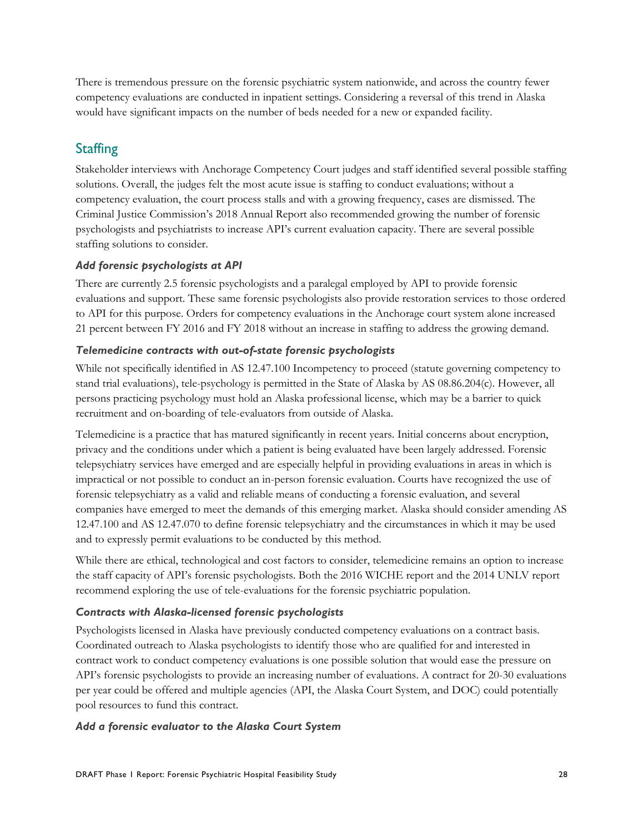There is tremendous pressure on the forensic psychiatric system nationwide, and across the country fewer competency evaluations are conducted in inpatient settings. Considering a reversal of this trend in Alaska would have significant impacts on the number of beds needed for a new or expanded facility.

### **Staffing**

Stakeholder interviews with Anchorage Competency Court judges and staff identified several possible staffing solutions. Overall, the judges felt the most acute issue is staffing to conduct evaluations; without a competency evaluation, the court process stalls and with a growing frequency, cases are dismissed. The Criminal Justice Commission's 2018 Annual Report also recommended growing the number of forensic psychologists and psychiatrists to increase API's current evaluation capacity. There are several possible staffing solutions to consider.

#### *Add forensic psychologists at API*

There are currently 2.5 forensic psychologists and a paralegal employed by API to provide forensic evaluations and support. These same forensic psychologists also provide restoration services to those ordered to API for this purpose. Orders for competency evaluations in the Anchorage court system alone increased 21 percent between FY 2016 and FY 2018 without an increase in staffing to address the growing demand.

#### *Telemedicine contracts with out-of-state forensic psychologists*

While not specifically identified in AS 12.47.100 Incompetency to proceed (statute governing competency to stand trial evaluations), tele-psychology is permitted in the State of Alaska by AS 08.86.204(c). However, all persons practicing psychology must hold an Alaska professional license, which may be a barrier to quick recruitment and on-boarding of tele-evaluators from outside of Alaska.

Telemedicine is a practice that has matured significantly in recent years. Initial concerns about encryption, privacy and the conditions under which a patient is being evaluated have been largely addressed. Forensic telepsychiatry services have emerged and are especially helpful in providing evaluations in areas in which is impractical or not possible to conduct an in-person forensic evaluation. Courts have recognized the use of forensic telepsychiatry as a valid and reliable means of conducting a forensic evaluation, and several companies have emerged to meet the demands of this emerging market. Alaska should consider amending AS 12.47.100 and AS 12.47.070 to define forensic telepsychiatry and the circumstances in which it may be used and to expressly permit evaluations to be conducted by this method.

While there are ethical, technological and cost factors to consider, telemedicine remains an option to increase the staff capacity of API's forensic psychologists. Both the 2016 WICHE report and the 2014 UNLV report recommend exploring the use of tele-evaluations for the forensic psychiatric population.

#### *Contracts with Alaska-licensed forensic psychologists*

Psychologists licensed in Alaska have previously conducted competency evaluations on a contract basis. Coordinated outreach to Alaska psychologists to identify those who are qualified for and interested in contract work to conduct competency evaluations is one possible solution that would ease the pressure on API's forensic psychologists to provide an increasing number of evaluations. A contract for 20-30 evaluations per year could be offered and multiple agencies (API, the Alaska Court System, and DOC) could potentially pool resources to fund this contract.

#### *Add a forensic evaluator to the Alaska Court System*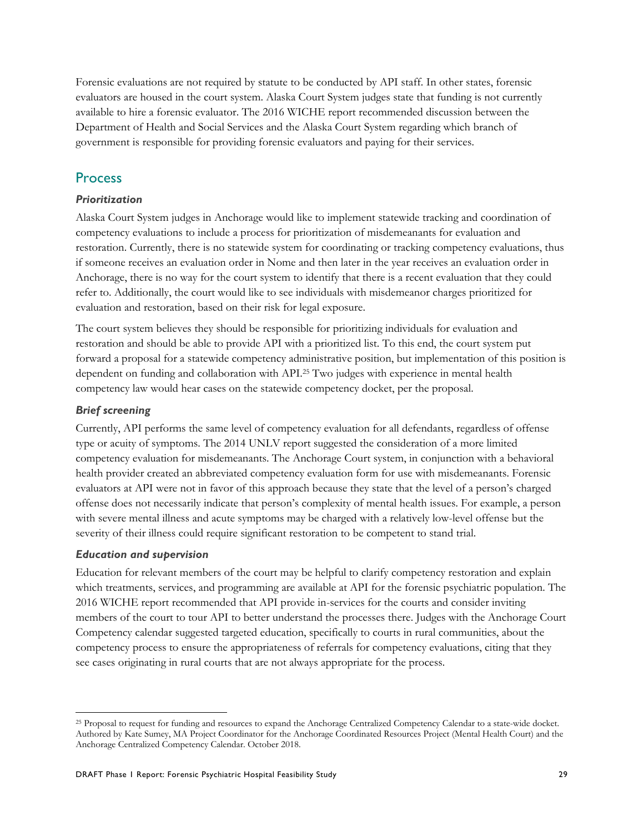Forensic evaluations are not required by statute to be conducted by API staff. In other states, forensic evaluators are housed in the court system. Alaska Court System judges state that funding is not currently available to hire a forensic evaluator. The 2016 WICHE report recommended discussion between the Department of Health and Social Services and the Alaska Court System regarding which branch of government is responsible for providing forensic evaluators and paying for their services.

#### Process

#### *Prioritization*

Alaska Court System judges in Anchorage would like to implement statewide tracking and coordination of competency evaluations to include a process for prioritization of misdemeanants for evaluation and restoration. Currently, there is no statewide system for coordinating or tracking competency evaluations, thus if someone receives an evaluation order in Nome and then later in the year receives an evaluation order in Anchorage, there is no way for the court system to identify that there is a recent evaluation that they could refer to. Additionally, the court would like to see individuals with misdemeanor charges prioritized for evaluation and restoration, based on their risk for legal exposure.

The court system believes they should be responsible for prioritizing individuals for evaluation and restoration and should be able to provide API with a prioritized list. To this end, the court system put forward a proposal for a statewide competency administrative position, but implementation of this position is dependent on funding and collaboration with API.25 Two judges with experience in mental health competency law would hear cases on the statewide competency docket, per the proposal.

#### *Brief screening*

 $\overline{a}$ 

Currently, API performs the same level of competency evaluation for all defendants, regardless of offense type or acuity of symptoms. The 2014 UNLV report suggested the consideration of a more limited competency evaluation for misdemeanants. The Anchorage Court system, in conjunction with a behavioral health provider created an abbreviated competency evaluation form for use with misdemeanants. Forensic evaluators at API were not in favor of this approach because they state that the level of a person's charged offense does not necessarily indicate that person's complexity of mental health issues. For example, a person with severe mental illness and acute symptoms may be charged with a relatively low-level offense but the severity of their illness could require significant restoration to be competent to stand trial.

#### *Education and supervision*

Education for relevant members of the court may be helpful to clarify competency restoration and explain which treatments, services, and programming are available at API for the forensic psychiatric population. The 2016 WICHE report recommended that API provide in-services for the courts and consider inviting members of the court to tour API to better understand the processes there. Judges with the Anchorage Court Competency calendar suggested targeted education, specifically to courts in rural communities, about the competency process to ensure the appropriateness of referrals for competency evaluations, citing that they see cases originating in rural courts that are not always appropriate for the process.

<sup>25</sup> Proposal to request for funding and resources to expand the Anchorage Centralized Competency Calendar to a state-wide docket. Authored by Kate Sumey, MA Project Coordinator for the Anchorage Coordinated Resources Project (Mental Health Court) and the Anchorage Centralized Competency Calendar. October 2018.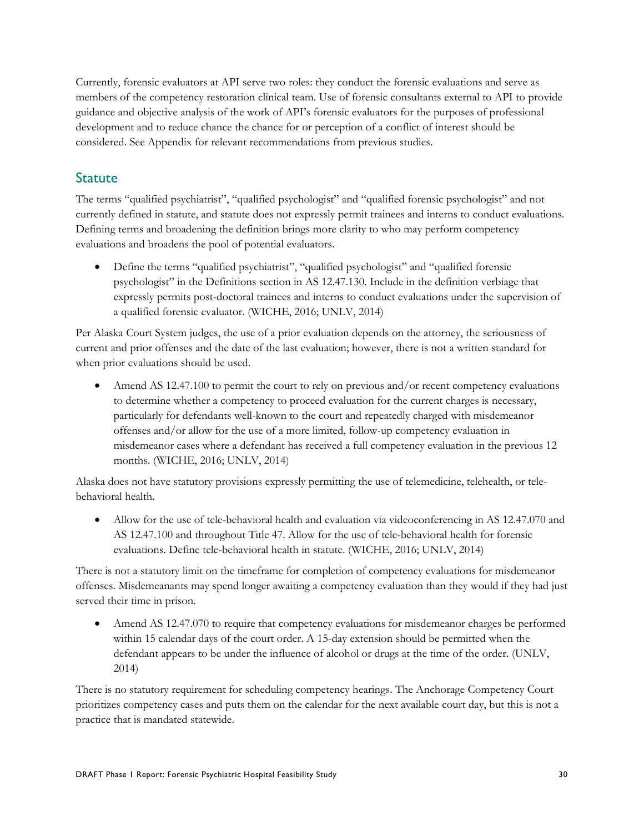Currently, forensic evaluators at API serve two roles: they conduct the forensic evaluations and serve as members of the competency restoration clinical team. Use of forensic consultants external to API to provide guidance and objective analysis of the work of API's forensic evaluators for the purposes of professional development and to reduce chance the chance for or perception of a conflict of interest should be considered. See Appendix for relevant recommendations from previous studies.

#### **Statute**

The terms "qualified psychiatrist", "qualified psychologist" and "qualified forensic psychologist" and not currently defined in statute, and statute does not expressly permit trainees and interns to conduct evaluations. Defining terms and broadening the definition brings more clarity to who may perform competency evaluations and broadens the pool of potential evaluators.

 Define the terms "qualified psychiatrist", "qualified psychologist" and "qualified forensic psychologist" in the Definitions section in AS 12.47.130. Include in the definition verbiage that expressly permits post-doctoral trainees and interns to conduct evaluations under the supervision of a qualified forensic evaluator. (WICHE, 2016; UNLV, 2014)

Per Alaska Court System judges, the use of a prior evaluation depends on the attorney, the seriousness of current and prior offenses and the date of the last evaluation; however, there is not a written standard for when prior evaluations should be used.

 Amend AS 12.47.100 to permit the court to rely on previous and/or recent competency evaluations to determine whether a competency to proceed evaluation for the current charges is necessary, particularly for defendants well-known to the court and repeatedly charged with misdemeanor offenses and/or allow for the use of a more limited, follow-up competency evaluation in misdemeanor cases where a defendant has received a full competency evaluation in the previous 12 months. (WICHE, 2016; UNLV, 2014)

Alaska does not have statutory provisions expressly permitting the use of telemedicine, telehealth, or telebehavioral health.

 Allow for the use of tele-behavioral health and evaluation via videoconferencing in AS 12.47.070 and AS 12.47.100 and throughout Title 47. Allow for the use of tele-behavioral health for forensic evaluations. Define tele-behavioral health in statute. (WICHE, 2016; UNLV, 2014)

There is not a statutory limit on the timeframe for completion of competency evaluations for misdemeanor offenses. Misdemeanants may spend longer awaiting a competency evaluation than they would if they had just served their time in prison.

 Amend AS 12.47.070 to require that competency evaluations for misdemeanor charges be performed within 15 calendar days of the court order. A 15-day extension should be permitted when the defendant appears to be under the influence of alcohol or drugs at the time of the order. (UNLV, 2014)

There is no statutory requirement for scheduling competency hearings. The Anchorage Competency Court prioritizes competency cases and puts them on the calendar for the next available court day, but this is not a practice that is mandated statewide.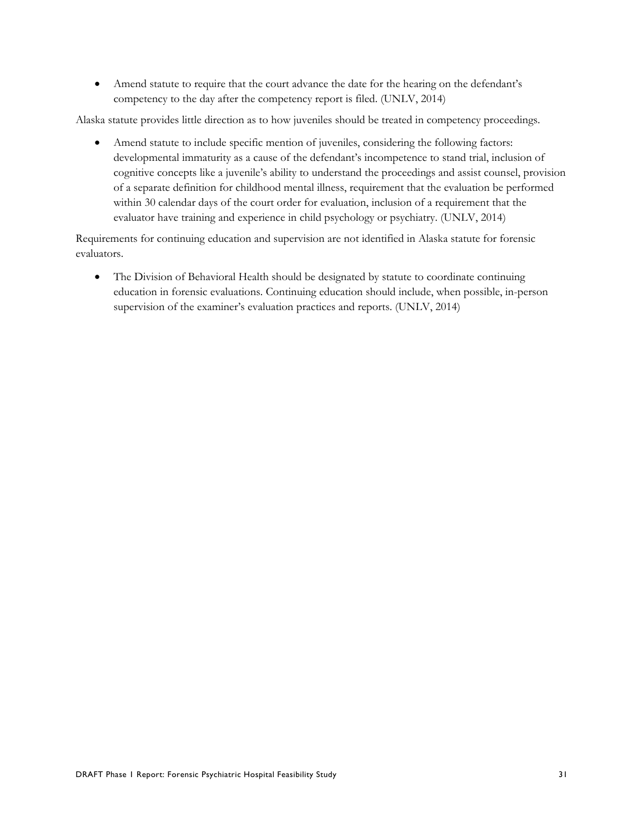Amend statute to require that the court advance the date for the hearing on the defendant's competency to the day after the competency report is filed. (UNLV, 2014)

Alaska statute provides little direction as to how juveniles should be treated in competency proceedings.

 Amend statute to include specific mention of juveniles, considering the following factors: developmental immaturity as a cause of the defendant's incompetence to stand trial, inclusion of cognitive concepts like a juvenile's ability to understand the proceedings and assist counsel, provision of a separate definition for childhood mental illness, requirement that the evaluation be performed within 30 calendar days of the court order for evaluation, inclusion of a requirement that the evaluator have training and experience in child psychology or psychiatry. (UNLV, 2014)

Requirements for continuing education and supervision are not identified in Alaska statute for forensic evaluators.

 The Division of Behavioral Health should be designated by statute to coordinate continuing education in forensic evaluations. Continuing education should include, when possible, in-person supervision of the examiner's evaluation practices and reports. (UNLV, 2014)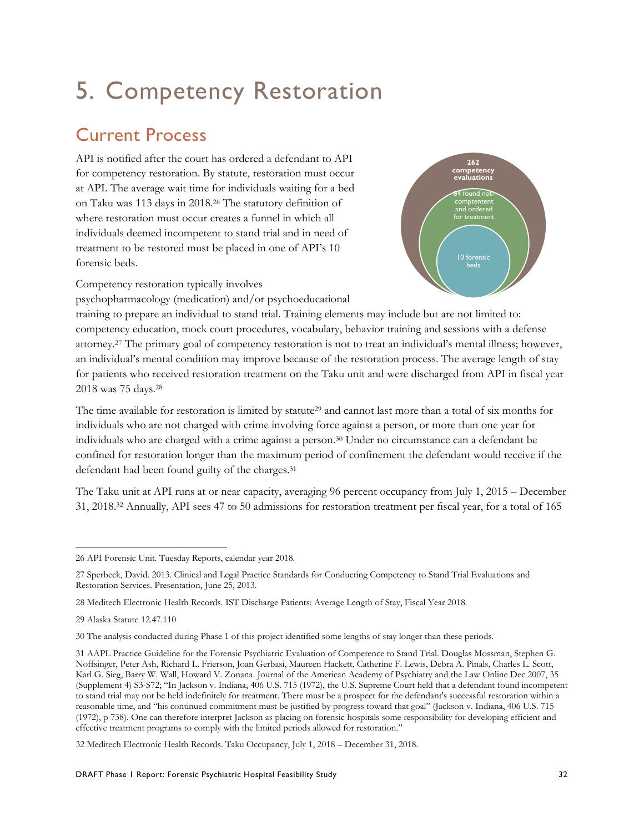# 5. Competency Restoration

## Current Process

API is notified after the court has ordered a defendant to API for competency restoration. By statute, restoration must occur at API. The average wait time for individuals waiting for a bed on Taku was 113 days in 2018.26 The statutory definition of where restoration must occur creates a funnel in which all individuals deemed incompetent to stand trial and in need of treatment to be restored must be placed in one of API's 10 forensic beds.



Competency restoration typically involves

psychopharmacology (medication) and/or psychoeducational

training to prepare an individual to stand trial. Training elements may include but are not limited to: competency education, mock court procedures, vocabulary, behavior training and sessions with a defense attorney.27 The primary goal of competency restoration is not to treat an individual's mental illness; however, an individual's mental condition may improve because of the restoration process. The average length of stay for patients who received restoration treatment on the Taku unit and were discharged from API in fiscal year 2018 was 75 days.28

The time available for restoration is limited by statute<sup>29</sup> and cannot last more than a total of six months for individuals who are not charged with crime involving force against a person, or more than one year for individuals who are charged with a crime against a person.30 Under no circumstance can a defendant be confined for restoration longer than the maximum period of confinement the defendant would receive if the defendant had been found guilty of the charges.<sup>31</sup>

The Taku unit at API runs at or near capacity, averaging 96 percent occupancy from July 1, 2015 – December 31, 2018.32 Annually, API sees 47 to 50 admissions for restoration treatment per fiscal year, for a total of 165

-

<sup>26</sup> API Forensic Unit. Tuesday Reports, calendar year 2018.

<sup>27</sup> Sperbeck, David. 2013. Clinical and Legal Practice Standards for Conducting Competency to Stand Trial Evaluations and Restoration Services. Presentation, June 25, 2013.

<sup>28</sup> Meditech Electronic Health Records. IST Discharge Patients: Average Length of Stay, Fiscal Year 2018.

<sup>29</sup> Alaska Statute 12.47.110

<sup>30</sup> The analysis conducted during Phase 1 of this project identified some lengths of stay longer than these periods.

<sup>31</sup> AAPL Practice Guideline for the Forensic Psychiatric Evaluation of Competence to Stand Trial. Douglas Mossman, Stephen G. Noffsinger, Peter Ash, Richard L. Frierson, Joan Gerbasi, Maureen Hackett, Catherine F. Lewis, Debra A. Pinals, Charles L. Scott, Karl G. Sieg, Barry W. Wall, Howard V. Zonana. Journal of the American Academy of Psychiatry and the Law Online Dec 2007, 35 (Supplement 4) S3-S72; "In Jackson v. Indiana, 406 U.S. 715 (1972), the U.S. Supreme Court held that a defendant found incompetent to stand trial may not be held indefinitely for treatment. There must be a prospect for the defendant's successful restoration within a reasonable time, and "his continued commitment must be justified by progress toward that goal" (Jackson v. Indiana, 406 U.S. 715 (1972), p 738). One can therefore interpret Jackson as placing on forensic hospitals some responsibility for developing efficient and effective treatment programs to comply with the limited periods allowed for restoration."

<sup>32</sup> Meditech Electronic Health Records. Taku Occupancy, July 1, 2018 – December 31, 2018.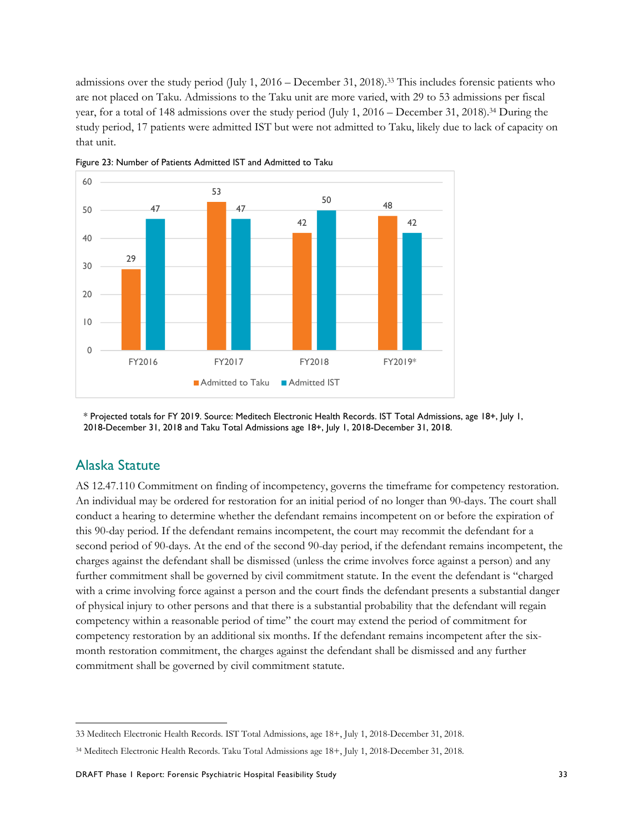admissions over the study period (July 1, 2016 – December 31, 2018).33 This includes forensic patients who are not placed on Taku. Admissions to the Taku unit are more varied, with 29 to 53 admissions per fiscal year, for a total of 148 admissions over the study period (July 1, 2016 – December 31, 2018).<sup>34</sup> During the study period, 17 patients were admitted IST but were not admitted to Taku, likely due to lack of capacity on that unit.





\* Projected totals for FY 2019. Source: Meditech Electronic Health Records. IST Total Admissions, age 18+, July 1, 2018-December 31, 2018 and Taku Total Admissions age 18+, July 1, 2018-December 31, 2018.

#### Alaska Statute

AS 12.47.110 Commitment on finding of incompetency, governs the timeframe for competency restoration. An individual may be ordered for restoration for an initial period of no longer than 90-days. The court shall conduct a hearing to determine whether the defendant remains incompetent on or before the expiration of this 90-day period. If the defendant remains incompetent, the court may recommit the defendant for a second period of 90-days. At the end of the second 90-day period, if the defendant remains incompetent, the charges against the defendant shall be dismissed (unless the crime involves force against a person) and any further commitment shall be governed by civil commitment statute. In the event the defendant is "charged with a crime involving force against a person and the court finds the defendant presents a substantial danger of physical injury to other persons and that there is a substantial probability that the defendant will regain competency within a reasonable period of time" the court may extend the period of commitment for competency restoration by an additional six months. If the defendant remains incompetent after the sixmonth restoration commitment, the charges against the defendant shall be dismissed and any further commitment shall be governed by civil commitment statute.

 $\ddot{\phantom{a}}$ 33 Meditech Electronic Health Records. IST Total Admissions, age 18+, July 1, 2018-December 31, 2018.

<sup>34</sup> Meditech Electronic Health Records. Taku Total Admissions age 18+, July 1, 2018-December 31, 2018.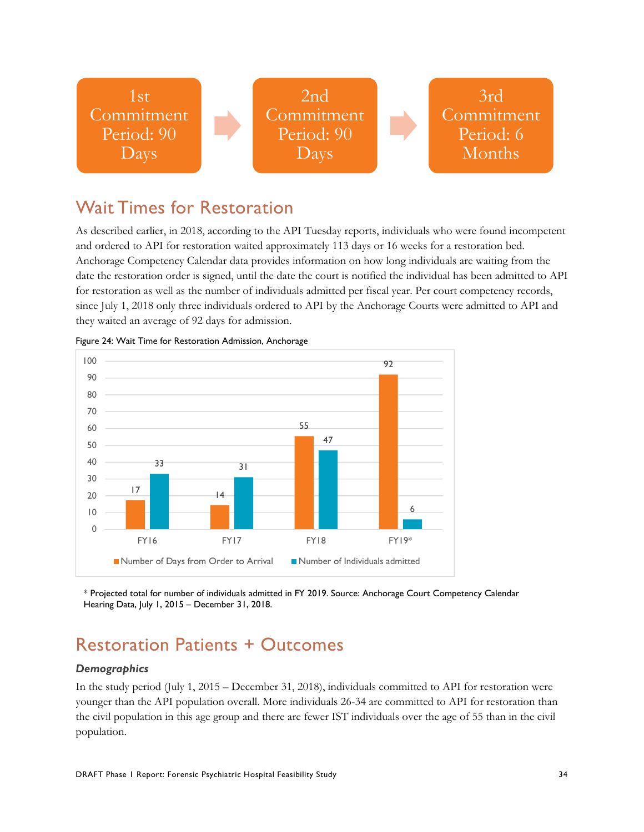

### Wait Times for Restoration

As described earlier, in 2018, according to the API Tuesday reports, individuals who were found incompetent and ordered to API for restoration waited approximately 113 days or 16 weeks for a restoration bed. Anchorage Competency Calendar data provides information on how long individuals are waiting from the date the restoration order is signed, until the date the court is notified the individual has been admitted to API for restoration as well as the number of individuals admitted per fiscal year. Per court competency records, since July 1, 2018 only three individuals ordered to API by the Anchorage Courts were admitted to API and they waited an average of 92 days for admission.





\* Projected total for number of individuals admitted in FY 2019. Source: Anchorage Court Competency Calendar Hearing Data, July 1, 2015 – December 31, 2018.

## Restoration Patients + Outcomes

#### *Demographics*

In the study period (July 1, 2015 – December 31, 2018), individuals committed to API for restoration were younger than the API population overall. More individuals 26-34 are committed to API for restoration than the civil population in this age group and there are fewer IST individuals over the age of 55 than in the civil population.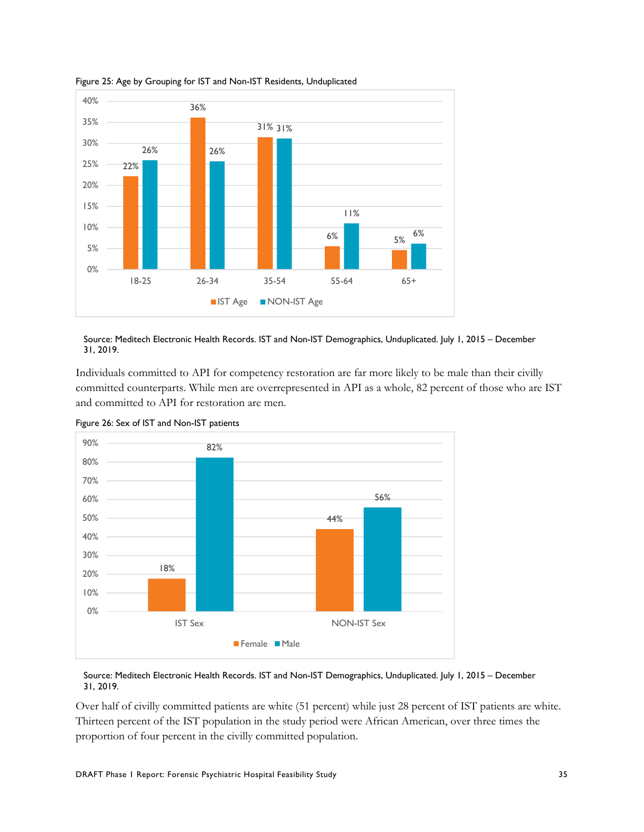

Figure 25: Age by Grouping for IST and Non-IST Residents, Unduplicated

Source: Meditech Electronic Health Records. IST and Non-IST Demographics, Unduplicated. July 1, 2015 – December 31, 2019.

Individuals committed to API for competency restoration are far more likely to be male than their civilly committed counterparts. While men are overrepresented in API as a whole, 82 percent of those who are IST and committed to API for restoration are men.



Figure 26: Sex of IST and Non-IST patients

#### Source: Meditech Electronic Health Records. IST and Non-IST Demographics, Unduplicated. July 1, 2015 – December 31, 2019.

Over half of civilly committed patients are white (51 percent) while just 28 percent of IST patients are white. Thirteen percent of the IST population in the study period were African American, over three times the proportion of four percent in the civilly committed population.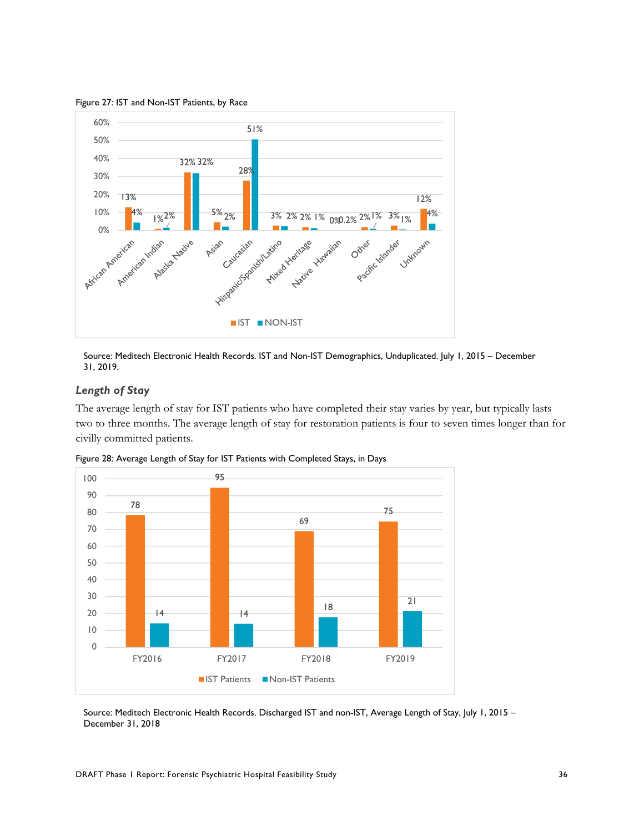Figure 27: IST and Non-IST Patients, by Race



Source: Meditech Electronic Health Records. IST and Non-IST Demographics, Unduplicated. July 1, 2015 – December 31, 2019.

#### *Length of Stay*

The average length of stay for IST patients who have completed their stay varies by year, but typically lasts two to three months. The average length of stay for restoration patients is four to seven times longer than for civilly committed patients.



Figure 28: Average Length of Stay for IST Patients with Completed Stays, in Days

Source: Meditech Electronic Health Records. Discharged IST and non-IST, Average Length of Stay, July 1, 2015 – December 31, 2018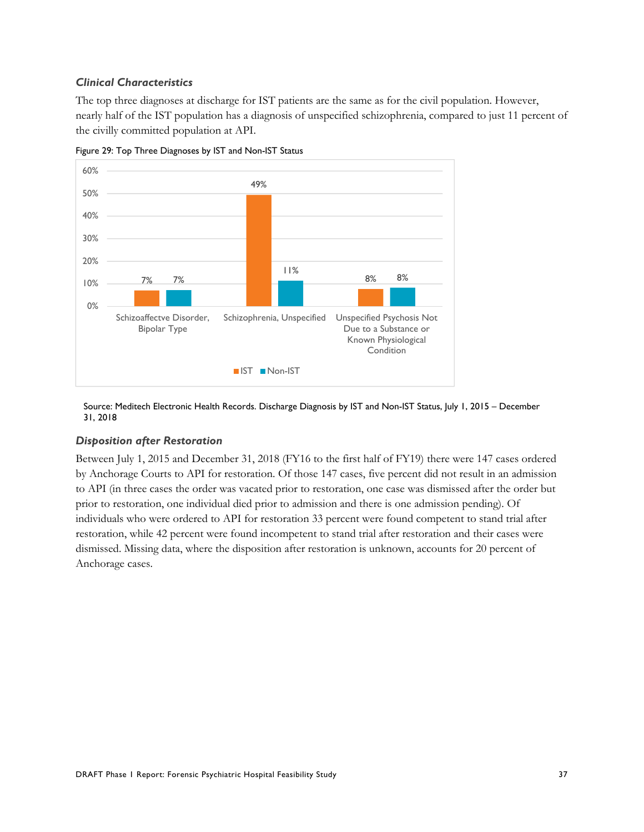### *Clinical Characteristics*

The top three diagnoses at discharge for IST patients are the same as for the civil population. However, nearly half of the IST population has a diagnosis of unspecified schizophrenia, compared to just 11 percent of the civilly committed population at API.



Figure 29: Top Three Diagnoses by IST and Non-IST Status

Source: Meditech Electronic Health Records. Discharge Diagnosis by IST and Non-IST Status, July 1, 2015 – December 31, 2018

### *Disposition after Restoration*

Between July 1, 2015 and December 31, 2018 (FY16 to the first half of FY19) there were 147 cases ordered by Anchorage Courts to API for restoration. Of those 147 cases, five percent did not result in an admission to API (in three cases the order was vacated prior to restoration, one case was dismissed after the order but prior to restoration, one individual died prior to admission and there is one admission pending). Of individuals who were ordered to API for restoration 33 percent were found competent to stand trial after restoration, while 42 percent were found incompetent to stand trial after restoration and their cases were dismissed. Missing data, where the disposition after restoration is unknown, accounts for 20 percent of Anchorage cases.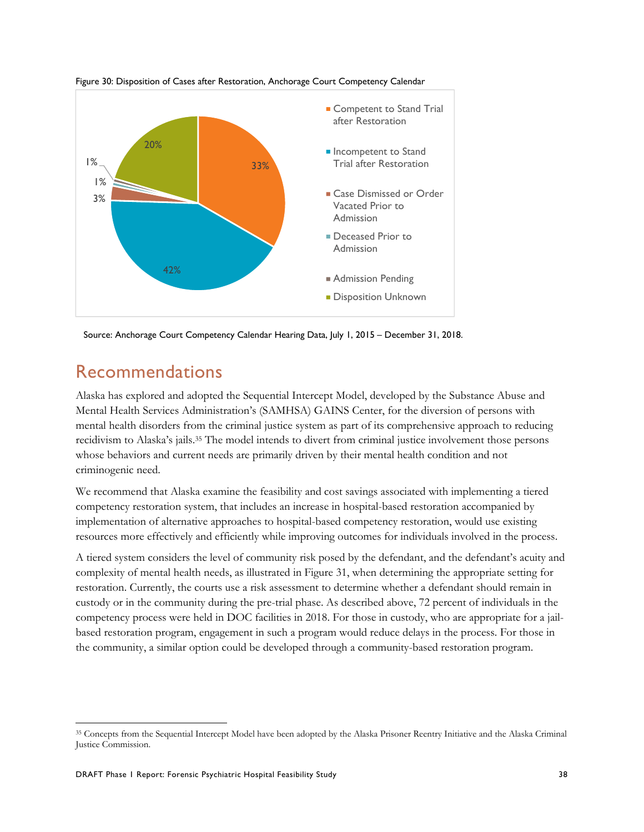

Figure 30: Disposition of Cases after Restoration, Anchorage Court Competency Calendar

Source: Anchorage Court Competency Calendar Hearing Data, July 1, 2015 – December 31, 2018.

# Recommendations

Alaska has explored and adopted the Sequential Intercept Model, developed by the Substance Abuse and Mental Health Services Administration's (SAMHSA) GAINS Center, for the diversion of persons with mental health disorders from the criminal justice system as part of its comprehensive approach to reducing recidivism to Alaska's jails.35 The model intends to divert from criminal justice involvement those persons whose behaviors and current needs are primarily driven by their mental health condition and not criminogenic need.

We recommend that Alaska examine the feasibility and cost savings associated with implementing a tiered competency restoration system, that includes an increase in hospital-based restoration accompanied by implementation of alternative approaches to hospital-based competency restoration, would use existing resources more effectively and efficiently while improving outcomes for individuals involved in the process.

A tiered system considers the level of community risk posed by the defendant, and the defendant's acuity and complexity of mental health needs, as illustrated in Figure 31, when determining the appropriate setting for restoration. Currently, the courts use a risk assessment to determine whether a defendant should remain in custody or in the community during the pre-trial phase. As described above, 72 percent of individuals in the competency process were held in DOC facilities in 2018. For those in custody, who are appropriate for a jailbased restoration program, engagement in such a program would reduce delays in the process. For those in the community, a similar option could be developed through a community-based restoration program.

<sup>-</sup><sup>35</sup> Concepts from the Sequential Intercept Model have been adopted by the Alaska Prisoner Reentry Initiative and the Alaska Criminal Justice Commission.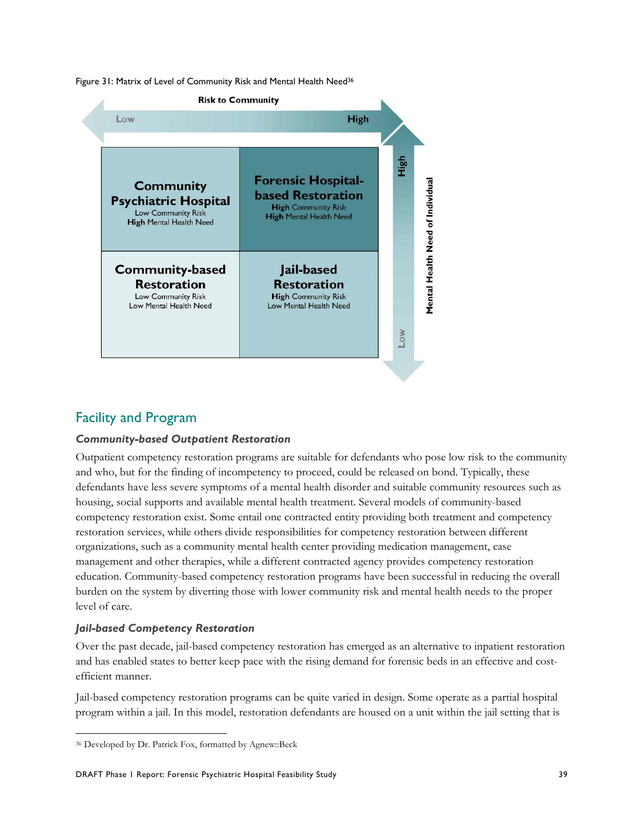Figure 31: Matrix of Level of Community Risk and Mental Health Need36



## Facility and Program

### *Community-based Outpatient Restoration*

Outpatient competency restoration programs are suitable for defendants who pose low risk to the community and who, but for the finding of incompetency to proceed, could be released on bond. Typically, these defendants have less severe symptoms of a mental health disorder and suitable community resources such as housing, social supports and available mental health treatment. Several models of community-based competency restoration exist. Some entail one contracted entity providing both treatment and competency restoration services, while others divide responsibilities for competency restoration between different organizations, such as a community mental health center providing medication management, case management and other therapies, while a different contracted agency provides competency restoration education. Community-based competency restoration programs have been successful in reducing the overall burden on the system by diverting those with lower community risk and mental health needs to the proper level of care.

### *Jail-based Competency Restoration*

 $\ddot{\phantom{a}}$ 

Over the past decade, jail-based competency restoration has emerged as an alternative to inpatient restoration and has enabled states to better keep pace with the rising demand for forensic beds in an effective and costefficient manner.

Jail-based competency restoration programs can be quite varied in design. Some operate as a partial hospital program within a jail. In this model, restoration defendants are housed on a unit within the jail setting that is

<sup>36</sup> Developed by Dr. Patrick Fox, formatted by Agnew::Beck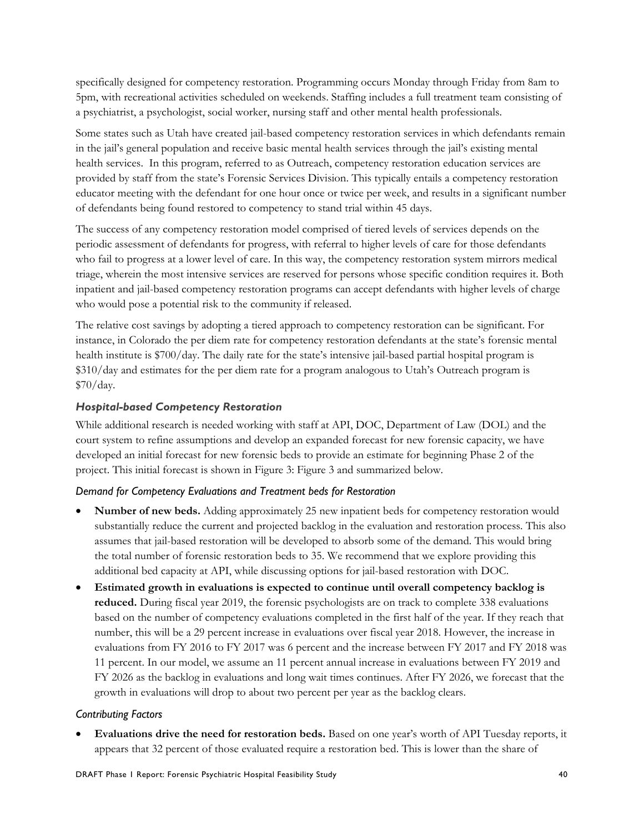specifically designed for competency restoration. Programming occurs Monday through Friday from 8am to 5pm, with recreational activities scheduled on weekends. Staffing includes a full treatment team consisting of a psychiatrist, a psychologist, social worker, nursing staff and other mental health professionals.

Some states such as Utah have created jail-based competency restoration services in which defendants remain in the jail's general population and receive basic mental health services through the jail's existing mental health services. In this program, referred to as Outreach, competency restoration education services are provided by staff from the state's Forensic Services Division. This typically entails a competency restoration educator meeting with the defendant for one hour once or twice per week, and results in a significant number of defendants being found restored to competency to stand trial within 45 days.

The success of any competency restoration model comprised of tiered levels of services depends on the periodic assessment of defendants for progress, with referral to higher levels of care for those defendants who fail to progress at a lower level of care. In this way, the competency restoration system mirrors medical triage, wherein the most intensive services are reserved for persons whose specific condition requires it. Both inpatient and jail-based competency restoration programs can accept defendants with higher levels of charge who would pose a potential risk to the community if released.

The relative cost savings by adopting a tiered approach to competency restoration can be significant. For instance, in Colorado the per diem rate for competency restoration defendants at the state's forensic mental health institute is \$700/day. The daily rate for the state's intensive jail-based partial hospital program is \$310/day and estimates for the per diem rate for a program analogous to Utah's Outreach program is \$70/day.

### *Hospital-based Competency Restoration*

While additional research is needed working with staff at API, DOC, Department of Law (DOL) and the court system to refine assumptions and develop an expanded forecast for new forensic capacity, we have developed an initial forecast for new forensic beds to provide an estimate for beginning Phase 2 of the project. This initial forecast is shown in Figure 3: Figure 3 and summarized below.

### *Demand for Competency Evaluations and Treatment beds for Restoration*

- **Number of new beds.** Adding approximately 25 new inpatient beds for competency restoration would substantially reduce the current and projected backlog in the evaluation and restoration process. This also assumes that jail-based restoration will be developed to absorb some of the demand. This would bring the total number of forensic restoration beds to 35. We recommend that we explore providing this additional bed capacity at API, while discussing options for jail-based restoration with DOC.
- **Estimated growth in evaluations is expected to continue until overall competency backlog is reduced.** During fiscal year 2019, the forensic psychologists are on track to complete 338 evaluations based on the number of competency evaluations completed in the first half of the year. If they reach that number, this will be a 29 percent increase in evaluations over fiscal year 2018. However, the increase in evaluations from FY 2016 to FY 2017 was 6 percent and the increase between FY 2017 and FY 2018 was 11 percent. In our model, we assume an 11 percent annual increase in evaluations between FY 2019 and FY 2026 as the backlog in evaluations and long wait times continues. After FY 2026, we forecast that the growth in evaluations will drop to about two percent per year as the backlog clears.

### *Contributing Factors*

 **Evaluations drive the need for restoration beds.** Based on one year's worth of API Tuesday reports, it appears that 32 percent of those evaluated require a restoration bed. This is lower than the share of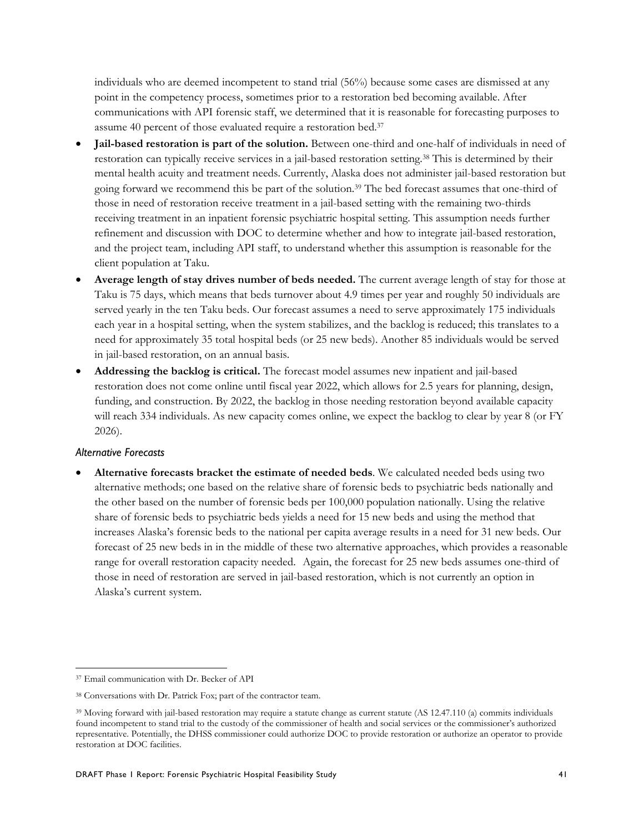individuals who are deemed incompetent to stand trial (56%) because some cases are dismissed at any point in the competency process, sometimes prior to a restoration bed becoming available. After communications with API forensic staff, we determined that it is reasonable for forecasting purposes to assume 40 percent of those evaluated require a restoration bed.37

- **Jail-based restoration is part of the solution.** Between one-third and one-half of individuals in need of restoration can typically receive services in a jail-based restoration setting.38 This is determined by their mental health acuity and treatment needs. Currently, Alaska does not administer jail-based restoration but going forward we recommend this be part of the solution.39 The bed forecast assumes that one-third of those in need of restoration receive treatment in a jail-based setting with the remaining two-thirds receiving treatment in an inpatient forensic psychiatric hospital setting. This assumption needs further refinement and discussion with DOC to determine whether and how to integrate jail-based restoration, and the project team, including API staff, to understand whether this assumption is reasonable for the client population at Taku.
- **Average length of stay drives number of beds needed.** The current average length of stay for those at Taku is 75 days, which means that beds turnover about 4.9 times per year and roughly 50 individuals are served yearly in the ten Taku beds. Our forecast assumes a need to serve approximately 175 individuals each year in a hospital setting, when the system stabilizes, and the backlog is reduced; this translates to a need for approximately 35 total hospital beds (or 25 new beds). Another 85 individuals would be served in jail-based restoration, on an annual basis.
- **Addressing the backlog is critical.** The forecast model assumes new inpatient and jail-based restoration does not come online until fiscal year 2022, which allows for 2.5 years for planning, design, funding, and construction. By 2022, the backlog in those needing restoration beyond available capacity will reach 334 individuals. As new capacity comes online, we expect the backlog to clear by year 8 (or FY 2026).

#### *Alternative Forecasts*

 $\ddot{\phantom{a}}$ 

 **Alternative forecasts bracket the estimate of needed beds**. We calculated needed beds using two alternative methods; one based on the relative share of forensic beds to psychiatric beds nationally and the other based on the number of forensic beds per 100,000 population nationally. Using the relative share of forensic beds to psychiatric beds yields a need for 15 new beds and using the method that increases Alaska's forensic beds to the national per capita average results in a need for 31 new beds. Our forecast of 25 new beds in in the middle of these two alternative approaches, which provides a reasonable range for overall restoration capacity needed. Again, the forecast for 25 new beds assumes one-third of those in need of restoration are served in jail-based restoration, which is not currently an option in Alaska's current system.

<sup>37</sup> Email communication with Dr. Becker of API

<sup>38</sup> Conversations with Dr. Patrick Fox; part of the contractor team.

<sup>39</sup> Moving forward with jail-based restoration may require a statute change as current statute (AS 12.47.110 (a) commits individuals found incompetent to stand trial to the custody of the commissioner of health and social services or the commissioner's authorized representative. Potentially, the DHSS commissioner could authorize DOC to provide restoration or authorize an operator to provide restoration at DOC facilities.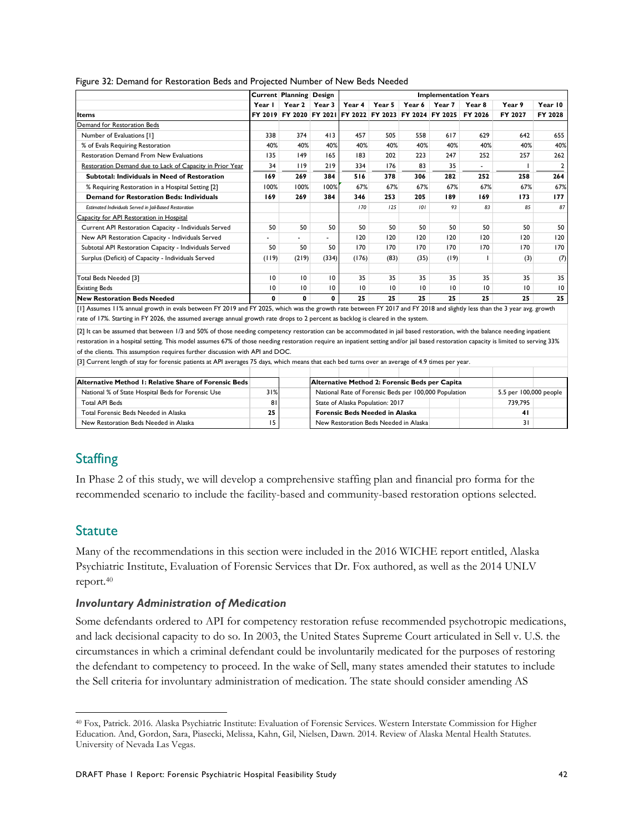|                                                                                                                                                                                      |                 | <b>Current Planning Design</b>                          |              | <b>Implementation Years</b> |                |        |        |         |         |                 |
|--------------------------------------------------------------------------------------------------------------------------------------------------------------------------------------|-----------------|---------------------------------------------------------|--------------|-----------------------------|----------------|--------|--------|---------|---------|-----------------|
|                                                                                                                                                                                      | Year I          | Year 2                                                  | Year 3       | Year 4                      | Year 5         | Year 6 | Year 7 | Year 8  | Year 9  | Year 10         |
| Items                                                                                                                                                                                |                 | FY 2019 FY 2020 FY 2021 FY 2022 FY 2023 FY 2024 FY 2025 |              |                             |                |        |        | FY 2026 | FY 2027 | FY 2028         |
| Demand for Restoration Beds                                                                                                                                                          |                 |                                                         |              |                             |                |        |        |         |         |                 |
| Number of Evaluations [1]                                                                                                                                                            | 338             | 374                                                     | 413          | 457                         | 505            | 558    | 617    | 629     | 642     | 655             |
| % of Evals Requiring Restoration                                                                                                                                                     | 40%             | 40%                                                     | 40%          | 40%                         | 40%            | 40%    | 40%    | 40%     | 40%     | 40%             |
| <b>Restoration Demand From New Evaluations</b>                                                                                                                                       | 135             | $ 49\rangle$                                            | 165          | 183                         | 202            | 223    | 247    | 252     | 257     | 262             |
| Restoration Demand due to Lack of Capacity in Prior Year                                                                                                                             | 34              | 119                                                     | 219          | 334                         | 176            | 83     | 35     | ۰       |         | 2               |
| Subtotal: Individuals in Need of Restoration                                                                                                                                         | 169             | 269                                                     | 384          | 516                         | 378            | 306    | 282    | 252     | 258     | 264             |
| % Requiring Restoration in a Hospital Setting [2]                                                                                                                                    | 100%            | 100%                                                    | 100%         | 67%                         | 67%            | 67%    | 67%    | 67%     | 67%     | 67%             |
| <b>Demand for Restoration Beds: Individuals</b>                                                                                                                                      | 169             | 269                                                     | 384          | 346                         | 253            | 205    | 189    | 169     | 173     | 177             |
| Estimated Individuals Served in Jail-Based Restoration                                                                                                                               |                 |                                                         |              | 170                         | 125            | 101    | 93     | 83      | 85      | 87              |
| Capacity for API Restoration in Hospital                                                                                                                                             |                 |                                                         |              |                             |                |        |        |         |         |                 |
| Current API Restoration Capacity - Individuals Served                                                                                                                                | 50              | 50                                                      | 50           | 50                          | 50             | 50     | 50     | 50      | 50      | 50              |
| New API Restoration Capacity - Individuals Served                                                                                                                                    |                 |                                                         |              | 120                         | 120            | 120    | 120    | 120     | 120     | 120             |
| Subtotal API Restoration Capacity - Individuals Served                                                                                                                               | 50              | 50                                                      | 50           | 170                         | 170            | 170    | 170    | 170     | 170     | 170             |
| Surplus (Deficit) of Capacity - Individuals Served                                                                                                                                   | (119)           | (219)                                                   | (334)        | (176)                       | (83)           | (35)   | (19)   |         | (3)     | (7)             |
| Total Beds Needed [3]                                                                                                                                                                | $\overline{10}$ | 10                                                      | 10           | 35                          | 35             | 35     | 35     | 35      | 35      | 35              |
| <b>Existing Beds</b>                                                                                                                                                                 | $\overline{10}$ | $\overline{10}$                                         | 10           | 10                          | $\overline{0}$ | 10     | 10     | 10      | 10      | $\overline{10}$ |
| <b>New Restoration Beds Needed</b>                                                                                                                                                   | 0               | 0                                                       | $\mathbf{r}$ | 25                          | 25             | 25     | 25     | 25      | 25      | 25              |
| [1] Assumes 11% annual growth in evals between FY 2019 and FY 2025, which was the growth rate between FY 2017 and FY 2018 and slightly less than the 3 year avg. growth              |                 |                                                         |              |                             |                |        |        |         |         |                 |
| rate of 17%. Starting in FY 2026, the assumed average annual growth rate drops to 2 percent as backlog is cleared in the system.                                                     |                 |                                                         |              |                             |                |        |        |         |         |                 |
| [2] It can be assumed that between 1/3 and 50% of those needing competency restoration can be accommodated in jail based restoration, with the balance needing inpatient             |                 |                                                         |              |                             |                |        |        |         |         |                 |
| restoration in a hospital setting. This model assumes 67% of those needing restoration require an inpatient setting and/or jail based restoration capacity is limited to serving 33% |                 |                                                         |              |                             |                |        |        |         |         |                 |
| of the clients. This assumption requires further discussion with API and DOC.                                                                                                        |                 |                                                         |              |                             |                |        |        |         |         |                 |
| [3] Current length of stay for forensic patients at API averages 75 days, which means that each bed turns over an average of 4.9 times per year.                                     |                 |                                                         |              |                             |                |        |        |         |         |                 |
|                                                                                                                                                                                      |                 |                                                         |              |                             |                |        |        |         |         |                 |

#### Figure 32: Demand for Restoration Beds and Projected Number of New Beds Needed

| Alternative Method 1: Relative Share of Forensic Beds |     |  |                                                       |                                       |  | Alternative Method 2: Forensic Beds per Capita |  |         |  |
|-------------------------------------------------------|-----|--|-------------------------------------------------------|---------------------------------------|--|------------------------------------------------|--|---------|--|
| National % of State Hospital Beds for Forensic Use    | 31% |  | National Rate of Forensic Beds per 100,000 Population |                                       |  | 5.5 per 100,000 people                         |  |         |  |
| Total API Beds                                        | 81  |  |                                                       | State of Alaska Population: 2017      |  |                                                |  | 739.795 |  |
| Total Forensic Beds Needed in Alaska                  | 25  |  |                                                       | <b>Forensic Beds Needed in Alaska</b> |  |                                                |  | 41      |  |
| New Restoration Beds Needed in Alaska                 | 5   |  |                                                       |                                       |  | New Restoration Beds Needed in Alaska          |  | 31      |  |

# **Staffing**

In Phase 2 of this study, we will develop a comprehensive staffing plan and financial pro forma for the recommended scenario to include the facility-based and community-based restoration options selected.

## **Statute**

 $\overline{a}$ 

Many of the recommendations in this section were included in the 2016 WICHE report entitled, Alaska Psychiatric Institute, Evaluation of Forensic Services that Dr. Fox authored, as well as the 2014 UNLV report.40

### *Involuntary Administration of Medication*

Some defendants ordered to API for competency restoration refuse recommended psychotropic medications, and lack decisional capacity to do so. In 2003, the United States Supreme Court articulated in Sell v. U.S. the circumstances in which a criminal defendant could be involuntarily medicated for the purposes of restoring the defendant to competency to proceed. In the wake of Sell, many states amended their statutes to include the Sell criteria for involuntary administration of medication. The state should consider amending AS

<sup>40</sup> Fox, Patrick. 2016. Alaska Psychiatric Institute: Evaluation of Forensic Services. Western Interstate Commission for Higher Education. And, Gordon, Sara, Piasecki, Melissa, Kahn, Gil, Nielsen, Dawn. 2014. Review of Alaska Mental Health Statutes. University of Nevada Las Vegas.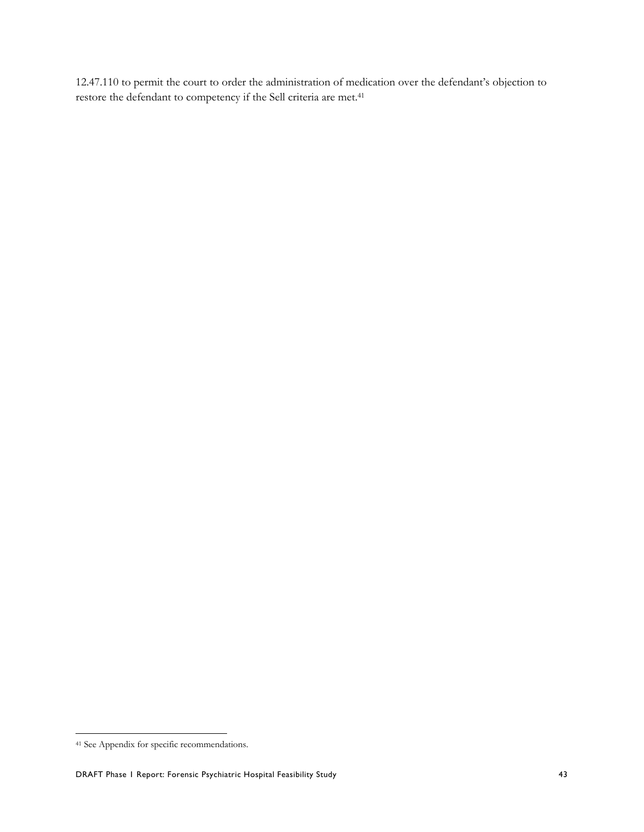12.47.110 to permit the court to order the administration of medication over the defendant's objection to restore the defendant to competency if the Sell criteria are met.41

-

<sup>41</sup> See Appendix for specific recommendations.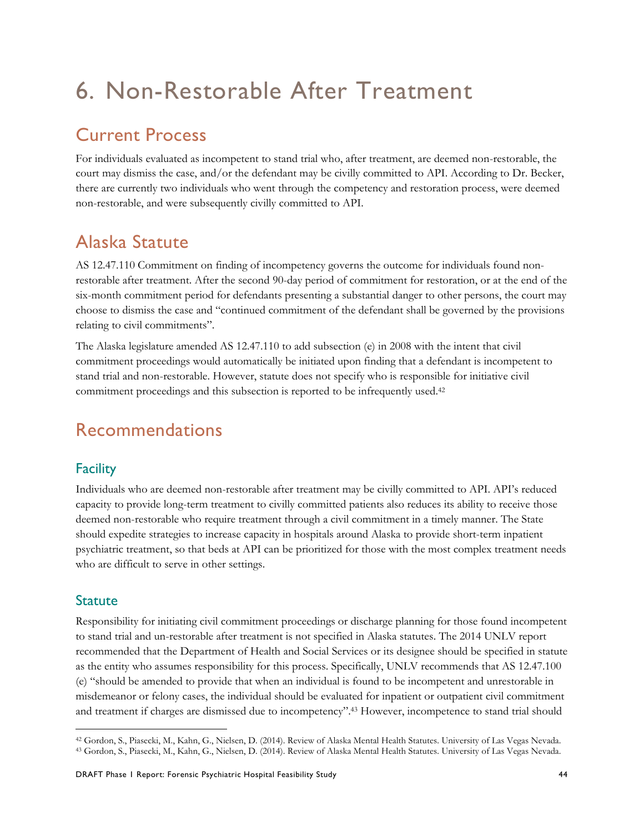# 6. Non-Restorable After Treatment

# Current Process

For individuals evaluated as incompetent to stand trial who, after treatment, are deemed non-restorable, the court may dismiss the case, and/or the defendant may be civilly committed to API. According to Dr. Becker, there are currently two individuals who went through the competency and restoration process, were deemed non-restorable, and were subsequently civilly committed to API.

# Alaska Statute

AS 12.47.110 Commitment on finding of incompetency governs the outcome for individuals found nonrestorable after treatment. After the second 90-day period of commitment for restoration, or at the end of the six-month commitment period for defendants presenting a substantial danger to other persons, the court may choose to dismiss the case and "continued commitment of the defendant shall be governed by the provisions relating to civil commitments".

The Alaska legislature amended AS 12.47.110 to add subsection (e) in 2008 with the intent that civil commitment proceedings would automatically be initiated upon finding that a defendant is incompetent to stand trial and non-restorable. However, statute does not specify who is responsible for initiative civil commitment proceedings and this subsection is reported to be infrequently used.42

# Recommendations

# **Facility**

Individuals who are deemed non-restorable after treatment may be civilly committed to API. API's reduced capacity to provide long-term treatment to civilly committed patients also reduces its ability to receive those deemed non-restorable who require treatment through a civil commitment in a timely manner. The State should expedite strategies to increase capacity in hospitals around Alaska to provide short-term inpatient psychiatric treatment, so that beds at API can be prioritized for those with the most complex treatment needs who are difficult to serve in other settings.

## **Statute**

Responsibility for initiating civil commitment proceedings or discharge planning for those found incompetent to stand trial and un-restorable after treatment is not specified in Alaska statutes. The 2014 UNLV report recommended that the Department of Health and Social Services or its designee should be specified in statute as the entity who assumes responsibility for this process. Specifically, UNLV recommends that AS 12.47.100 (e) "should be amended to provide that when an individual is found to be incompetent and unrestorable in misdemeanor or felony cases, the individual should be evaluated for inpatient or outpatient civil commitment and treatment if charges are dismissed due to incompetency".43 However, incompetence to stand trial should

<sup>-</sup><sup>42</sup> Gordon, S., Piasecki, M., Kahn, G., Nielsen, D. (2014). Review of Alaska Mental Health Statutes. University of Las Vegas Nevada.<br><sup>43</sup> Gordon, S., Piasecki, M., Kahn, G., Nielsen, D. (2014). Review of Alaska Mental Hea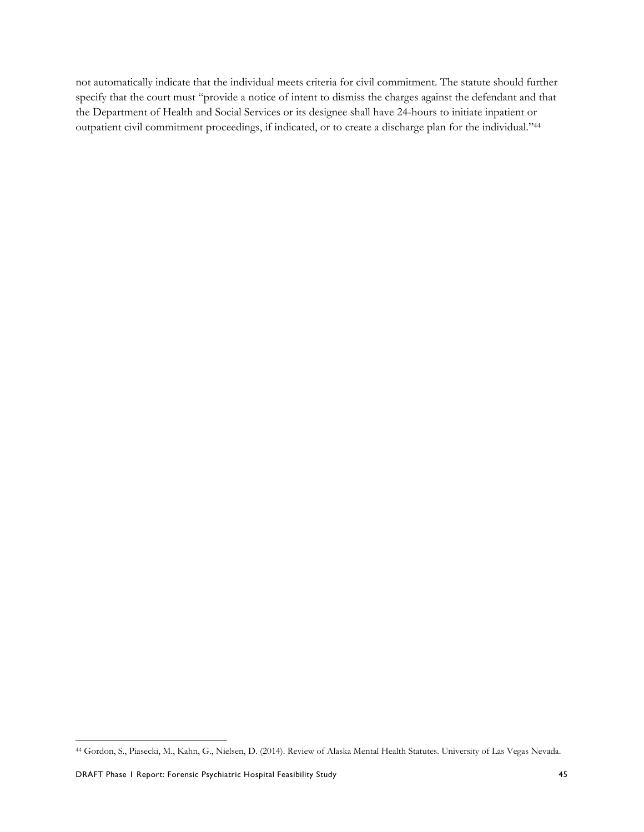not automatically indicate that the individual meets criteria for civil commitment. The statute should further specify that the court must "provide a notice of intent to dismiss the charges against the defendant and that the Department of Health and Social Services or its designee shall have 24-hours to initiate inpatient or outpatient civil commitment proceedings, if indicated, or to create a discharge plan for the individual."44

<sup>-</sup>44 Gordon, S., Piasecki, M., Kahn, G., Nielsen, D. (2014). Review of Alaska Mental Health Statutes. University of Las Vegas Nevada.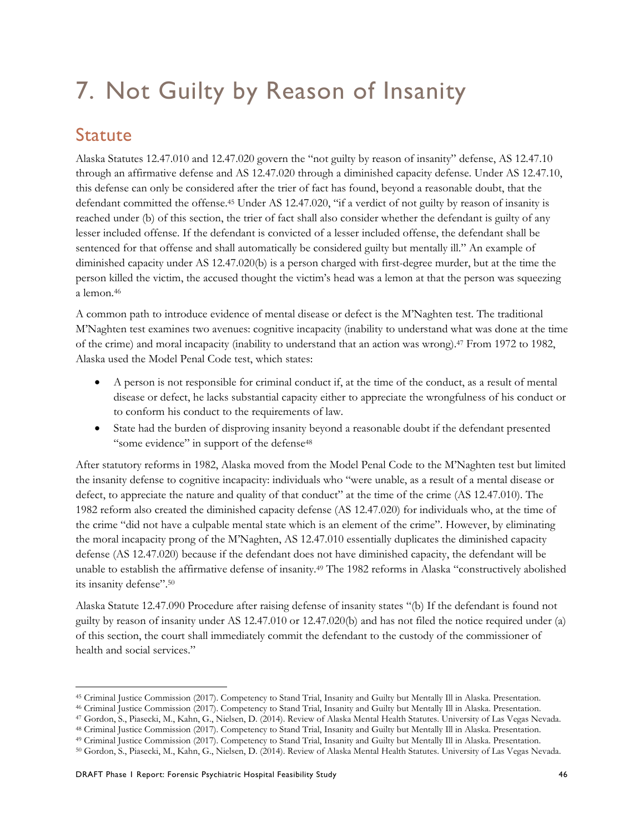# 7. Not Guilty by Reason of Insanity

# **Statute**

 $\ddot{\phantom{a}}$ 

Alaska Statutes 12.47.010 and 12.47.020 govern the "not guilty by reason of insanity" defense, AS 12.47.10 through an affirmative defense and AS 12.47.020 through a diminished capacity defense. Under AS 12.47.10, this defense can only be considered after the trier of fact has found, beyond a reasonable doubt, that the defendant committed the offense.<sup>45</sup> Under AS 12.47.020, "if a verdict of not guilty by reason of insanity is reached under (b) of this section, the trier of fact shall also consider whether the defendant is guilty of any lesser included offense. If the defendant is convicted of a lesser included offense, the defendant shall be sentenced for that offense and shall automatically be considered guilty but mentally ill." An example of diminished capacity under AS 12.47.020(b) is a person charged with first-degree murder, but at the time the person killed the victim, the accused thought the victim's head was a lemon at that the person was squeezing a lemon.46

A common path to introduce evidence of mental disease or defect is the M'Naghten test. The traditional M'Naghten test examines two avenues: cognitive incapacity (inability to understand what was done at the time of the crime) and moral incapacity (inability to understand that an action was wrong).47 From 1972 to 1982, Alaska used the Model Penal Code test, which states:

- A person is not responsible for criminal conduct if, at the time of the conduct, as a result of mental disease or defect, he lacks substantial capacity either to appreciate the wrongfulness of his conduct or to conform his conduct to the requirements of law.
- State had the burden of disproving insanity beyond a reasonable doubt if the defendant presented "some evidence" in support of the defense<sup>48</sup>

After statutory reforms in 1982, Alaska moved from the Model Penal Code to the M'Naghten test but limited the insanity defense to cognitive incapacity: individuals who "were unable, as a result of a mental disease or defect, to appreciate the nature and quality of that conduct" at the time of the crime (AS 12.47.010). The 1982 reform also created the diminished capacity defense (AS 12.47.020) for individuals who, at the time of the crime "did not have a culpable mental state which is an element of the crime". However, by eliminating the moral incapacity prong of the M'Naghten, AS 12.47.010 essentially duplicates the diminished capacity defense (AS 12.47.020) because if the defendant does not have diminished capacity, the defendant will be unable to establish the affirmative defense of insanity.49 The 1982 reforms in Alaska "constructively abolished its insanity defense".50

Alaska Statute 12.47.090 Procedure after raising defense of insanity states "(b) If the defendant is found not guilty by reason of insanity under AS 12.47.010 or 12.47.020(b) and has not filed the notice required under (a) of this section, the court shall immediately commit the defendant to the custody of the commissioner of health and social services."

<sup>&</sup>lt;sup>45</sup> Criminal Justice Commission (2017). Competency to Stand Trial, Insanity and Guilty but Mentally Ill in Alaska. Presentation.<br><sup>46</sup> Criminal Justice Commission (2017). Competency to Stand Trial, Insanity and Guilty but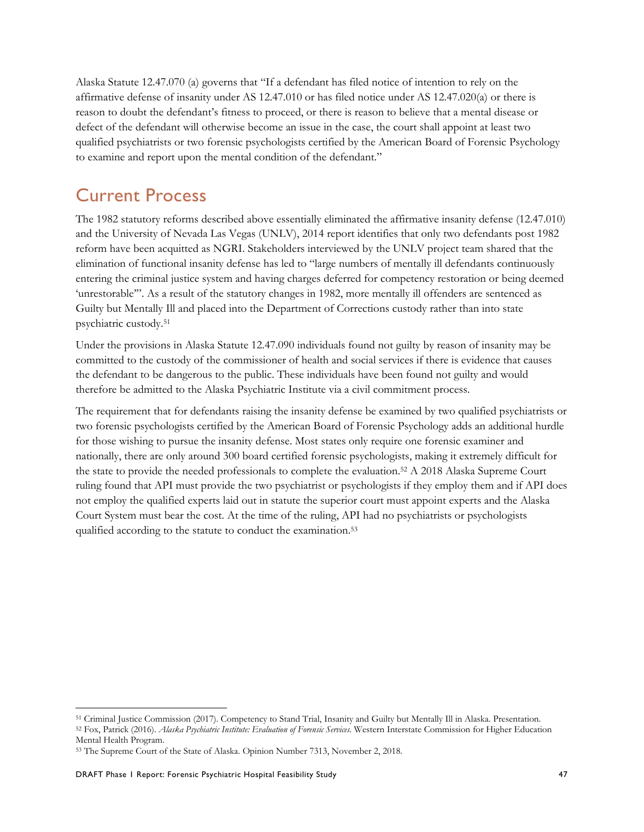Alaska Statute 12.47.070 (a) governs that "If a defendant has filed notice of intention to rely on the affirmative defense of insanity under AS 12.47.010 or has filed notice under AS 12.47.020(a) or there is reason to doubt the defendant's fitness to proceed, or there is reason to believe that a mental disease or defect of the defendant will otherwise become an issue in the case, the court shall appoint at least two qualified psychiatrists or two forensic psychologists certified by the American Board of Forensic Psychology to examine and report upon the mental condition of the defendant."

# Current Process

The 1982 statutory reforms described above essentially eliminated the affirmative insanity defense (12.47.010) and the University of Nevada Las Vegas (UNLV), 2014 report identifies that only two defendants post 1982 reform have been acquitted as NGRI. Stakeholders interviewed by the UNLV project team shared that the elimination of functional insanity defense has led to "large numbers of mentally ill defendants continuously entering the criminal justice system and having charges deferred for competency restoration or being deemed 'unrestorable'". As a result of the statutory changes in 1982, more mentally ill offenders are sentenced as Guilty but Mentally Ill and placed into the Department of Corrections custody rather than into state psychiatric custody.51

Under the provisions in Alaska Statute 12.47.090 individuals found not guilty by reason of insanity may be committed to the custody of the commissioner of health and social services if there is evidence that causes the defendant to be dangerous to the public. These individuals have been found not guilty and would therefore be admitted to the Alaska Psychiatric Institute via a civil commitment process.

The requirement that for defendants raising the insanity defense be examined by two qualified psychiatrists or two forensic psychologists certified by the American Board of Forensic Psychology adds an additional hurdle for those wishing to pursue the insanity defense. Most states only require one forensic examiner and nationally, there are only around 300 board certified forensic psychologists, making it extremely difficult for the state to provide the needed professionals to complete the evaluation.52 A 2018 Alaska Supreme Court ruling found that API must provide the two psychiatrist or psychologists if they employ them and if API does not employ the qualified experts laid out in statute the superior court must appoint experts and the Alaska Court System must bear the cost. At the time of the ruling, API had no psychiatrists or psychologists qualified according to the statute to conduct the examination.<sup>53</sup>

 $\overline{a}$ 

<sup>&</sup>lt;sup>51</sup> Criminal Justice Commission (2017). Competency to Stand Trial, Insanity and Guilty but Mentally Ill in Alaska. Presentation.<br><sup>52</sup> Fox, Patrick (2016). *Alaska Psychiatric Institute: Evaluation of Forensic Services*. W

Mental Health Program.

<sup>53</sup> The Supreme Court of the State of Alaska. Opinion Number 7313, November 2, 2018.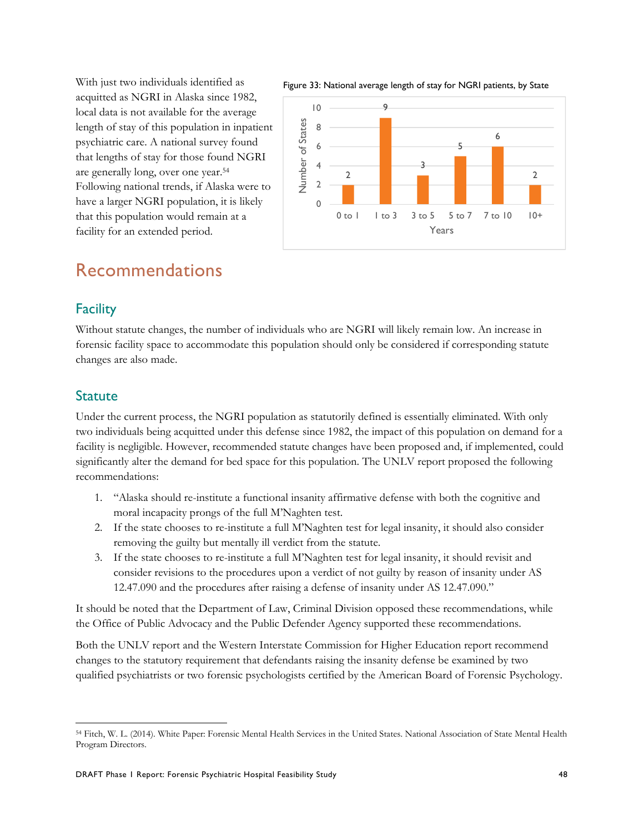With just two individuals identified as acquitted as NGRI in Alaska since 1982, local data is not available for the average length of stay of this population in inpatient psychiatric care. A national survey found that lengths of stay for those found NGRI are generally long, over one year.54 Following national trends, if Alaska were to have a larger NGRI population, it is likely that this population would remain at a facility for an extended period.

# Recommendations

#### Figure 33: National average length of stay for NGRI patients, by State



## **Facility**

Without statute changes, the number of individuals who are NGRI will likely remain low. An increase in forensic facility space to accommodate this population should only be considered if corresponding statute changes are also made.

### **Statute**

-

Under the current process, the NGRI population as statutorily defined is essentially eliminated. With only two individuals being acquitted under this defense since 1982, the impact of this population on demand for a facility is negligible. However, recommended statute changes have been proposed and, if implemented, could significantly alter the demand for bed space for this population. The UNLV report proposed the following recommendations:

- 1. "Alaska should re-institute a functional insanity affirmative defense with both the cognitive and moral incapacity prongs of the full M'Naghten test.
- 2. If the state chooses to re-institute a full M'Naghten test for legal insanity, it should also consider removing the guilty but mentally ill verdict from the statute.
- 3. If the state chooses to re-institute a full M'Naghten test for legal insanity, it should revisit and consider revisions to the procedures upon a verdict of not guilty by reason of insanity under AS 12.47.090 and the procedures after raising a defense of insanity under AS 12.47.090."

It should be noted that the Department of Law, Criminal Division opposed these recommendations, while the Office of Public Advocacy and the Public Defender Agency supported these recommendations.

Both the UNLV report and the Western Interstate Commission for Higher Education report recommend changes to the statutory requirement that defendants raising the insanity defense be examined by two qualified psychiatrists or two forensic psychologists certified by the American Board of Forensic Psychology.

<sup>54</sup> Fitch, W. L. (2014). White Paper: Forensic Mental Health Services in the United States. National Association of State Mental Health Program Directors.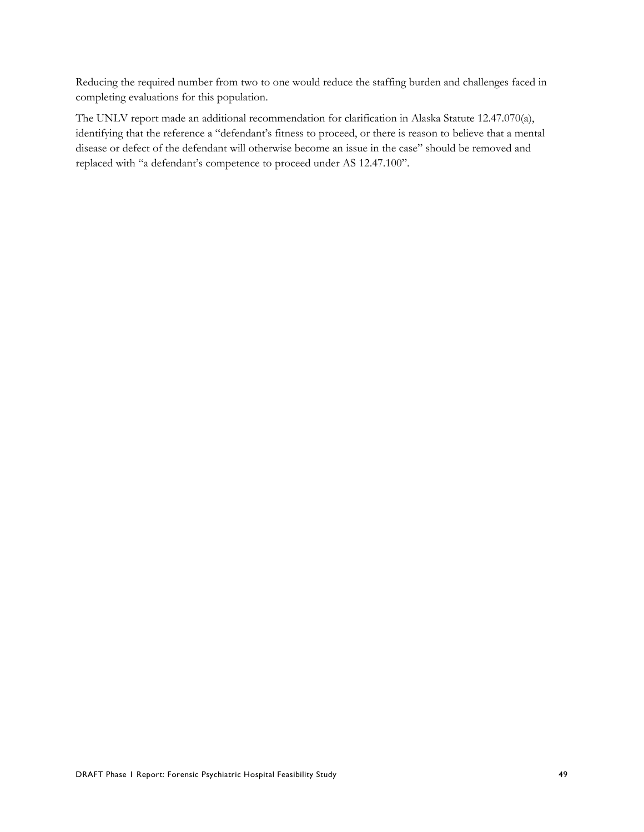Reducing the required number from two to one would reduce the staffing burden and challenges faced in completing evaluations for this population.

The UNLV report made an additional recommendation for clarification in Alaska Statute 12.47.070(a), identifying that the reference a "defendant's fitness to proceed, or there is reason to believe that a mental disease or defect of the defendant will otherwise become an issue in the case" should be removed and replaced with "a defendant's competence to proceed under AS 12.47.100".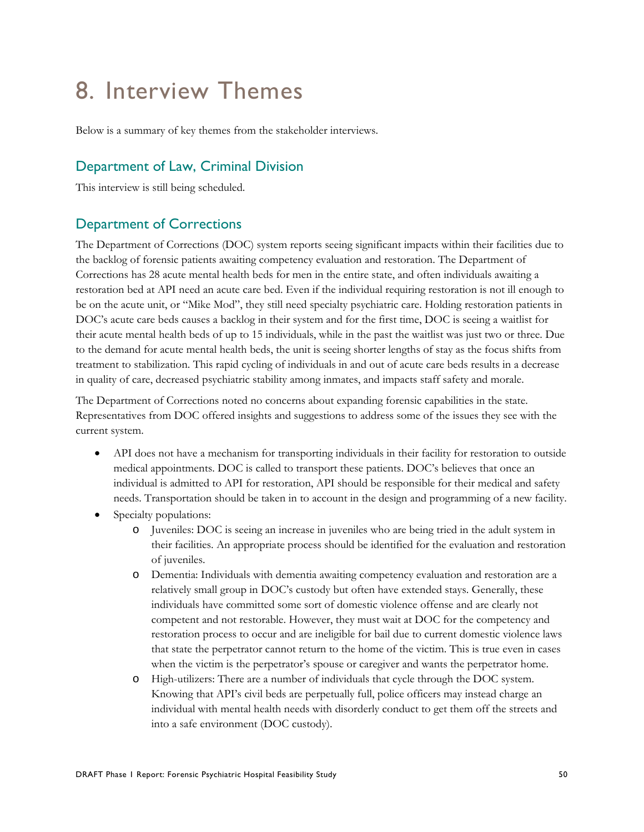# 8. Interview Themes

Below is a summary of key themes from the stakeholder interviews.

## Department of Law, Criminal Division

This interview is still being scheduled.

# Department of Corrections

The Department of Corrections (DOC) system reports seeing significant impacts within their facilities due to the backlog of forensic patients awaiting competency evaluation and restoration. The Department of Corrections has 28 acute mental health beds for men in the entire state, and often individuals awaiting a restoration bed at API need an acute care bed. Even if the individual requiring restoration is not ill enough to be on the acute unit, or "Mike Mod", they still need specialty psychiatric care. Holding restoration patients in DOC's acute care beds causes a backlog in their system and for the first time, DOC is seeing a waitlist for their acute mental health beds of up to 15 individuals, while in the past the waitlist was just two or three. Due to the demand for acute mental health beds, the unit is seeing shorter lengths of stay as the focus shifts from treatment to stabilization. This rapid cycling of individuals in and out of acute care beds results in a decrease in quality of care, decreased psychiatric stability among inmates, and impacts staff safety and morale.

The Department of Corrections noted no concerns about expanding forensic capabilities in the state. Representatives from DOC offered insights and suggestions to address some of the issues they see with the current system.

- API does not have a mechanism for transporting individuals in their facility for restoration to outside medical appointments. DOC is called to transport these patients. DOC's believes that once an individual is admitted to API for restoration, API should be responsible for their medical and safety needs. Transportation should be taken in to account in the design and programming of a new facility.
- Specialty populations:
	- o Juveniles: DOC is seeing an increase in juveniles who are being tried in the adult system in their facilities. An appropriate process should be identified for the evaluation and restoration of juveniles.
	- o Dementia: Individuals with dementia awaiting competency evaluation and restoration are a relatively small group in DOC's custody but often have extended stays. Generally, these individuals have committed some sort of domestic violence offense and are clearly not competent and not restorable. However, they must wait at DOC for the competency and restoration process to occur and are ineligible for bail due to current domestic violence laws that state the perpetrator cannot return to the home of the victim. This is true even in cases when the victim is the perpetrator's spouse or caregiver and wants the perpetrator home.
	- o High-utilizers: There are a number of individuals that cycle through the DOC system. Knowing that API's civil beds are perpetually full, police officers may instead charge an individual with mental health needs with disorderly conduct to get them off the streets and into a safe environment (DOC custody).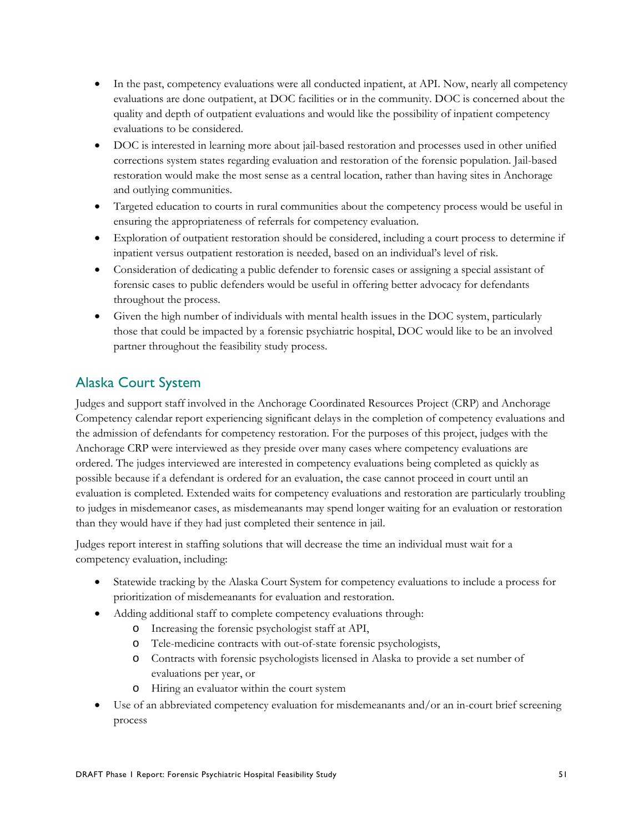- In the past, competency evaluations were all conducted inpatient, at API. Now, nearly all competency evaluations are done outpatient, at DOC facilities or in the community. DOC is concerned about the quality and depth of outpatient evaluations and would like the possibility of inpatient competency evaluations to be considered.
- DOC is interested in learning more about jail-based restoration and processes used in other unified corrections system states regarding evaluation and restoration of the forensic population. Jail-based restoration would make the most sense as a central location, rather than having sites in Anchorage and outlying communities.
- Targeted education to courts in rural communities about the competency process would be useful in ensuring the appropriateness of referrals for competency evaluation.
- Exploration of outpatient restoration should be considered, including a court process to determine if inpatient versus outpatient restoration is needed, based on an individual's level of risk.
- Consideration of dedicating a public defender to forensic cases or assigning a special assistant of forensic cases to public defenders would be useful in offering better advocacy for defendants throughout the process.
- Given the high number of individuals with mental health issues in the DOC system, particularly those that could be impacted by a forensic psychiatric hospital, DOC would like to be an involved partner throughout the feasibility study process.

# Alaska Court System

Judges and support staff involved in the Anchorage Coordinated Resources Project (CRP) and Anchorage Competency calendar report experiencing significant delays in the completion of competency evaluations and the admission of defendants for competency restoration. For the purposes of this project, judges with the Anchorage CRP were interviewed as they preside over many cases where competency evaluations are ordered. The judges interviewed are interested in competency evaluations being completed as quickly as possible because if a defendant is ordered for an evaluation, the case cannot proceed in court until an evaluation is completed. Extended waits for competency evaluations and restoration are particularly troubling to judges in misdemeanor cases, as misdemeanants may spend longer waiting for an evaluation or restoration than they would have if they had just completed their sentence in jail.

Judges report interest in staffing solutions that will decrease the time an individual must wait for a competency evaluation, including:

- Statewide tracking by the Alaska Court System for competency evaluations to include a process for prioritization of misdemeanants for evaluation and restoration.
- Adding additional staff to complete competency evaluations through:
	- o Increasing the forensic psychologist staff at API,
	- o Tele-medicine contracts with out-of-state forensic psychologists,
	- o Contracts with forensic psychologists licensed in Alaska to provide a set number of evaluations per year, or
	- o Hiring an evaluator within the court system
- Use of an abbreviated competency evaluation for misdemeanants and/or an in-court brief screening process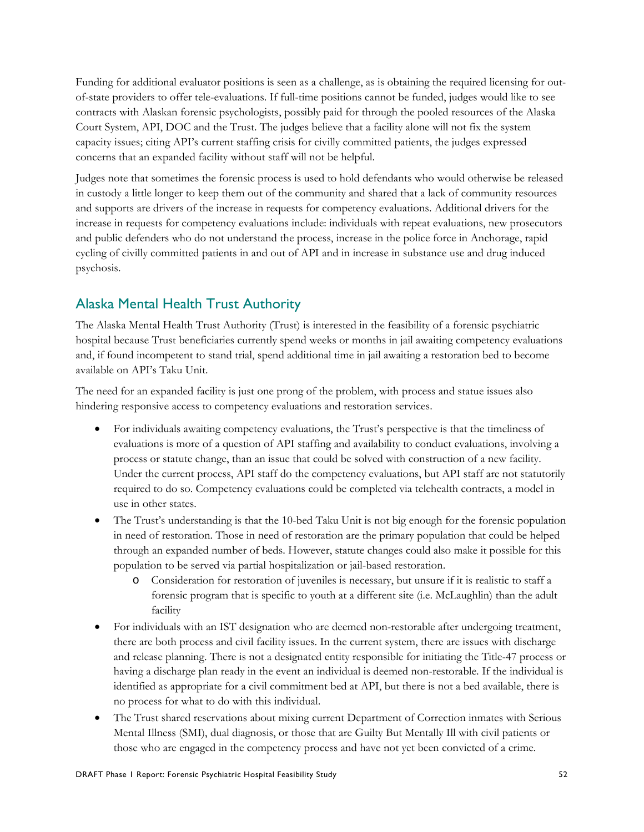Funding for additional evaluator positions is seen as a challenge, as is obtaining the required licensing for outof-state providers to offer tele-evaluations. If full-time positions cannot be funded, judges would like to see contracts with Alaskan forensic psychologists, possibly paid for through the pooled resources of the Alaska Court System, API, DOC and the Trust. The judges believe that a facility alone will not fix the system capacity issues; citing API's current staffing crisis for civilly committed patients, the judges expressed concerns that an expanded facility without staff will not be helpful.

Judges note that sometimes the forensic process is used to hold defendants who would otherwise be released in custody a little longer to keep them out of the community and shared that a lack of community resources and supports are drivers of the increase in requests for competency evaluations. Additional drivers for the increase in requests for competency evaluations include: individuals with repeat evaluations, new prosecutors and public defenders who do not understand the process, increase in the police force in Anchorage, rapid cycling of civilly committed patients in and out of API and in increase in substance use and drug induced psychosis.

# Alaska Mental Health Trust Authority

The Alaska Mental Health Trust Authority (Trust) is interested in the feasibility of a forensic psychiatric hospital because Trust beneficiaries currently spend weeks or months in jail awaiting competency evaluations and, if found incompetent to stand trial, spend additional time in jail awaiting a restoration bed to become available on API's Taku Unit.

The need for an expanded facility is just one prong of the problem, with process and statue issues also hindering responsive access to competency evaluations and restoration services.

- For individuals awaiting competency evaluations, the Trust's perspective is that the timeliness of evaluations is more of a question of API staffing and availability to conduct evaluations, involving a process or statute change, than an issue that could be solved with construction of a new facility. Under the current process, API staff do the competency evaluations, but API staff are not statutorily required to do so. Competency evaluations could be completed via telehealth contracts, a model in use in other states.
- The Trust's understanding is that the 10-bed Taku Unit is not big enough for the forensic population in need of restoration. Those in need of restoration are the primary population that could be helped through an expanded number of beds. However, statute changes could also make it possible for this population to be served via partial hospitalization or jail-based restoration.
	- o Consideration for restoration of juveniles is necessary, but unsure if it is realistic to staff a forensic program that is specific to youth at a different site (i.e. McLaughlin) than the adult facility
- For individuals with an IST designation who are deemed non-restorable after undergoing treatment, there are both process and civil facility issues. In the current system, there are issues with discharge and release planning. There is not a designated entity responsible for initiating the Title-47 process or having a discharge plan ready in the event an individual is deemed non-restorable. If the individual is identified as appropriate for a civil commitment bed at API, but there is not a bed available, there is no process for what to do with this individual.
- The Trust shared reservations about mixing current Department of Correction inmates with Serious Mental Illness (SMI), dual diagnosis, or those that are Guilty But Mentally Ill with civil patients or those who are engaged in the competency process and have not yet been convicted of a crime.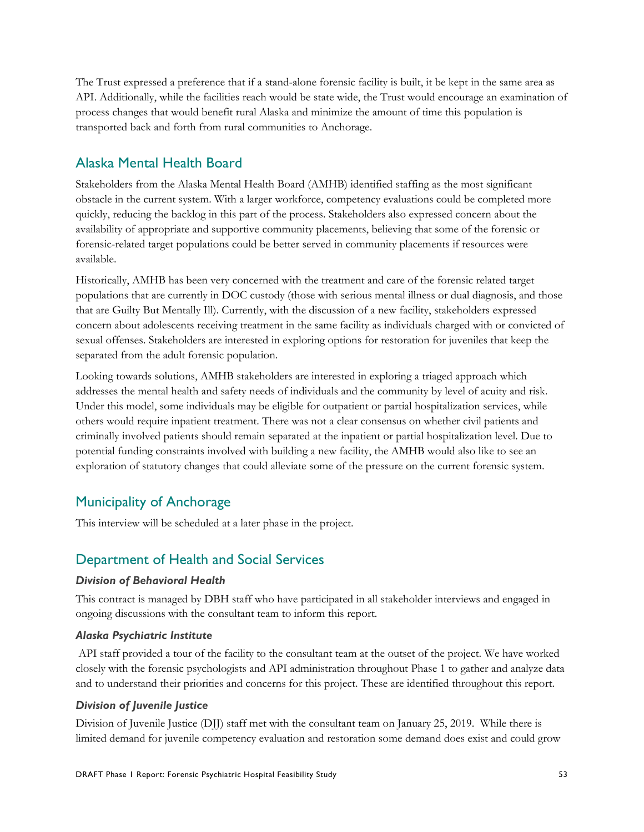The Trust expressed a preference that if a stand-alone forensic facility is built, it be kept in the same area as API. Additionally, while the facilities reach would be state wide, the Trust would encourage an examination of process changes that would benefit rural Alaska and minimize the amount of time this population is transported back and forth from rural communities to Anchorage.

# Alaska Mental Health Board

Stakeholders from the Alaska Mental Health Board (AMHB) identified staffing as the most significant obstacle in the current system. With a larger workforce, competency evaluations could be completed more quickly, reducing the backlog in this part of the process. Stakeholders also expressed concern about the availability of appropriate and supportive community placements, believing that some of the forensic or forensic-related target populations could be better served in community placements if resources were available.

Historically, AMHB has been very concerned with the treatment and care of the forensic related target populations that are currently in DOC custody (those with serious mental illness or dual diagnosis, and those that are Guilty But Mentally Ill). Currently, with the discussion of a new facility, stakeholders expressed concern about adolescents receiving treatment in the same facility as individuals charged with or convicted of sexual offenses. Stakeholders are interested in exploring options for restoration for juveniles that keep the separated from the adult forensic population.

Looking towards solutions, AMHB stakeholders are interested in exploring a triaged approach which addresses the mental health and safety needs of individuals and the community by level of acuity and risk. Under this model, some individuals may be eligible for outpatient or partial hospitalization services, while others would require inpatient treatment. There was not a clear consensus on whether civil patients and criminally involved patients should remain separated at the inpatient or partial hospitalization level. Due to potential funding constraints involved with building a new facility, the AMHB would also like to see an exploration of statutory changes that could alleviate some of the pressure on the current forensic system.

## Municipality of Anchorage

This interview will be scheduled at a later phase in the project.

# Department of Health and Social Services

### *Division of Behavioral Health*

This contract is managed by DBH staff who have participated in all stakeholder interviews and engaged in ongoing discussions with the consultant team to inform this report.

### *Alaska Psychiatric Institute*

 API staff provided a tour of the facility to the consultant team at the outset of the project. We have worked closely with the forensic psychologists and API administration throughout Phase 1 to gather and analyze data and to understand their priorities and concerns for this project. These are identified throughout this report.

### *Division of Juvenile Justice*

Division of Juvenile Justice (DJJ) staff met with the consultant team on January 25, 2019. While there is limited demand for juvenile competency evaluation and restoration some demand does exist and could grow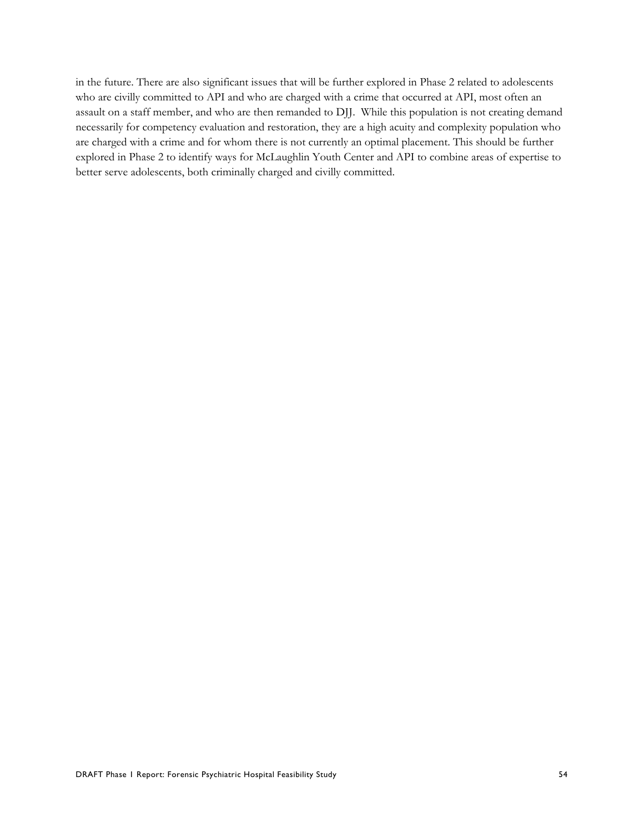in the future. There are also significant issues that will be further explored in Phase 2 related to adolescents who are civilly committed to API and who are charged with a crime that occurred at API, most often an assault on a staff member, and who are then remanded to DJJ. While this population is not creating demand necessarily for competency evaluation and restoration, they are a high acuity and complexity population who are charged with a crime and for whom there is not currently an optimal placement. This should be further explored in Phase 2 to identify ways for McLaughlin Youth Center and API to combine areas of expertise to better serve adolescents, both criminally charged and civilly committed.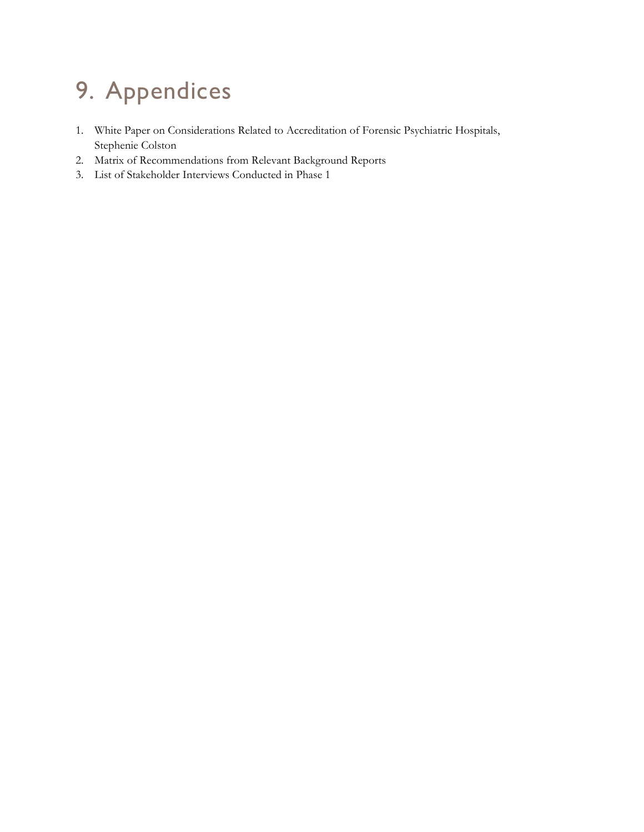# 9. Appendices

- 1. White Paper on Considerations Related to Accreditation of Forensic Psychiatric Hospitals, Stephenie Colston
- 2. Matrix of Recommendations from Relevant Background Reports
- 3. List of Stakeholder Interviews Conducted in Phase 1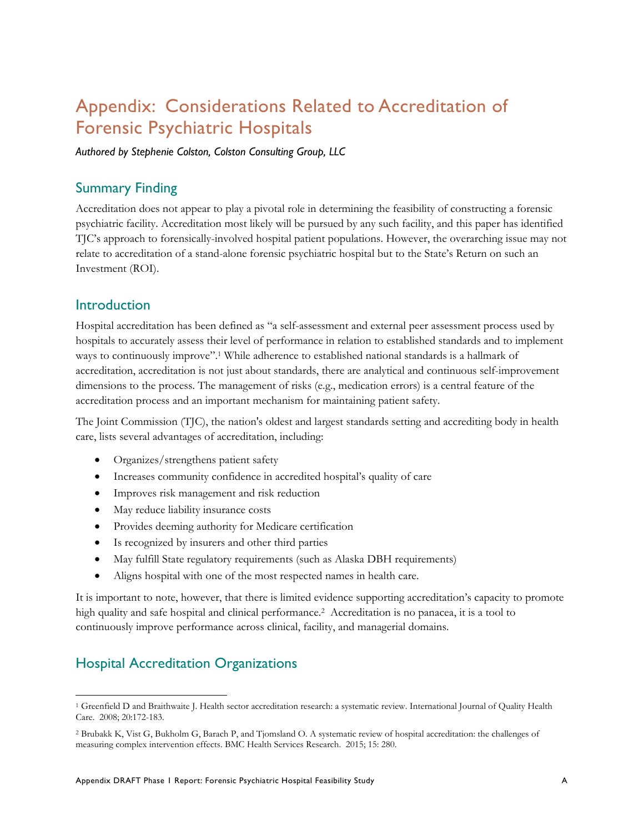# Appendix: Considerations Related to Accreditation of Forensic Psychiatric Hospitals

*Authored by Stephenie Colston, Colston Consulting Group, LLC* 

# Summary Finding

Accreditation does not appear to play a pivotal role in determining the feasibility of constructing a forensic psychiatric facility. Accreditation most likely will be pursued by any such facility, and this paper has identified TJC's approach to forensically-involved hospital patient populations. However, the overarching issue may not relate to accreditation of a stand-alone forensic psychiatric hospital but to the State's Return on such an Investment (ROI).

## Introduction

Hospital accreditation has been defined as "a self-assessment and external peer assessment process used by hospitals to accurately assess their level of performance in relation to established standards and to implement ways to continuously improve".<sup>1</sup> While adherence to established national standards is a hallmark of accreditation, accreditation is not just about standards, there are analytical and continuous self-improvement dimensions to the process. The management of risks (e.g., medication errors) is a central feature of the accreditation process and an important mechanism for maintaining patient safety.

The Joint Commission (TJC), the nation's oldest and largest standards setting and accrediting body in health care, lists several advantages of accreditation, including:

- Organizes/strengthens patient safety
- Increases community confidence in accredited hospital's quality of care
- Improves risk management and risk reduction
- May reduce liability insurance costs
- Provides deeming authority for Medicare certification
- Is recognized by insurers and other third parties
- May fulfill State regulatory requirements (such as Alaska DBH requirements)
- Aligns hospital with one of the most respected names in health care.

It is important to note, however, that there is limited evidence supporting accreditation's capacity to promote high quality and safe hospital and clinical performance.<sup>2</sup> Accreditation is no panacea, it is a tool to continuously improve performance across clinical, facility, and managerial domains.

# Hospital Accreditation Organizations

 $\overline{a}$ 1 Greenfield D and Braithwaite J. Health sector accreditation research: a systematic review. International Journal of Quality Health Care. 2008; 20:172-183.

<sup>2</sup> Brubakk K, Vist G, Bukholm G, Barach P, and Tjomsland O. A systematic review of hospital accreditation: the challenges of measuring complex intervention effects. BMC Health Services Research. 2015; 15: 280.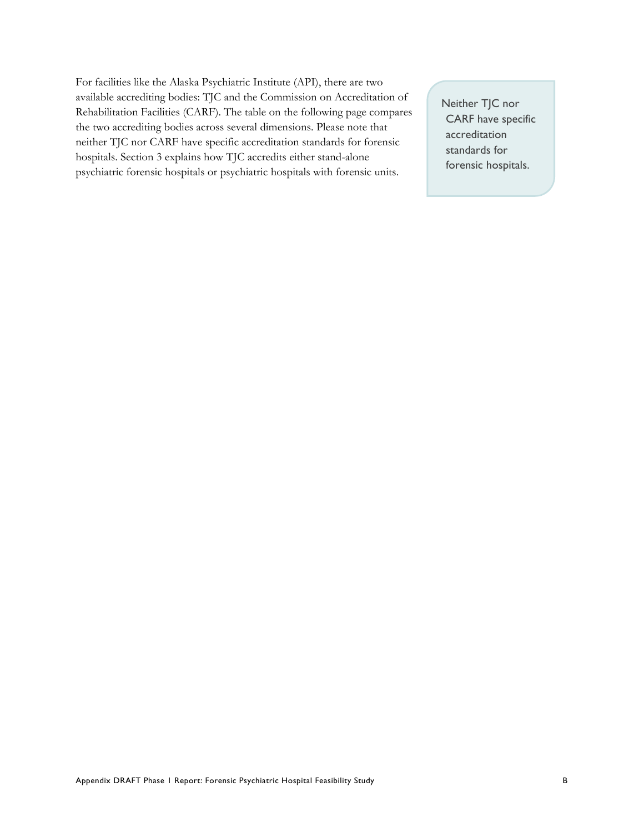For facilities like the Alaska Psychiatric Institute (API), there are two available accrediting bodies: TJC and the Commission on Accreditation of Rehabilitation Facilities (CARF). The table on the following page compares the two accrediting bodies across several dimensions. Please note that neither TJC nor CARF have specific accreditation standards for forensic hospitals. Section 3 explains how TJC accredits either stand-alone psychiatric forensic hospitals or psychiatric hospitals with forensic units.

Neither TJC nor CARF have specific accreditation standards for forensic hospitals.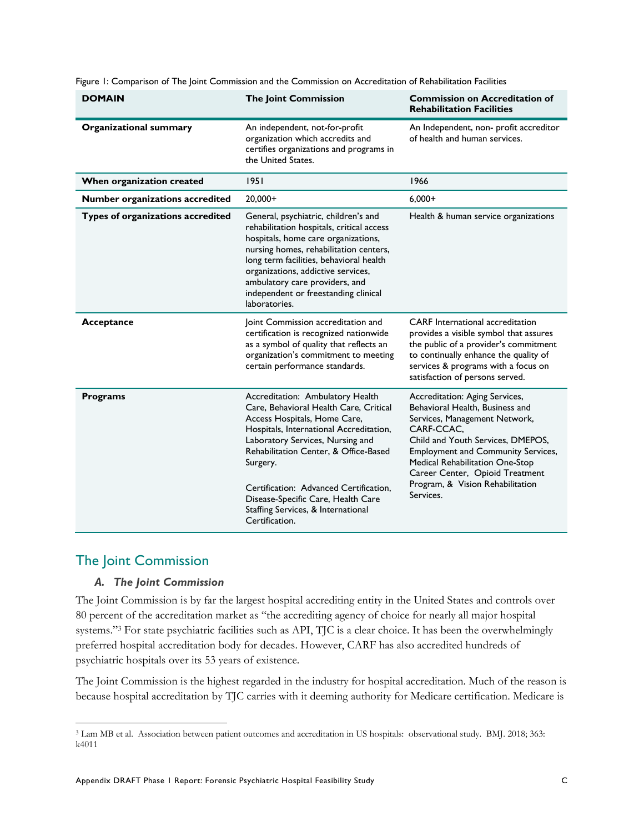| <b>DOMAIN</b>                          | <b>The Joint Commission</b>                                                                                                                                                                                                                                                                                                                                                            | <b>Commission on Accreditation of</b><br><b>Rehabilitation Facilities</b>                                                                                                                                                                                                                                                 |
|----------------------------------------|----------------------------------------------------------------------------------------------------------------------------------------------------------------------------------------------------------------------------------------------------------------------------------------------------------------------------------------------------------------------------------------|---------------------------------------------------------------------------------------------------------------------------------------------------------------------------------------------------------------------------------------------------------------------------------------------------------------------------|
| <b>Organizational summary</b>          | An independent, not-for-profit<br>organization which accredits and<br>certifies organizations and programs in<br>the United States.                                                                                                                                                                                                                                                    | An Independent, non- profit accreditor<br>of health and human services.                                                                                                                                                                                                                                                   |
| When organization created              | 1951                                                                                                                                                                                                                                                                                                                                                                                   | 1966                                                                                                                                                                                                                                                                                                                      |
| <b>Number organizations accredited</b> | $20,000+$                                                                                                                                                                                                                                                                                                                                                                              | $6,000+$                                                                                                                                                                                                                                                                                                                  |
| Types of organizations accredited      | General, psychiatric, children's and<br>rehabilitation hospitals, critical access<br>hospitals, home care organizations,<br>nursing homes, rehabilitation centers,<br>long term facilities, behavioral health<br>organizations, addictive services,<br>ambulatory care providers, and<br>independent or freestanding clinical<br>laboratories.                                         | Health & human service organizations                                                                                                                                                                                                                                                                                      |
| Acceptance                             | Joint Commission accreditation and<br>certification is recognized nationwide<br>as a symbol of quality that reflects an<br>organization's commitment to meeting<br>certain performance standards.                                                                                                                                                                                      | <b>CARF</b> International accreditation<br>provides a visible symbol that assures<br>the public of a provider's commitment<br>to continually enhance the quality of<br>services & programs with a focus on<br>satisfaction of persons served.                                                                             |
| <b>Programs</b>                        | Accreditation: Ambulatory Health<br>Care, Behavioral Health Care, Critical<br>Access Hospitals, Home Care,<br>Hospitals, International Accreditation,<br>Laboratory Services, Nursing and<br>Rehabilitation Center, & Office-Based<br>Surgery.<br>Certification: Advanced Certification.<br>Disease-Specific Care, Health Care<br>Staffing Services, & International<br>Certification. | Accreditation: Aging Services,<br>Behavioral Health, Business and<br>Services, Management Network,<br>CARF-CCAC.<br>Child and Youth Services, DMEPOS,<br><b>Employment and Community Services,</b><br>Medical Rehabilitation One-Stop<br>Career Center, Opioid Treatment<br>Program, & Vision Rehabilitation<br>Services. |

Figure 1: Comparison of The Joint Commission and the Commission on Accreditation of Rehabilitation Facilities

## The Joint Commission

### *A. The Joint Commission*

The Joint Commission is by far the largest hospital accrediting entity in the United States and controls over 80 percent of the accreditation market as "the accrediting agency of choice for nearly all major hospital systems."<sup>3</sup> For state psychiatric facilities such as API, TJC is a clear choice. It has been the overwhelmingly preferred hospital accreditation body for decades. However, CARF has also accredited hundreds of psychiatric hospitals over its 53 years of existence.

The Joint Commission is the highest regarded in the industry for hospital accreditation. Much of the reason is because hospital accreditation by TJC carries with it deeming authority for Medicare certification. Medicare is

<sup>-</sup>3 Lam MB et al. Association between patient outcomes and accreditation in US hospitals: observational study. BMJ. 2018; 363: k4011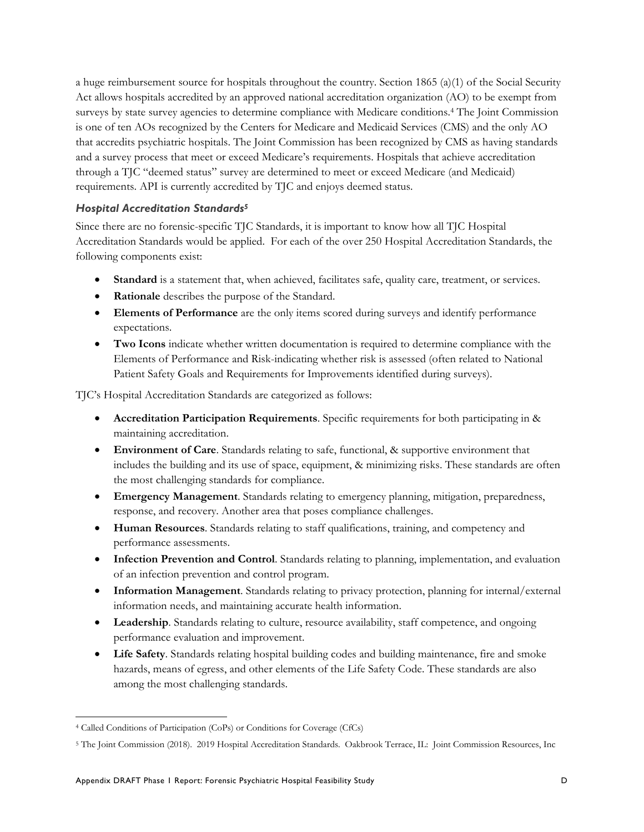a huge reimbursement source for hospitals throughout the country. Section 1865 (a)(1) of the Social Security Act allows hospitals accredited by an approved national accreditation organization (AO) to be exempt from surveys by state survey agencies to determine compliance with Medicare conditions.<sup>4</sup> The Joint Commission is one of ten AOs recognized by the Centers for Medicare and Medicaid Services (CMS) and the only AO that accredits psychiatric hospitals. The Joint Commission has been recognized by CMS as having standards and a survey process that meet or exceed Medicare's requirements. Hospitals that achieve accreditation through a TJC "deemed status" survey are determined to meet or exceed Medicare (and Medicaid) requirements. API is currently accredited by TJC and enjoys deemed status.

### *Hospital Accreditation Standards5*

Since there are no forensic-specific TJC Standards, it is important to know how all TJC Hospital Accreditation Standards would be applied. For each of the over 250 Hospital Accreditation Standards, the following components exist:

- **Standard** is a statement that, when achieved, facilitates safe, quality care, treatment, or services.
- **Rationale** describes the purpose of the Standard.
- **Elements of Performance** are the only items scored during surveys and identify performance expectations.
- **Two Icons** indicate whether written documentation is required to determine compliance with the Elements of Performance and Risk-indicating whether risk is assessed (often related to National Patient Safety Goals and Requirements for Improvements identified during surveys).

TJC's Hospital Accreditation Standards are categorized as follows:

- **Accreditation Participation Requirements**. Specific requirements for both participating in & maintaining accreditation.
- **Environment of Care**. Standards relating to safe, functional, & supportive environment that includes the building and its use of space, equipment, & minimizing risks. These standards are often the most challenging standards for compliance.
- **Emergency Management**. Standards relating to emergency planning, mitigation, preparedness, response, and recovery. Another area that poses compliance challenges.
- **Human Resources**. Standards relating to staff qualifications, training, and competency and performance assessments.
- **Infection Prevention and Control**. Standards relating to planning, implementation, and evaluation of an infection prevention and control program.
- **Information Management**. Standards relating to privacy protection, planning for internal/external information needs, and maintaining accurate health information.
- **Leadership**. Standards relating to culture, resource availability, staff competence, and ongoing performance evaluation and improvement.
- **Life Safety**. Standards relating hospital building codes and building maintenance, fire and smoke hazards, means of egress, and other elements of the Life Safety Code. These standards are also among the most challenging standards.

<sup>-</sup>4 Called Conditions of Participation (CoPs) or Conditions for Coverage (CfCs)

<sup>5</sup> The Joint Commission (2018). 2019 Hospital Accreditation Standards. Oakbrook Terrace, IL: Joint Commission Resources, Inc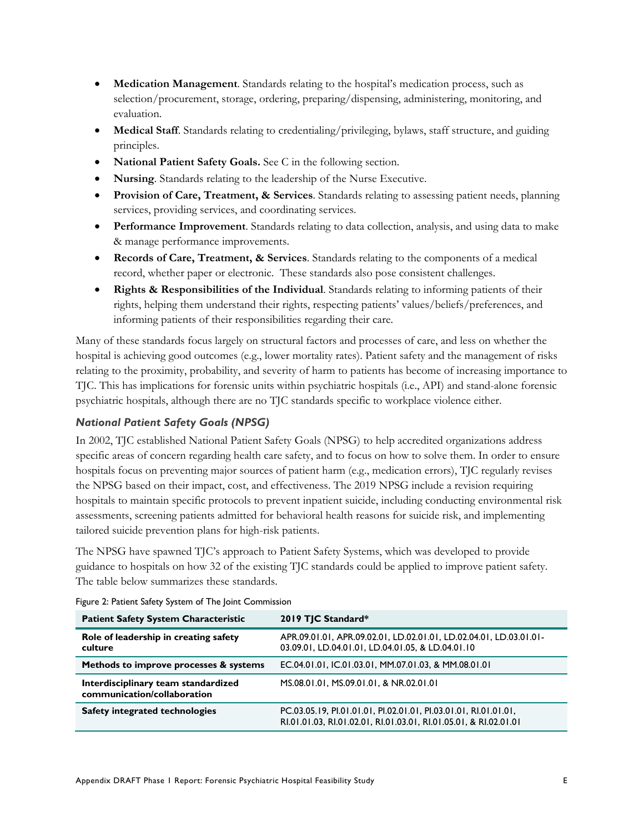- **Medication Management**. Standards relating to the hospital's medication process, such as selection/procurement, storage, ordering, preparing/dispensing, administering, monitoring, and evaluation.
- **Medical Staff**. Standards relating to credentialing/privileging, bylaws, staff structure, and guiding principles.
- **National Patient Safety Goals.** See C in the following section.
- **Nursing**. Standards relating to the leadership of the Nurse Executive.
- **Provision of Care, Treatment, & Services**. Standards relating to assessing patient needs, planning services, providing services, and coordinating services.
- **Performance Improvement**. Standards relating to data collection, analysis, and using data to make & manage performance improvements.
- **Records of Care, Treatment, & Services**. Standards relating to the components of a medical record, whether paper or electronic. These standards also pose consistent challenges.
- **Rights & Responsibilities of the Individual**. Standards relating to informing patients of their rights, helping them understand their rights, respecting patients' values/beliefs/preferences, and informing patients of their responsibilities regarding their care.

Many of these standards focus largely on structural factors and processes of care, and less on whether the hospital is achieving good outcomes (e.g., lower mortality rates). Patient safety and the management of risks relating to the proximity, probability, and severity of harm to patients has become of increasing importance to TJC. This has implications for forensic units within psychiatric hospitals (i.e., API) and stand-alone forensic psychiatric hospitals, although there are no TJC standards specific to workplace violence either.

## *National Patient Safety Goals (NPSG)*

In 2002, TJC established National Patient Safety Goals (NPSG) to help accredited organizations address specific areas of concern regarding health care safety, and to focus on how to solve them. In order to ensure hospitals focus on preventing major sources of patient harm (e.g., medication errors), TJC regularly revises the NPSG based on their impact, cost, and effectiveness. The 2019 NPSG include a revision requiring hospitals to maintain specific protocols to prevent inpatient suicide, including conducting environmental risk assessments, screening patients admitted for behavioral health reasons for suicide risk, and implementing tailored suicide prevention plans for high-risk patients.

The NPSG have spawned TJC's approach to Patient Safety Systems, which was developed to provide guidance to hospitals on how 32 of the existing TJC standards could be applied to improve patient safety. The table below summarizes these standards.

| <b>Patient Safety System Characteristic</b>                        | 2019 TJC Standard*                                                                                                                    |
|--------------------------------------------------------------------|---------------------------------------------------------------------------------------------------------------------------------------|
| Role of leadership in creating safety<br>culture                   | APR.09.01.01, APR.09.02.01, LD.02.01.01, LD.02.04.01, LD.03.01.01-<br>03.09.01, LD.04.01.01, LD.04.01.05, & LD.04.01.10               |
| Methods to improve processes & systems                             | EC.04.01.01, IC.01.03.01, MM.07.01.03, & MM.08.01.01                                                                                  |
| Interdisciplinary team standardized<br>communication/collaboration | MS.08.01.01, MS.09.01.01, & NR.02.01.01                                                                                               |
| Safety integrated technologies                                     | PC.03.05.19, PI.01.01.01, PI.02.01.01, PI.03.01.01, RI.01.01.01,<br>RI.01.01.03, RI.01.02.01, RI.01.03.01, RI.01.05.01, & RI.02.01.01 |

Figure 2: Patient Safety System of The Joint Commission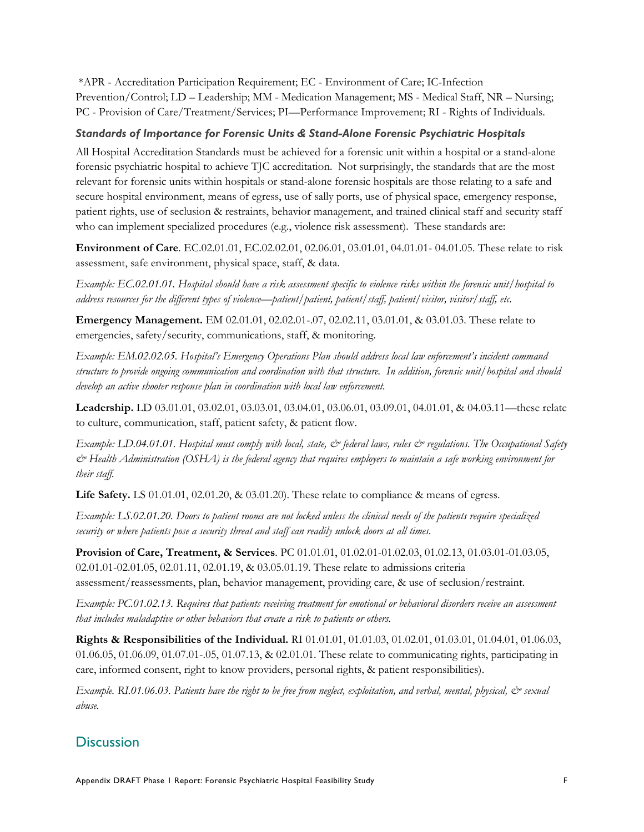\*APR - Accreditation Participation Requirement; EC - Environment of Care; IC-Infection Prevention/Control; LD – Leadership; MM - Medication Management; MS - Medical Staff, NR – Nursing; PC - Provision of Care/Treatment/Services; PI—Performance Improvement; RI - Rights of Individuals.

### *Standards of Importance for Forensic Units & Stand-Alone Forensic Psychiatric Hospitals*

All Hospital Accreditation Standards must be achieved for a forensic unit within a hospital or a stand-alone forensic psychiatric hospital to achieve TJC accreditation. Not surprisingly, the standards that are the most relevant for forensic units within hospitals or stand-alone forensic hospitals are those relating to a safe and secure hospital environment, means of egress, use of sally ports, use of physical space, emergency response, patient rights, use of seclusion & restraints, behavior management, and trained clinical staff and security staff who can implement specialized procedures (e.g., violence risk assessment). These standards are:

**Environment of Care**. EC.02.01.01, EC.02.02.01, 02.06.01, 03.01.01, 04.01.01- 04.01.05. These relate to risk assessment, safe environment, physical space, staff, & data.

*Example: EC.02.01.01. Hospital should have a risk assessment specific to violence risks within the forensic unit/hospital to address resources for the different types of violence—patient/patient, patient/staff, patient/visitor, visitor/staff, etc.* 

**Emergency Management.** EM 02.01.01, 02.02.01-.07, 02.02.11, 03.01.01, & 03.01.03. These relate to emergencies, safety/security, communications, staff, & monitoring.

*Example: EM.02.02.05. Hospital's Emergency Operations Plan should address local law enforcement's incident command structure to provide ongoing communication and coordination with that structure. In addition, forensic unit/hospital and should develop an active shooter response plan in coordination with local law enforcement.* 

Leadership. LD 03.01.01, 03.02.01, 03.03.01, 03.04.01, 03.06.01, 03.09.01, 04.01.01, & 04.03.11—these relate to culture, communication, staff, patient safety, & patient flow.

*Example: LD.04.01.01. Hospital must comply with local, state, & federal laws, rules & regulations. The Occupational Safety & Health Administration (OSHA) is the federal agency that requires employers to maintain a safe working environment for their staff.* 

**Life Safety.** LS 01.01.01, 02.01.20, & 03.01.20). These relate to compliance & means of egress.

*Example: LS.02.01.20. Doors to patient rooms are not locked unless the clinical needs of the patients require specialized security or where patients pose a security threat and staff can readily unlock doors at all times.* 

**Provision of Care, Treatment, & Services**. PC 01.01.01, 01.02.01-01.02.03, 01.02.13, 01.03.01-01.03.05, 02.01.01-02.01.05, 02.01.11, 02.01.19, & 03.05.01.19. These relate to admissions criteria assessment/reassessments, plan, behavior management, providing care, & use of seclusion/restraint.

*Example: PC.01.02.13. Requires that patients receiving treatment for emotional or behavioral disorders receive an assessment that includes maladaptive or other behaviors that create a risk to patients or others.* 

**Rights & Responsibilities of the Individual.** RI 01.01.01, 01.01.03, 01.02.01, 01.03.01, 01.04.01, 01.06.03, 01.06.05, 01.06.09, 01.07.01-.05, 01.07.13, & 02.01.01. These relate to communicating rights, participating in care, informed consent, right to know providers, personal rights, & patient responsibilities).

*Example. RI.01.06.03. Patients have the right to be free from neglect, exploitation, and verbal, mental, physical, & sexual abuse.* 

## **Discussion**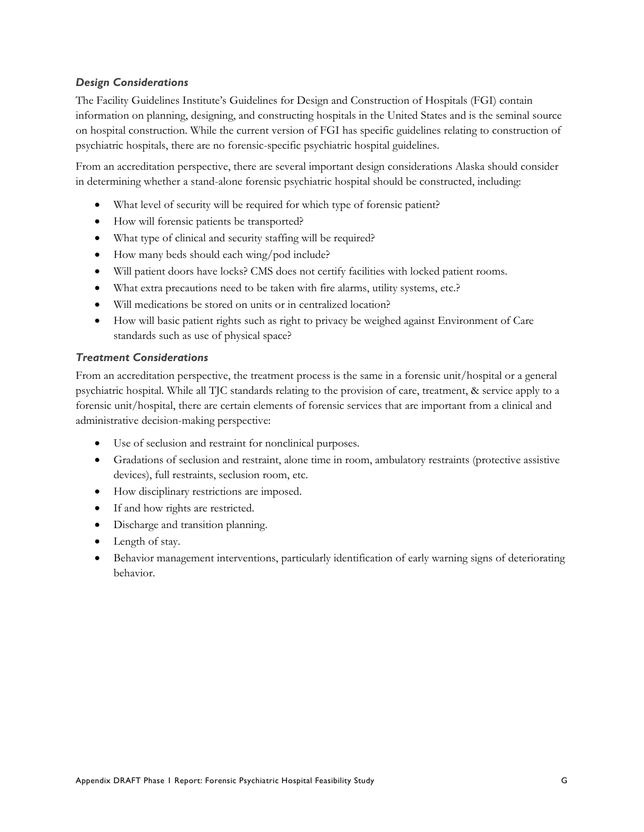### *Design Considerations*

The Facility Guidelines Institute's Guidelines for Design and Construction of Hospitals (FGI) contain information on planning, designing, and constructing hospitals in the United States and is the seminal source on hospital construction. While the current version of FGI has specific guidelines relating to construction of psychiatric hospitals, there are no forensic-specific psychiatric hospital guidelines.

From an accreditation perspective, there are several important design considerations Alaska should consider in determining whether a stand-alone forensic psychiatric hospital should be constructed, including:

- What level of security will be required for which type of forensic patient?
- How will forensic patients be transported?
- What type of clinical and security staffing will be required?
- How many beds should each wing/pod include?
- Will patient doors have locks? CMS does not certify facilities with locked patient rooms.
- What extra precautions need to be taken with fire alarms, utility systems, etc.?
- Will medications be stored on units or in centralized location?
- How will basic patient rights such as right to privacy be weighed against Environment of Care standards such as use of physical space?

### *Treatment Considerations*

From an accreditation perspective, the treatment process is the same in a forensic unit/hospital or a general psychiatric hospital. While all TJC standards relating to the provision of care, treatment, & service apply to a forensic unit/hospital, there are certain elements of forensic services that are important from a clinical and administrative decision-making perspective:

- Use of seclusion and restraint for nonclinical purposes.
- Gradations of seclusion and restraint, alone time in room, ambulatory restraints (protective assistive devices), full restraints, seclusion room, etc.
- How disciplinary restrictions are imposed.
- If and how rights are restricted.
- Discharge and transition planning.
- Length of stay.
- Behavior management interventions, particularly identification of early warning signs of deteriorating behavior.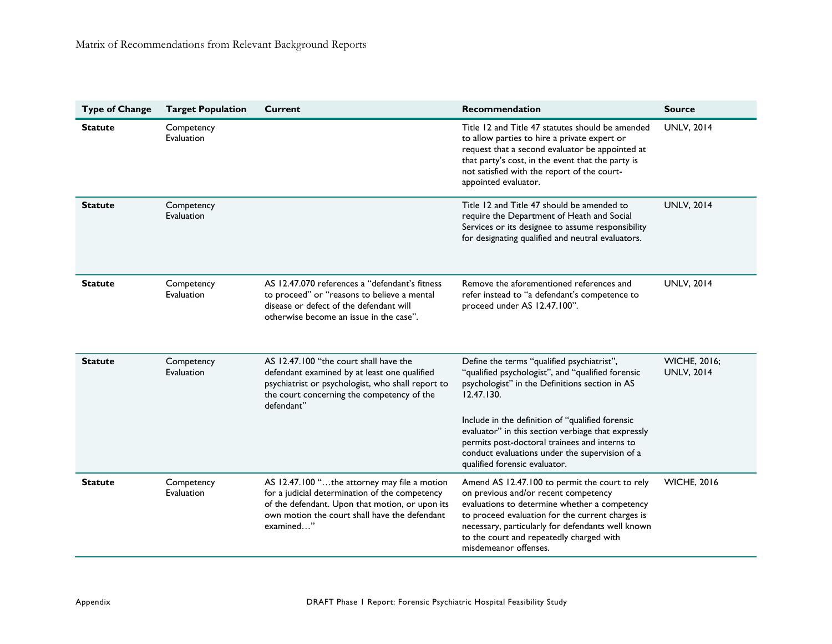| <b>Type of Change</b> | <b>Target Population</b> | Current                                                                                                                                                                                                         | <b>Recommendation</b>                                                                                                                                                                                                                                                                                                 | <b>Source</b>                            |
|-----------------------|--------------------------|-----------------------------------------------------------------------------------------------------------------------------------------------------------------------------------------------------------------|-----------------------------------------------------------------------------------------------------------------------------------------------------------------------------------------------------------------------------------------------------------------------------------------------------------------------|------------------------------------------|
| <b>Statute</b>        | Competency<br>Evaluation |                                                                                                                                                                                                                 | Title 12 and Title 47 statutes should be amended<br>to allow parties to hire a private expert or<br>request that a second evaluator be appointed at<br>that party's cost, in the event that the party is<br>not satisfied with the report of the court-<br>appointed evaluator.                                       | <b>UNLV, 2014</b>                        |
| <b>Statute</b>        | Competency<br>Evaluation |                                                                                                                                                                                                                 | Title 12 and Title 47 should be amended to<br>require the Department of Heath and Social<br>Services or its designee to assume responsibility<br>for designating qualified and neutral evaluators.                                                                                                                    | <b>UNLV, 2014</b>                        |
| <b>Statute</b>        | Competency<br>Evaluation | AS 12.47.070 references a "defendant's fitness<br>to proceed" or "reasons to believe a mental<br>disease or defect of the defendant will<br>otherwise become an issue in the case".                             | Remove the aforementioned references and<br>refer instead to "a defendant's competence to<br>proceed under AS 12.47.100".                                                                                                                                                                                             | <b>UNLV, 2014</b>                        |
| <b>Statute</b>        | Competency<br>Evaluation | AS 12.47.100 "the court shall have the<br>defendant examined by at least one qualified<br>psychiatrist or psychologist, who shall report to<br>the court concerning the competency of the<br>defendant"         | Define the terms "qualified psychiatrist",<br>"qualified psychologist", and "qualified forensic<br>psychologist" in the Definitions section in AS<br>12.47.130.                                                                                                                                                       | <b>WICHE, 2016;</b><br><b>UNLV, 2014</b> |
|                       |                          |                                                                                                                                                                                                                 | Include in the definition of "qualified forensic<br>evaluator" in this section verbiage that expressly<br>permits post-doctoral trainees and interns to<br>conduct evaluations under the supervision of a<br>qualified forensic evaluator.                                                                            |                                          |
| <b>Statute</b>        | Competency<br>Evaluation | AS 12.47.100 "the attorney may file a motion<br>for a judicial determination of the competency<br>of the defendant. Upon that motion, or upon its<br>own motion the court shall have the defendant<br>examined" | Amend AS 12.47.100 to permit the court to rely<br>on previous and/or recent competency<br>evaluations to determine whether a competency<br>to proceed evaluation for the current charges is<br>necessary, particularly for defendants well known<br>to the court and repeatedly charged with<br>misdemeanor offenses. | <b>WICHE, 2016</b>                       |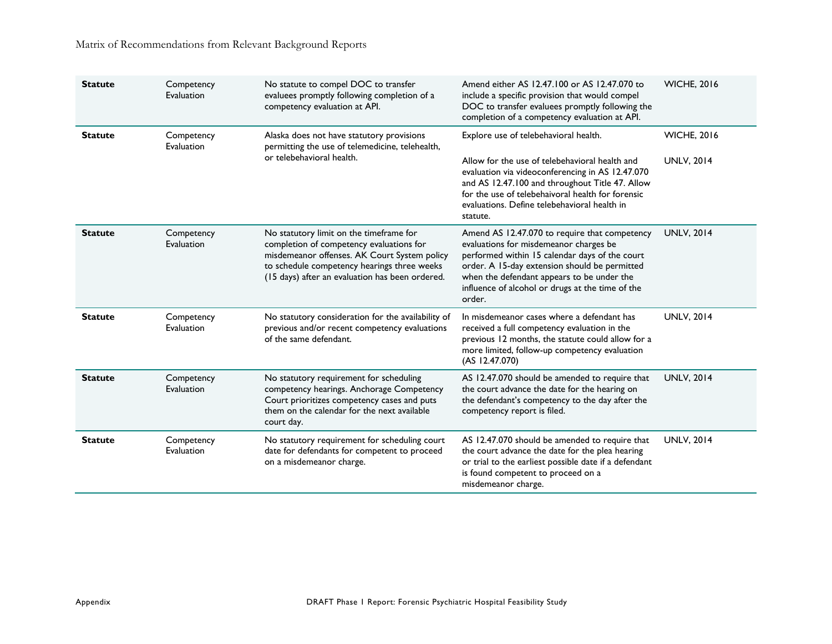| <b>Statute</b> | Competency<br>Evaluation | No statute to compel DOC to transfer<br>evaluees promptly following completion of a<br>competency evaluation at API.                                                                                                                  | Amend either AS 12.47.100 or AS 12.47.070 to<br>include a specific provision that would compel<br>DOC to transfer evaluees promptly following the<br>completion of a competency evaluation at API.                                                                                                     | <b>WICHE, 2016</b> |
|----------------|--------------------------|---------------------------------------------------------------------------------------------------------------------------------------------------------------------------------------------------------------------------------------|--------------------------------------------------------------------------------------------------------------------------------------------------------------------------------------------------------------------------------------------------------------------------------------------------------|--------------------|
| <b>Statute</b> | Competency<br>Evaluation | Alaska does not have statutory provisions<br>permitting the use of telemedicine, telehealth,                                                                                                                                          | Explore use of telebehavioral health.                                                                                                                                                                                                                                                                  | <b>WICHE, 2016</b> |
|                |                          | or telebehavioral health.                                                                                                                                                                                                             | Allow for the use of telebehavioral health and<br>evaluation via videoconferencing in AS 12.47.070<br>and AS 12.47.100 and throughout Title 47. Allow<br>for the use of telebehaivoral health for forensic<br>evaluations. Define telebehavioral health in<br>statute.                                 | <b>UNLV, 2014</b>  |
| <b>Statute</b> | Competency<br>Evaluation | No statutory limit on the timeframe for<br>completion of competency evaluations for<br>misdemeanor offenses. AK Court System policy<br>to schedule competency hearings three weeks<br>(15 days) after an evaluation has been ordered. | Amend AS 12.47.070 to require that competency<br>evaluations for misdemeanor charges be<br>performed within 15 calendar days of the court<br>order. A 15-day extension should be permitted<br>when the defendant appears to be under the<br>influence of alcohol or drugs at the time of the<br>order. | <b>UNLV, 2014</b>  |
| <b>Statute</b> | Competency<br>Evaluation | No statutory consideration for the availability of<br>previous and/or recent competency evaluations<br>of the same defendant.                                                                                                         | In misdemeanor cases where a defendant has<br>received a full competency evaluation in the<br>previous 12 months, the statute could allow for a<br>more limited, follow-up competency evaluation<br>(AS 12.47.070)                                                                                     | <b>UNLV, 2014</b>  |
| <b>Statute</b> | Competency<br>Evaluation | No statutory requirement for scheduling<br>competency hearings. Anchorage Competency<br>Court prioritizes competency cases and puts<br>them on the calendar for the next available<br>court day.                                      | AS 12.47.070 should be amended to require that<br>the court advance the date for the hearing on<br>the defendant's competency to the day after the<br>competency report is filed.                                                                                                                      | <b>UNLV, 2014</b>  |
| <b>Statute</b> | Competency<br>Evaluation | No statutory requirement for scheduling court<br>date for defendants for competent to proceed<br>on a misdemeanor charge.                                                                                                             | AS 12.47.070 should be amended to require that<br>the court advance the date for the plea hearing<br>or trial to the earliest possible date if a defendant<br>is found competent to proceed on a<br>misdemeanor charge.                                                                                | <b>UNLV, 2014</b>  |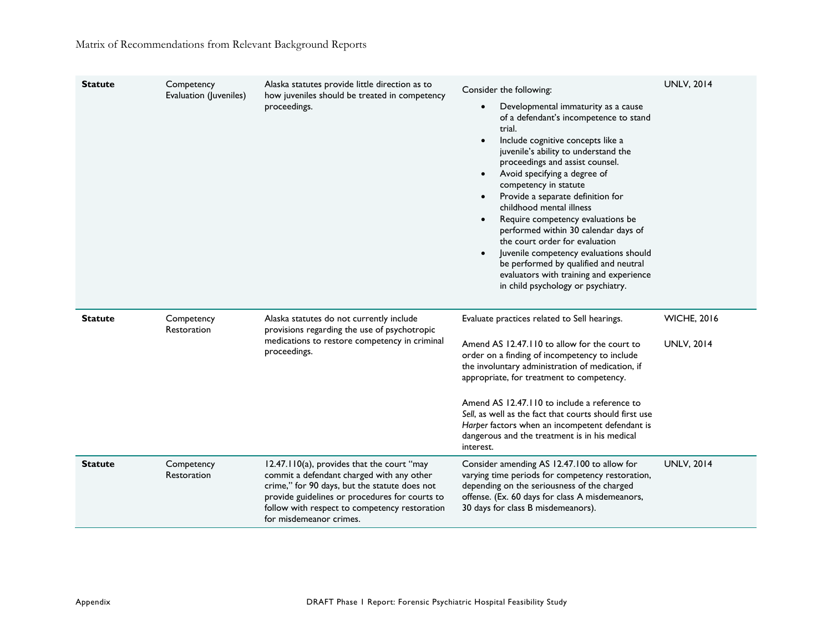| <b>Statute</b> | Competency<br>Evaluation (Juveniles) | Alaska statutes provide little direction as to<br>how juveniles should be treated in competency<br>proceedings.                                                                                                                                                        | Consider the following:<br>Developmental immaturity as a cause<br>of a defendant's incompetence to stand<br>trial.<br>Include cognitive concepts like a<br>juvenile's ability to understand the<br>proceedings and assist counsel.<br>Avoid specifying a degree of<br>$\bullet$<br>competency in statute<br>Provide a separate definition for<br>$\bullet$<br>childhood mental illness<br>Require competency evaluations be<br>$\bullet$<br>performed within 30 calendar days of<br>the court order for evaluation<br>Juvenile competency evaluations should<br>$\bullet$<br>be performed by qualified and neutral<br>evaluators with training and experience<br>in child psychology or psychiatry. | <b>UNLV, 2014</b>                       |
|----------------|--------------------------------------|------------------------------------------------------------------------------------------------------------------------------------------------------------------------------------------------------------------------------------------------------------------------|-----------------------------------------------------------------------------------------------------------------------------------------------------------------------------------------------------------------------------------------------------------------------------------------------------------------------------------------------------------------------------------------------------------------------------------------------------------------------------------------------------------------------------------------------------------------------------------------------------------------------------------------------------------------------------------------------------|-----------------------------------------|
| <b>Statute</b> | Competency<br>Restoration            | Alaska statutes do not currently include<br>provisions regarding the use of psychotropic<br>medications to restore competency in criminal<br>proceedings.                                                                                                              | Evaluate practices related to Sell hearings.<br>Amend AS 12.47.110 to allow for the court to<br>order on a finding of incompetency to include<br>the involuntary administration of medication, if<br>appropriate, for treatment to competency.<br>Amend AS 12.47.110 to include a reference to<br>Sell, as well as the fact that courts should first use<br>Harper factors when an incompetent defendant is<br>dangerous and the treatment is in his medical<br>interest.                                                                                                                                                                                                                           | <b>WICHE, 2016</b><br><b>UNLV, 2014</b> |
| <b>Statute</b> | Competency<br>Restoration            | 12.47.110(a), provides that the court "may<br>commit a defendant charged with any other<br>crime," for 90 days, but the statute does not<br>provide guidelines or procedures for courts to<br>follow with respect to competency restoration<br>for misdemeanor crimes. | Consider amending AS 12.47.100 to allow for<br>varying time periods for competency restoration,<br>depending on the seriousness of the charged<br>offense. (Ex. 60 days for class A misdemeanors,<br>30 days for class B misdemeanors).                                                                                                                                                                                                                                                                                                                                                                                                                                                             | <b>UNLV, 2014</b>                       |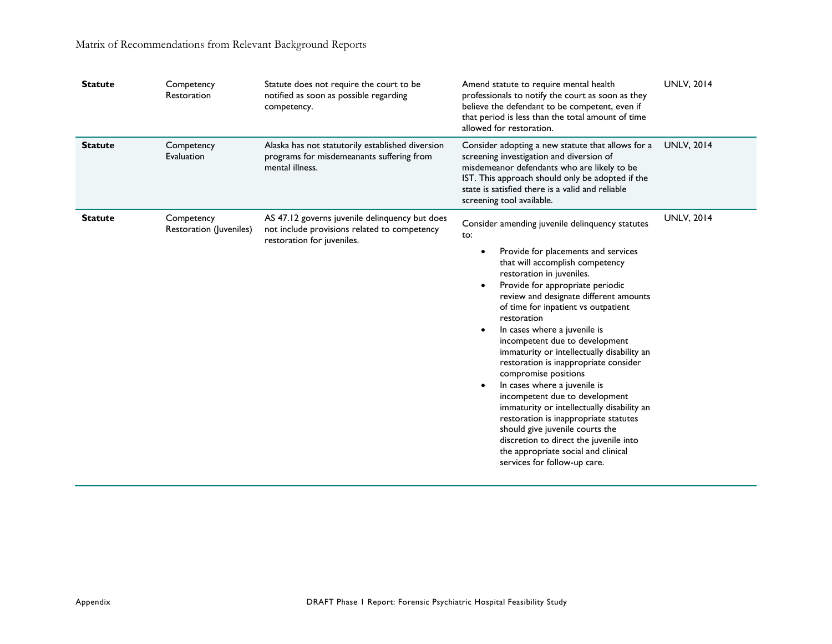| <b>Statute</b> | Competency<br>Restoration             | Statute does not require the court to be<br>notified as soon as possible regarding<br>competency.                            | Amend statute to require mental health<br>professionals to notify the court as soon as they<br>believe the defendant to be competent, even if<br>that period is less than the total amount of time<br>allowed for restoration.                                                                                                                                                                                                                                                                                                                                                                                                                                                                                                                                                                  | <b>UNLV, 2014</b> |
|----------------|---------------------------------------|------------------------------------------------------------------------------------------------------------------------------|-------------------------------------------------------------------------------------------------------------------------------------------------------------------------------------------------------------------------------------------------------------------------------------------------------------------------------------------------------------------------------------------------------------------------------------------------------------------------------------------------------------------------------------------------------------------------------------------------------------------------------------------------------------------------------------------------------------------------------------------------------------------------------------------------|-------------------|
| <b>Statute</b> | Competency<br>Evaluation              | Alaska has not statutorily established diversion<br>programs for misdemeanants suffering from<br>mental illness.             | Consider adopting a new statute that allows for a<br>screening investigation and diversion of<br>misdemeanor defendants who are likely to be<br>IST. This approach should only be adopted if the<br>state is satisfied there is a valid and reliable<br>screening tool available.                                                                                                                                                                                                                                                                                                                                                                                                                                                                                                               | <b>UNLV, 2014</b> |
| <b>Statute</b> | Competency<br>Restoration (Juveniles) | AS 47.12 governs juvenile delinquency but does<br>not include provisions related to competency<br>restoration for juveniles. | Consider amending juvenile delinquency statutes<br>to:<br>Provide for placements and services<br>that will accomplish competency<br>restoration in juveniles.<br>Provide for appropriate periodic<br>review and designate different amounts<br>of time for inpatient vs outpatient<br>restoration<br>In cases where a juvenile is<br>incompetent due to development<br>immaturity or intellectually disability an<br>restoration is inappropriate consider<br>compromise positions<br>In cases where a juvenile is<br>incompetent due to development<br>immaturity or intellectually disability an<br>restoration is inappropriate statutes<br>should give juvenile courts the<br>discretion to direct the juvenile into<br>the appropriate social and clinical<br>services for follow-up care. | <b>UNLV, 2014</b> |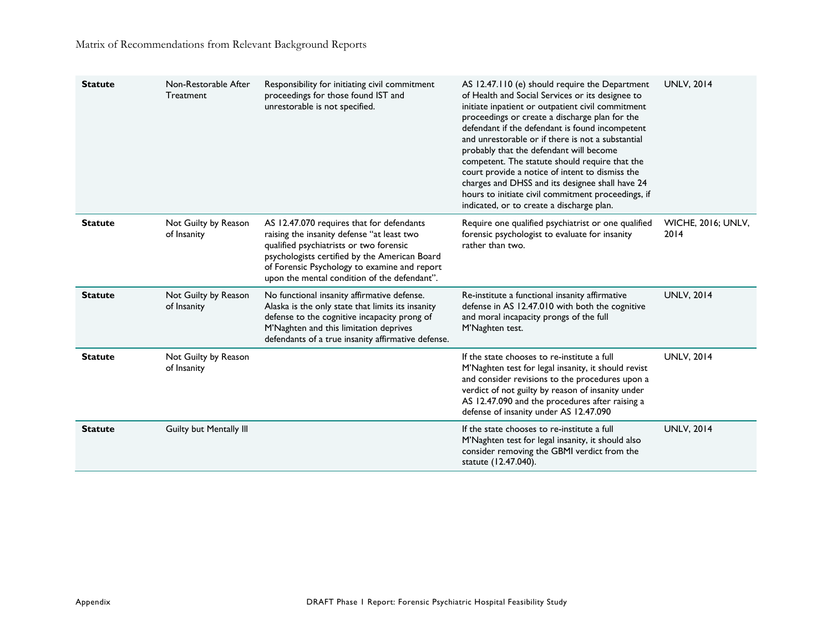| <b>Statute</b> | Non-Restorable After<br>Treatment   | Responsibility for initiating civil commitment<br>proceedings for those found IST and<br>unrestorable is not specified.                                                                                                                                                             | AS 12.47.110 (e) should require the Department<br>of Health and Social Services or its designee to<br>initiate inpatient or outpatient civil commitment<br>proceedings or create a discharge plan for the<br>defendant if the defendant is found incompetent<br>and unrestorable or if there is not a substantial<br>probably that the defendant will become<br>competent. The statute should require that the<br>court provide a notice of intent to dismiss the<br>charges and DHSS and its designee shall have 24<br>hours to initiate civil commitment proceedings, if<br>indicated, or to create a discharge plan. | <b>UNLV, 2014</b>                 |
|----------------|-------------------------------------|-------------------------------------------------------------------------------------------------------------------------------------------------------------------------------------------------------------------------------------------------------------------------------------|-------------------------------------------------------------------------------------------------------------------------------------------------------------------------------------------------------------------------------------------------------------------------------------------------------------------------------------------------------------------------------------------------------------------------------------------------------------------------------------------------------------------------------------------------------------------------------------------------------------------------|-----------------------------------|
| <b>Statute</b> | Not Guilty by Reason<br>of Insanity | AS 12.47.070 requires that for defendants<br>raising the insanity defense "at least two<br>qualified psychiatrists or two forensic<br>psychologists certified by the American Board<br>of Forensic Psychology to examine and report<br>upon the mental condition of the defendant". | Require one qualified psychiatrist or one qualified<br>forensic psychologist to evaluate for insanity<br>rather than two.                                                                                                                                                                                                                                                                                                                                                                                                                                                                                               | <b>WICHE, 2016; UNLV,</b><br>2014 |
| <b>Statute</b> | Not Guilty by Reason<br>of Insanity | No functional insanity affirmative defense.<br>Alaska is the only state that limits its insanity<br>defense to the cognitive incapacity prong of<br>M'Naghten and this limitation deprives<br>defendants of a true insanity affirmative defense.                                    | Re-institute a functional insanity affirmative<br>defense in AS 12.47.010 with both the cognitive<br>and moral incapacity prongs of the full<br>M'Naghten test.                                                                                                                                                                                                                                                                                                                                                                                                                                                         | <b>UNLV, 2014</b>                 |
| <b>Statute</b> | Not Guilty by Reason<br>of Insanity |                                                                                                                                                                                                                                                                                     | If the state chooses to re-institute a full<br>M'Naghten test for legal insanity, it should revist<br>and consider revisions to the procedures upon a<br>verdict of not guilty by reason of insanity under<br>AS 12.47.090 and the procedures after raising a<br>defense of insanity under AS 12.47.090                                                                                                                                                                                                                                                                                                                 | <b>UNLV, 2014</b>                 |
| <b>Statute</b> | Guilty but Mentally III             |                                                                                                                                                                                                                                                                                     | If the state chooses to re-institute a full<br>M'Naghten test for legal insanity, it should also<br>consider removing the GBMI verdict from the<br>statute (12.47.040).                                                                                                                                                                                                                                                                                                                                                                                                                                                 | <b>UNLV, 2014</b>                 |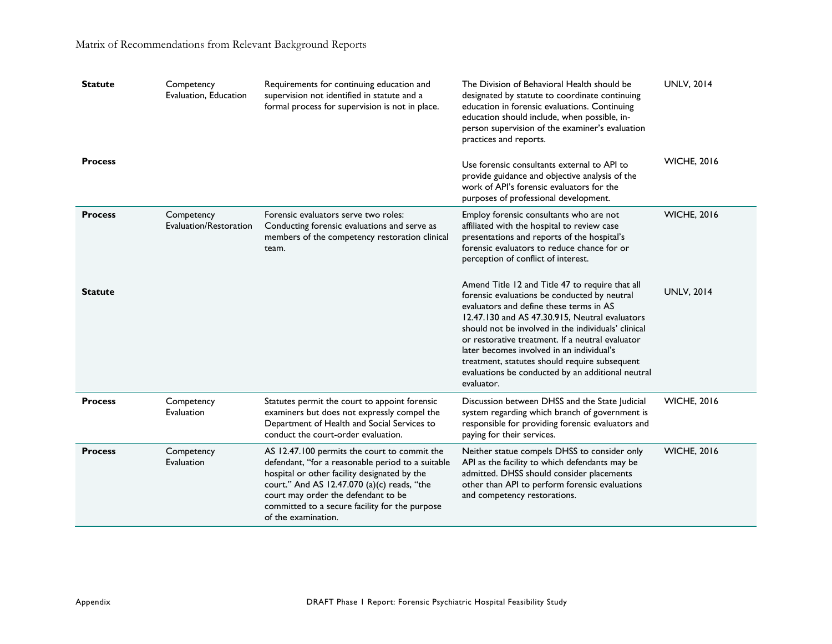| <b>Statute</b> | Competency<br>Evaluation, Education  | Requirements for continuing education and<br>supervision not identified in statute and a<br>formal process for supervision is not in place.                                                                                                                                                                      | The Division of Behavioral Health should be<br>designated by statute to coordinate continuing<br>education in forensic evaluations. Continuing<br>education should include, when possible, in-<br>person supervision of the examiner's evaluation<br>practices and reports.                                                                                                                                                                                              | <b>UNLV, 2014</b>  |
|----------------|--------------------------------------|------------------------------------------------------------------------------------------------------------------------------------------------------------------------------------------------------------------------------------------------------------------------------------------------------------------|--------------------------------------------------------------------------------------------------------------------------------------------------------------------------------------------------------------------------------------------------------------------------------------------------------------------------------------------------------------------------------------------------------------------------------------------------------------------------|--------------------|
| <b>Process</b> |                                      |                                                                                                                                                                                                                                                                                                                  | Use forensic consultants external to API to<br>provide guidance and objective analysis of the<br>work of API's forensic evaluators for the<br>purposes of professional development.                                                                                                                                                                                                                                                                                      | <b>WICHE, 2016</b> |
| <b>Process</b> | Competency<br>Evaluation/Restoration | Forensic evaluators serve two roles:<br>Conducting forensic evaluations and serve as<br>members of the competency restoration clinical<br>team.                                                                                                                                                                  | Employ forensic consultants who are not<br>affiliated with the hospital to review case<br>presentations and reports of the hospital's<br>forensic evaluators to reduce chance for or<br>perception of conflict of interest.                                                                                                                                                                                                                                              | <b>WICHE, 2016</b> |
| <b>Statute</b> |                                      |                                                                                                                                                                                                                                                                                                                  | Amend Title 12 and Title 47 to require that all<br>forensic evaluations be conducted by neutral<br>evaluators and define these terms in AS<br>12.47.130 and AS 47.30.915, Neutral evaluators<br>should not be involved in the individuals' clinical<br>or restorative treatment. If a neutral evaluator<br>later becomes involved in an individual's<br>treatment, statutes should require subsequent<br>evaluations be conducted by an additional neutral<br>evaluator. | <b>UNLV, 2014</b>  |
| <b>Process</b> | Competency<br>Evaluation             | Statutes permit the court to appoint forensic<br>examiners but does not expressly compel the<br>Department of Health and Social Services to<br>conduct the court-order evaluation.                                                                                                                               | Discussion between DHSS and the State Judicial<br>system regarding which branch of government is<br>responsible for providing forensic evaluators and<br>paying for their services.                                                                                                                                                                                                                                                                                      | <b>WICHE, 2016</b> |
| <b>Process</b> | Competency<br>Evaluation             | AS 12.47.100 permits the court to commit the<br>defendant, "for a reasonable period to a suitable<br>hospital or other facility designated by the<br>court." And AS 12.47.070 (a)(c) reads, "the<br>court may order the defendant to be<br>committed to a secure facility for the purpose<br>of the examination. | Neither statue compels DHSS to consider only<br>API as the facility to which defendants may be<br>admitted. DHSS should consider placements<br>other than API to perform forensic evaluations<br>and competency restorations.                                                                                                                                                                                                                                            | <b>WICHE, 2016</b> |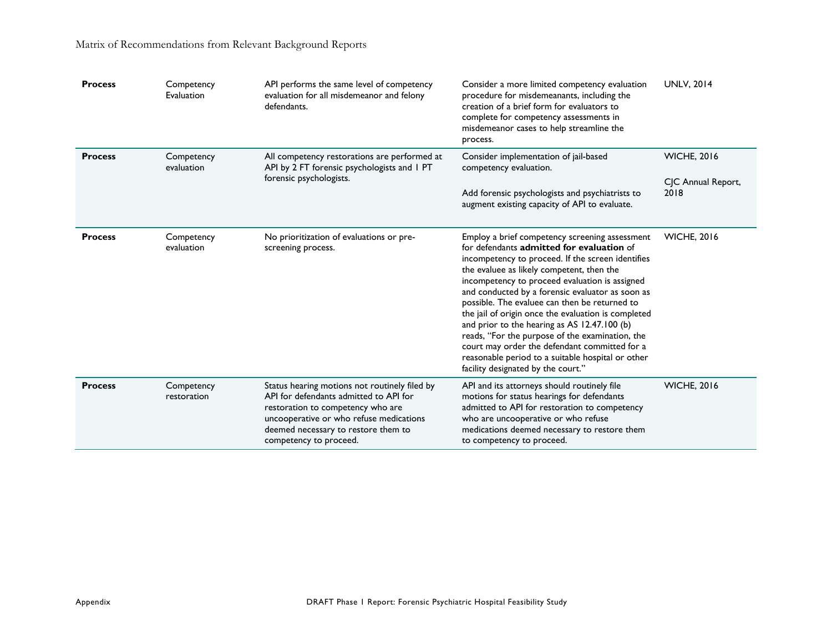| <b>Process</b> | Competency<br>Evaluation  | API performs the same level of competency<br>evaluation for all misdemeanor and felony<br>defendants.                                                                                                                                    | Consider a more limited competency evaluation<br>procedure for misdemeanants, including the<br>creation of a brief form for evaluators to<br>complete for competency assessments in<br>misdemeanor cases to help streamline the<br>process.                                                                                                                                                                                                                                                                                                                                                                                                                | <b>UNLV, 2014</b>          |
|----------------|---------------------------|------------------------------------------------------------------------------------------------------------------------------------------------------------------------------------------------------------------------------------------|------------------------------------------------------------------------------------------------------------------------------------------------------------------------------------------------------------------------------------------------------------------------------------------------------------------------------------------------------------------------------------------------------------------------------------------------------------------------------------------------------------------------------------------------------------------------------------------------------------------------------------------------------------|----------------------------|
| <b>Process</b> | Competency<br>evaluation  | All competency restorations are performed at<br>API by 2 FT forensic psychologists and 1 PT<br>forensic psychologists.                                                                                                                   | Consider implementation of jail-based<br>competency evaluation.                                                                                                                                                                                                                                                                                                                                                                                                                                                                                                                                                                                            | <b>WICHE, 2016</b>         |
|                |                           |                                                                                                                                                                                                                                          | Add forensic psychologists and psychiatrists to<br>augment existing capacity of API to evaluate.                                                                                                                                                                                                                                                                                                                                                                                                                                                                                                                                                           | CIC Annual Report,<br>2018 |
| <b>Process</b> | Competency<br>evaluation  | No prioritization of evaluations or pre-<br>screening process.                                                                                                                                                                           | Employ a brief competency screening assessment<br>for defendants admitted for evaluation of<br>incompetency to proceed. If the screen identifies<br>the evaluee as likely competent, then the<br>incompetency to proceed evaluation is assigned<br>and conducted by a forensic evaluator as soon as<br>possible. The evaluee can then be returned to<br>the jail of origin once the evaluation is completed<br>and prior to the hearing as AS 12.47.100 (b)<br>reads, "For the purpose of the examination, the<br>court may order the defendant committed for a<br>reasonable period to a suitable hospital or other<br>facility designated by the court." | <b>WICHE, 2016</b>         |
| <b>Process</b> | Competency<br>restoration | Status hearing motions not routinely filed by<br>API for defendants admitted to API for<br>restoration to competency who are<br>uncooperative or who refuse medications<br>deemed necessary to restore them to<br>competency to proceed. | API and its attorneys should routinely file<br>motions for status hearings for defendants<br>admitted to API for restoration to competency<br>who are uncooperative or who refuse<br>medications deemed necessary to restore them<br>to competency to proceed.                                                                                                                                                                                                                                                                                                                                                                                             | <b>WICHE, 2016</b>         |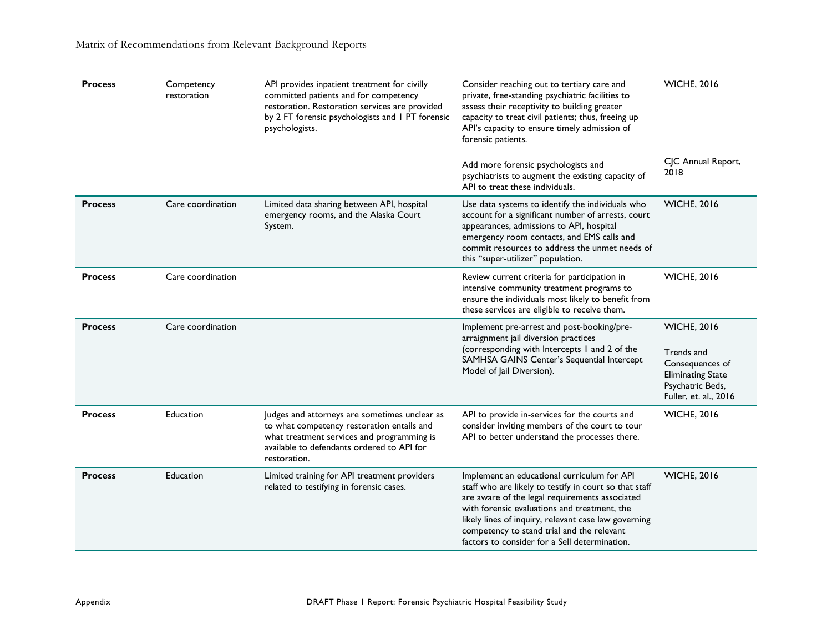| <b>Process</b> | Competency<br>restoration | API provides inpatient treatment for civilly<br>committed patients and for competency<br>restoration. Restoration services are provided<br>by 2 FT forensic psychologists and 1 PT forensic<br>psychologists. | Consider reaching out to tertiary care and<br>private, free-standing psychiatric facilities to<br>assess their receptivity to building greater<br>capacity to treat civil patients; thus, freeing up<br>API's capacity to ensure timely admission of<br>forensic patients.                                                                                     | <b>WICHE, 2016</b>                                                                                                           |
|----------------|---------------------------|---------------------------------------------------------------------------------------------------------------------------------------------------------------------------------------------------------------|----------------------------------------------------------------------------------------------------------------------------------------------------------------------------------------------------------------------------------------------------------------------------------------------------------------------------------------------------------------|------------------------------------------------------------------------------------------------------------------------------|
|                |                           |                                                                                                                                                                                                               | Add more forensic psychologists and<br>psychiatrists to augment the existing capacity of<br>API to treat these individuals.                                                                                                                                                                                                                                    | CJC Annual Report,<br>2018                                                                                                   |
| <b>Process</b> | Care coordination         | Limited data sharing between API, hospital<br>emergency rooms, and the Alaska Court<br>System.                                                                                                                | Use data systems to identify the individuals who<br>account for a significant number of arrests, court<br>appearances, admissions to API, hospital<br>emergency room contacts, and EMS calls and<br>commit resources to address the unmet needs of<br>this "super-utilizer" population.                                                                        | <b>WICHE, 2016</b>                                                                                                           |
| <b>Process</b> | Care coordination         |                                                                                                                                                                                                               | Review current criteria for participation in<br>intensive community treatment programs to<br>ensure the individuals most likely to benefit from<br>these services are eligible to receive them.                                                                                                                                                                | <b>WICHE, 2016</b>                                                                                                           |
| <b>Process</b> | Care coordination         |                                                                                                                                                                                                               | Implement pre-arrest and post-booking/pre-<br>arraignment jail diversion practices<br>(corresponding with Intercepts 1 and 2 of the<br>SAMHSA GAINS Center's Sequential Intercept<br>Model of Jail Diversion).                                                                                                                                                 | <b>WICHE, 2016</b><br>Trends and<br>Consequences of<br><b>Eliminating State</b><br>Psychatric Beds,<br>Fuller, et. al., 2016 |
| <b>Process</b> | Education                 | Judges and attorneys are sometimes unclear as<br>to what competency restoration entails and<br>what treatment services and programming is<br>available to defendants ordered to API for<br>restoration.       | API to provide in-services for the courts and<br>consider inviting members of the court to tour<br>API to better understand the processes there.                                                                                                                                                                                                               | <b>WICHE, 2016</b>                                                                                                           |
| <b>Process</b> | Education                 | Limited training for API treatment providers<br>related to testifying in forensic cases.                                                                                                                      | Implement an educational curriculum for API<br>staff who are likely to testify in court so that staff<br>are aware of the legal requirements associated<br>with forensic evaluations and treatment, the<br>likely lines of inquiry, relevant case law governing<br>competency to stand trial and the relevant<br>factors to consider for a Sell determination. | <b>WICHE, 2016</b>                                                                                                           |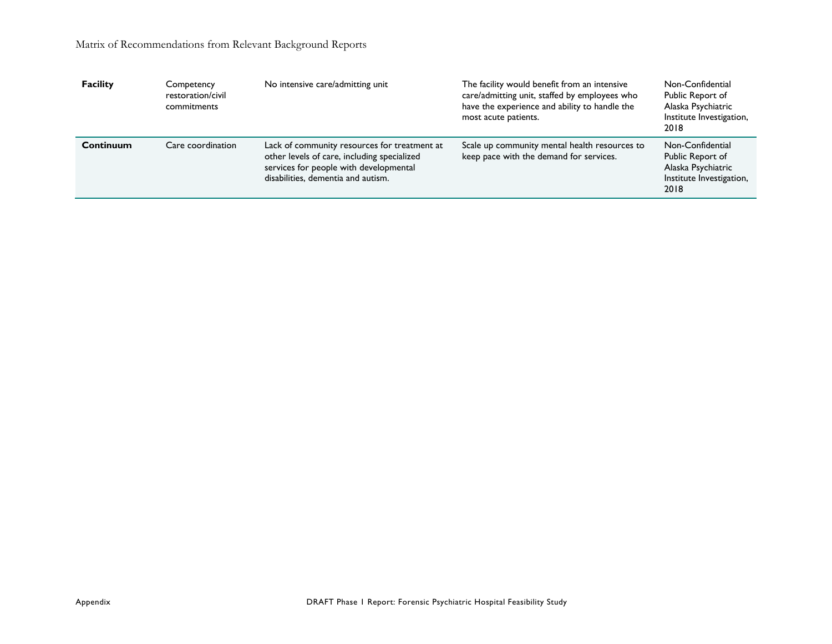| <b>Facility</b> | Competency<br>restoration/civil<br>commitments | No intensive care/admitting unit                                                                                                                                            | The facility would benefit from an intensive<br>care/admitting unit, staffed by employees who<br>have the experience and ability to handle the<br>most acute patients. | Non-Confidential<br>Public Report of<br>Alaska Psychiatric<br>Institute Investigation,<br>2018 |
|-----------------|------------------------------------------------|-----------------------------------------------------------------------------------------------------------------------------------------------------------------------------|------------------------------------------------------------------------------------------------------------------------------------------------------------------------|------------------------------------------------------------------------------------------------|
| Continuum       | Care coordination                              | Lack of community resources for treatment at<br>other levels of care, including specialized<br>services for people with developmental<br>disabilities, dementia and autism. | Scale up community mental health resources to<br>keep pace with the demand for services.                                                                               | Non-Confidential<br>Public Report of<br>Alaska Psychiatric<br>Institute Investigation,<br>2018 |